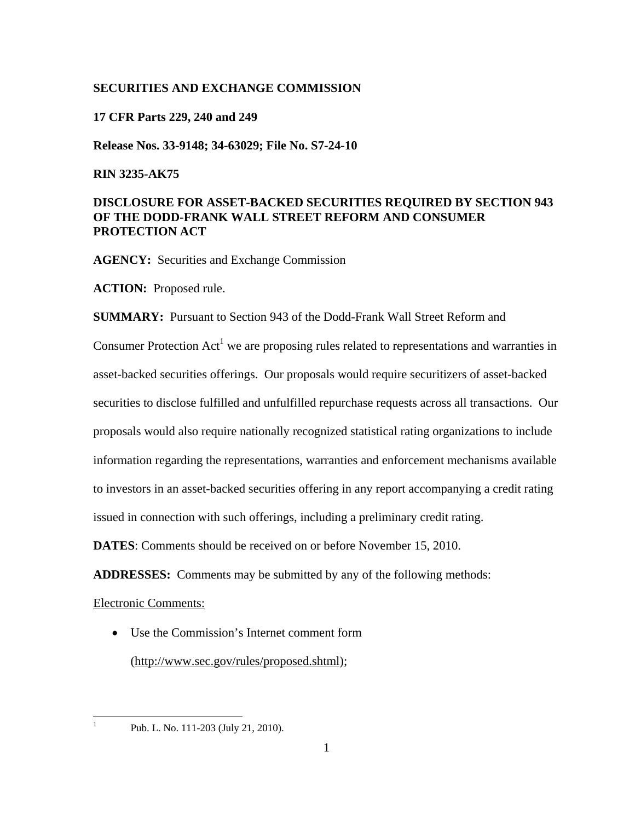## **SECURITIES AND EXCHANGE COMMISSION**

#### **17 CFR Parts 229, 240 and 249**

**Release Nos. 33-9148; 34-63029; File No. S7-24-10** 

### **RIN 3235-AK75**

# **DISCLOSURE FOR ASSET-BACKED SECURITIES REQUIRED BY SECTION 943 OF THE DODD-FRANK WALL STREET REFORM AND CONSUMER PROTECTION ACT**

**SUMMARY:** Pursuant to Section 943 of the Dodd-Frank Wall Street Reform and

**AGENCY:** Securities and Exchange Commission

**ACTION:** Proposed rule.

Consumer Protection  $Act^1$  we are proposing rules related to representations and warranties in asset-backed securities offerings. Our proposals would require securitizers of asset-backed securities to disclose fulfilled and unfulfilled repurchase requests across all transactions. Our proposals would also require nationally recognized statistical rating organizations to include information regarding the representations, warranties and enforcement mechanisms available to investors in an asset-backed securities offering in any report accompanying a credit rating issued in connection with such offerings, including a preliminary credit rating.

**DATES**: Comments should be received on or before November 15, 2010.

**ADDRESSES:** Comments may be submitted by any of the following methods:

Electronic Comments:

 $\overline{a}$ 1 • Use the Commission's Internet comment form (http://www.sec.gov/rules/proposed.shtml);

Pub. L. No. 111-203 (July 21, 2010).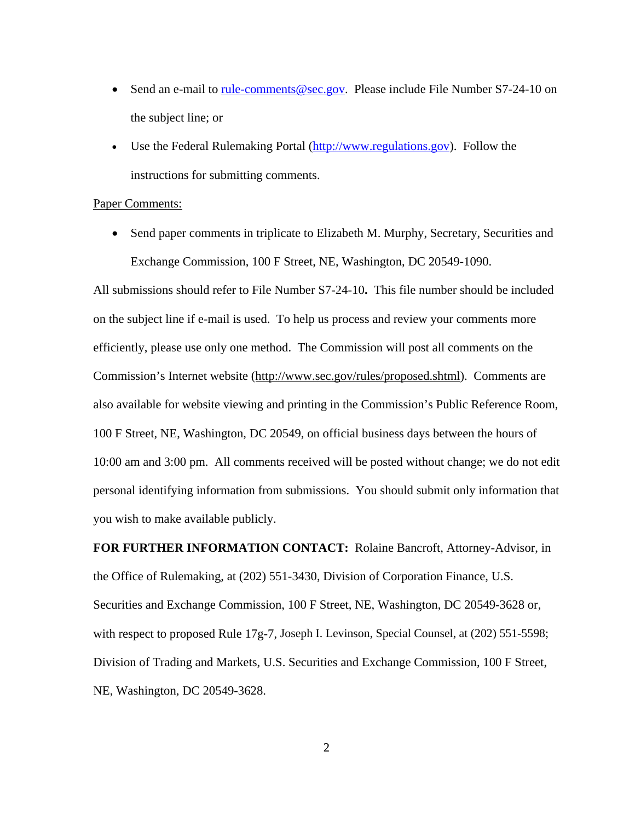- <span id="page-1-0"></span>• Send an e-mail to rule-comments@sec.gov. Please include File Number S7-24-10 on the subject line; or
- Use the Federal Rulemaking Portal (http://www.regulations.gov). Follow the instructions for submitting comments.

### Paper Comments:

• Send paper comments in triplicate to Elizabeth M. Murphy, Secretary, Securities and Exchange Commission, 100 F Street, NE, Washington, DC 20549-1090.

All submissions should refer to File Number S7-24-10**.** This file number should be included on the subject line if e-mail is used. To help us process and review your comments more efficiently, please use only one method. The Commission will post all comments on the Commission's Internet website (http://www.sec.gov/rules/proposed.shtml). Comments are also available for website viewing and printing in the Commission's Public Reference Room, 100 F Street, NE, Washington, DC 20549, on official business days between the hours of 10:00 am and 3:00 pm. All comments received will be posted without change; we do not edit personal identifying information from submissions. You should submit only information that you wish to make available publicly.

**FOR FURTHER INFORMATION CONTACT:** Rolaine Bancroft, Attorney-Advisor, in the Office of Rulemaking, at (202) 551-3430, Division of Corporation Finance, U.S. Securities and Exchange Commission, 100 F Street, NE, Washington, DC 20549-3628 or, with respect to proposed Rule 17g-7, Joseph I. Levinson, Special Counsel, at (202) 551-5598; Division of Trading and Markets, U.S. Securities and Exchange Commission, 100 F Street, NE, Washington, DC 20549-3628.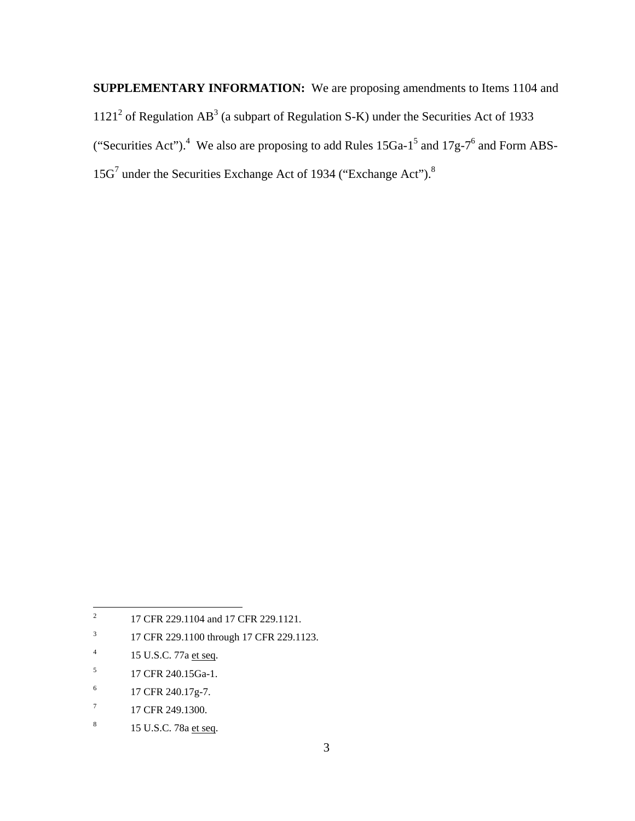**SUPPLEMENTARY INFORMATION:** We are proposing amendments to Items 1104 and  $1121<sup>2</sup>$  of Regulation AB<sup>3</sup> (a subpart of Regulation S-K) under the Securities Act of 1933 ("Securities Act").<sup>4</sup> We also are proposing to add Rules 15Ga-1<sup>5</sup> and 17g-7<sup>6</sup> and Form ABS-15G<sup>7</sup> under the Securities Exchange Act of 1934 ("Exchange Act").<sup>8</sup>

- $\sqrt{3}$ 3 17 CFR 229.1100 through 17 CFR 229.1123.
- $\overline{4}$ 15 U.S.C. 77a et seq.
- $\sqrt{5}$  $^{5}$  $^{5}$  $^{5}$  17 CFR 240.15Ga-1.
- $\sqrt{6}$  $^{6}$  $^{6}$  $^{6}$  17 CFR 240.17g-7.
- $\boldsymbol{7}$  $^{7}$  $^{7}$  $^{7}$  17 CFR 249.1300.
- $\,$  8  $\,$ 15 U.S.C. 7[8](#page-7-0)a et seq.

 $\overline{a}$ [2](#page-1-0) 17 CFR 229.1104 and 17 CFR 229.1121.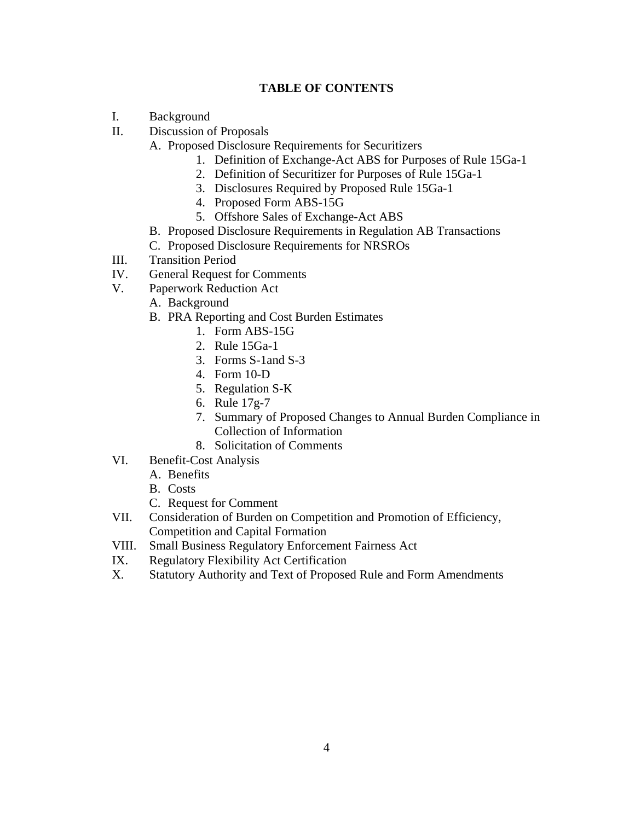# **TABLE OF CONTENTS**

- <span id="page-3-0"></span>I. Background
- II. Discussion of Proposals
	- A. Proposed Disclosure Requirements for Securitizers
		- 1. Definition of Exchange-Act ABS for Purposes of Rule 15Ga-1
		- 2. Definition of Securitizer for Purposes of Rule 15Ga-1
		- 3. Disclosures Required by Proposed Rule 15Ga-1
		- 4. Proposed Form ABS-15G
		- 5. Offshore Sales of Exchange-Act ABS
	- B. Proposed Disclosure Requirements in Regulation AB Transactions
	- C. Proposed Disclosure Requirements for NRSROs
- III. Transition Period
- IV. General Request for Comments
- V. Paperwork Reduction Act
	- A. Background
		- B. PRA Reporting and Cost Burden Estimates
			- 1. Form ABS-15G
			- 2. Rule 15Ga-1
			- 3. Forms S-1and S-3
			- 4. Form 10-D
			- 5. Regulation S-K
			- 6. Rule 17g-7
			- 7. Summary of Proposed Changes to Annual Burden Compliance in Collection of Information
			- 8. Solicitation of Comments
- VI. Benefit-Cost Analysis
	- A. Benefits
		- B. Costs
		- C. Request for Comment
- VII. Consideration of Burden on Competition and Promotion of Efficiency, Competition and Capital Formation
- VIII. Small Business Regulatory Enforcement Fairness Act
- IX. Regulatory Flexibility Act Certification
- X. Statutory Authority and Text of Proposed Rule and Form Amendments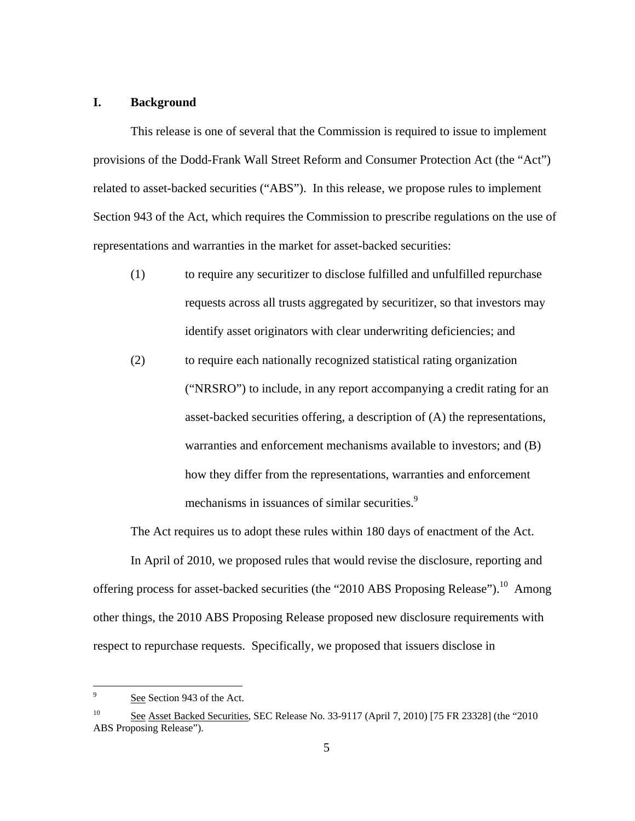# <span id="page-4-0"></span>**I. Background**

This release is one of several that the Commission is required to issue to implement provisions of the Dodd-Frank Wall Street Reform and Consumer Protection Act (the "Act") related to asset-backed securities ("ABS"). In this release, we propose rules to implement Section 943 of the Act, which requires the Commission to prescribe regulations on the use of representations and warranties in the market for asset-backed securities:

- (1) to require any securitizer to disclose fulfilled and unfulfilled repurchase requests across all trusts aggregated by securitizer, so that investors may identify asset originators with clear underwriting deficiencies; and
- (2) to require each nationally recognized statistical rating organization ("NRSRO") to include, in any report accompanying a credit rating for an asset-backed securities offering, a description of (A) the representations, warranties and enforcement mechanisms available to investors; and (B) how they differ from the representations, warranties and enforcement mechanisms in issuances of similar securities.<sup>9</sup>

The Act requires us to adopt these rules within 180 days of enactment of the Act.

In April of 2010, we proposed rules that would revise the disclosure, reporting and offering process for asset-backed securities (the "2010 ABS Proposing Release").<sup>10</sup> Among other things, the 2010 ABS Proposing Release proposed new disclosure requirements with respect to repurchase requests. Specifically, we proposed that issuers disclose in

See Section 943 of the Act.

 $10\,$ 10 See Asset Backed Securities, SEC Release No. 33-9117 (April 7, 2010) [75 FR 23328] (the "2010 ABS Proposing Release").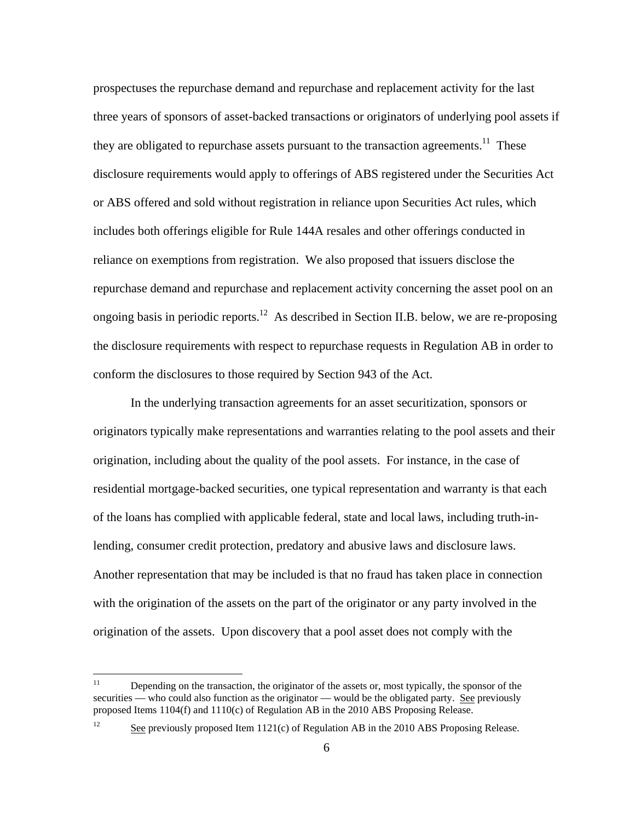<span id="page-5-0"></span>prospectuses the repurchase demand and repurchase and replacement activity for the last three years of sponsors of asset-backed transactions or originators of underlying pool assets if they are obligated to repurchase assets pursuant to the transaction agreements.<sup>11</sup> These disclosure requirements would apply to offerings of ABS registered under the Securities Act or ABS offered and sold without registration in reliance upon Securities Act rules, which includes both offerings eligible for Rule 144A resales and other offerings conducted in reliance on exemptions from registration. We also proposed that issuers disclose the repurchase demand and repurchase and replacement activity concerning the asset pool on an ongoing basis in periodic reports.<sup>12</sup> As described in Section II.B. below, we are re-proposing the disclosure requirements with respect to repurchase requests in Regulation AB in order to conform the disclosures to those required by Section 943 of the Act.

In the underlying transaction agreements for an asset securitization, sponsors or originators typically make representations and warranties relating to the pool assets and their origination, including about the quality of the pool assets. For instance, in the case of residential mortgage-backed securities, one typical representation and warranty is that each of the loans has complied with applicable federal, state and local laws, including truth-inlending, consumer credit protection, predatory and abusive laws and disclosure laws. Another representation that may be included is that no fraud has taken place in connection with the origination of the assets on the part of the originator or any party involved in the origination of the assets. Upon discovery that a pool asset does not comply with the

 $12$ 

Depending on the transaction, the originator of the assets or, most typically, the sponsor of the securities — who could also function as the originator — would be the obligated party. See previously proposed Items 1104(f) and 1110(c) of Regulation AB in the 2010 ABS Proposing Release.

See previously proposed Item 1121(c) of Regulation AB in the 2010 ABS Proposing Release.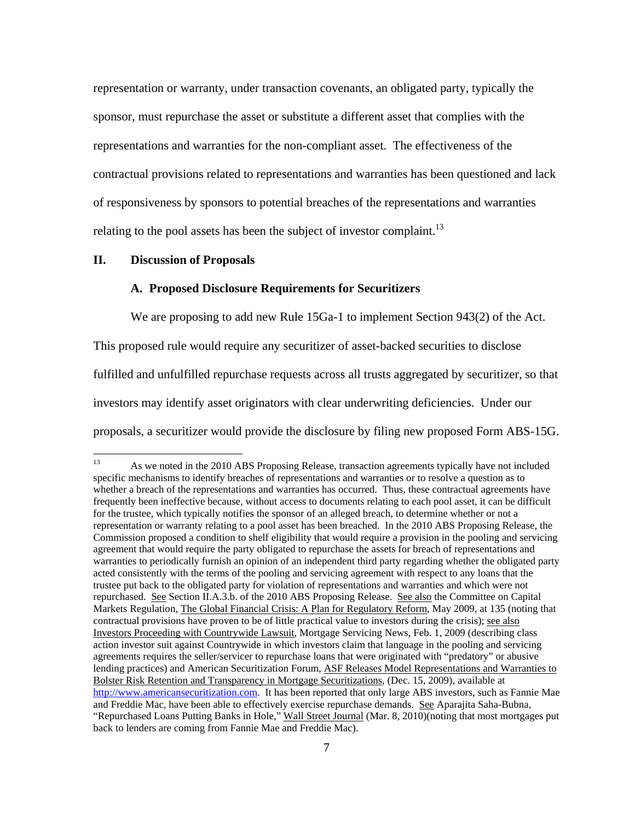<span id="page-6-0"></span>relating to the pool assets has been the subject of investor complaint.<sup>13</sup> representation or warranty, under transaction covenants, an obligated party, typically the sponsor, must repurchase the asset or substitute a different asset that complies with the representations and warranties for the non-compliant asset. The effectiveness of the contractual provisions related to representations and warranties has been questioned and lack of responsiveness by sponsors to potential breaches of the representations and warranties

#### **II. Discussion of Proposals**

1

### **A. Proposed Disclosure Requirements for Securitizers**

We are proposing to add new Rule 15Ga-1 to implement Section 943(2) of the Act. This proposed rule would require any securitizer of asset-backed securities to disclose fulfilled and unfulfilled repurchase requests across all trusts aggregated by securitizer, so that investors may identify asset originators with clear underwriting deficiencies. Under our proposals, a securitizer would provide the disclosure by filing new proposed Form ABS-15G.

 13 whether a breach of the representations and warranties has occurred. Thus, these contractual agreements have contractual provisions have proven to be of little practical value to investors during the crisis); see also Bolster Risk Retention and Transparency in Mortgage Securitizations, (Dec. 15, 2009), available at As we noted in the 2010 ABS Proposing Release, transaction agreements typically have not included specific mechanisms to identify breaches of representations and warranties or to resolve a question as to frequently been ineffective because, without access to documents relating to each pool asset, it can be difficult for the trustee, which typically notifies the sponsor of an alleged breach, to determine whether or not a representation or warranty relating to a pool asset has been breached. In the 2010 ABS Proposing Release, the Commission proposed a condition to shelf eligibility that would require a provision in the pooling and servicing agreement that would require the party obligated to repurchase the assets for breach of representations and warranties to periodically furnish an opinion of an independent third party regarding whether the obligated party acted consistently with the terms of the pooling and servicing agreement with respect to any loans that the trustee put back to the obligated party for violation of representations and warranties and which were not repurchased. See Section II.A.3.b. of the 2010 ABS Proposing Release. See also the Committee on Capital Markets Regulation, The Global Financial Crisis: A Plan for Regulatory Reform, May 2009, at 135 (noting that Investors Proceeding with Countrywide Lawsuit, Mortgage Servicing News, Feb. 1, 2009 (describing class action investor suit against Countrywide in which investors claim that language in the pooling and servicing agreements requires the seller/servicer to repurchase loans that were originated with "predatory" or abusive lending practices) and American Securitization Forum, ASF Releases Model Representations and Warranties to http://www.americansecuritization.com. It has been reported that only large ABS investors, such as Fannie Mae and Freddie Mac, have been able to effectively exercise repurchase demands. See Aparajita Saha-Bubna, "Repurchased Loans Putting Banks in Hole," Wall Street Journal (Mar. 8, 2010)(noting that most mortgages put back to lenders are coming from Fannie Mae and Freddie Mac).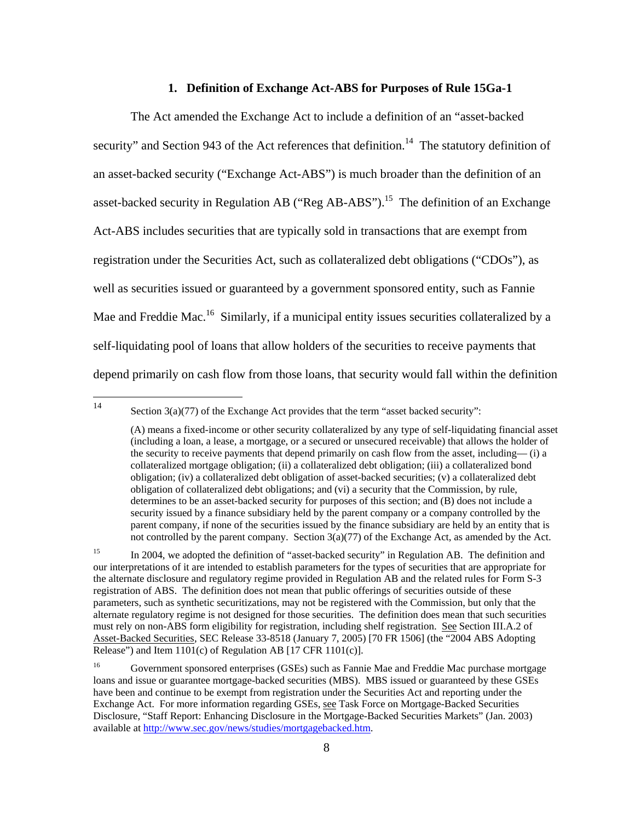#### **1. Definition of Exchange Act-ABS for Purposes of Rule 15Ga-1**

<span id="page-7-0"></span>The Act amended the Exchange Act to include a definition of an "asset-backed security" and Section 943 of the Act references that definition.<sup>14</sup> The statutory definition of an asset-backed security ("Exchange Act-ABS") is much broader than the definition of an asset-backed security in Regulation AB ("Reg AB-ABS").<sup>15</sup> The definition of an Exchange Act-ABS includes securities that are typically sold in transactions that are exempt from registration under the Securities Act, such as collateralized debt obligations ("CDOs"), as well as securities issued or guaranteed by a government sponsored entity, such as Fannie Mae and Freddie Mac.<sup>16</sup> Similarly, if a municipal entity issues securities collateralized by a self-liquidating pool of loans that allow holders of the securities to receive payments that depend primarily on cash flow from those loans, that security would fall within the definition

Section  $3(a)(77)$  of the Exchange Act provides that the term "asset backed security":

 collateralized mortgage obligation; (ii) a collateralized debt obligation; (iii) a collateralized bond obligation; (iv) a collateralized debt obligation of asset-backed securities; (v) a collateralized debt obligation of collateralized debt obligations; and (vi) a security that the Commission, by rule, security issued by a finance subsidiary held by the parent company or a company controlled by the parent company, if none of the securities issued by the finance subsidiary are held by an entity that is (A) means a fixed-income or other security collateralized by any type of self-liquidating financial asset (including a loan, a lease, a mortgage, or a secured or unsecured receivable) that allows the holder of the security to receive payments that depend primarily on cash flow from the asset, including— (i) a determines to be an asset-backed security for purposes of this section; and (B) does not include a not controlled by the parent company. Section 3(a)(77) of the Exchange Act, as amended by the Act.

<sup>15</sup>  the alternate disclosure and regulatory regime provided in Regulation AB and the related rules for Form S-3 must rely on non-ABS form eligibility for registration, including shelf registration. See Section III.A.2 of Asset-Backed Securities, SEC Release 33-8518 (January 7, 2005) [70 FR 1506] (the "2004 ABS Adopting 15 In 2004, we adopted the definition of "asset-backed security" in Regulation AB. The definition and our interpretations of it are intended to establish parameters for the types of securities that are appropriate for registration of ABS. The definition does not mean that public offerings of securities outside of these parameters, such as synthetic securitizations, may not be registered with the Commission, but only that the alternate regulatory regime is not designed for those securities. The definition does mean that such securities Release") and Item 1101(c) of Regulation AB [17 CFR 1101(c)].

<sup>16</sup>  loans and issue or guarantee mortgage-backed securities (MBS). MBS issued or guaranteed by these GSEs have been and continue to be exempt from registration under the Securities Act and reporting under the 16 Government sponsored enterprises (GSEs) such as Fannie Mae and Freddie Mac purchase mortgage Exchange Act. For more information regarding GSEs, see Task Force on Mortgage-Backed Securities Disclosure, "Staff Report: Enhancing Disclosure in the Mortgage-Backed Securities Markets" (Jan. 2003) available at http://www.sec.gov/news/studies/mortgagebacked.htm.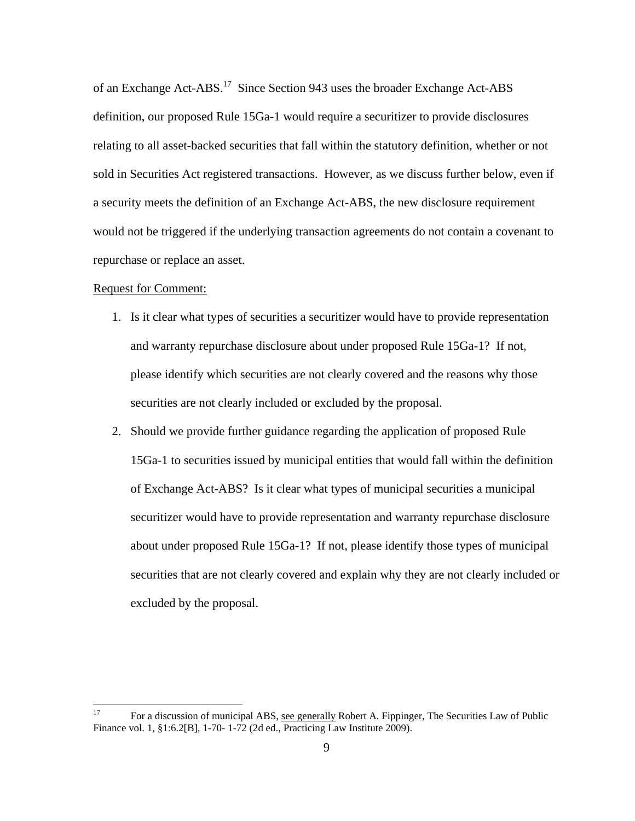of an Exchange Act-ABS.17 Since Section 943 uses the broader Exchange Act-ABS definition, our proposed Rule 15Ga-1 would require a securitizer to provide disclosures relating to all asset-backed securities that fall within the statutory definition, whether or not sold in Securities Act registered transactions. However, as we discuss further below, even if a security meets the definition of an Exchange Act-ABS, the new disclosure requirement would not be triggered if the underlying transaction agreements do not contain a covenant to repurchase or replace an asset.

#### Request for Comment:

- 1. Is it clear what types of securities a securitizer would have to provide representation and warranty repurchase disclosure about under proposed Rule 15Ga-1? If not, please identify which securities are not clearly covered and the reasons why those securities are not clearly included or excluded by the proposal.
- 2. Should we provide further guidance regarding the application of proposed Rule 15Ga-1 to securities issued by municipal entities that would fall within the definition of Exchange Act-ABS? Is it clear what types of municipal securities a municipal securitizer would have to provide representation and warranty repurchase disclosure about under proposed Rule 15Ga-1? If not, please identify those types of municipal securities that are not clearly covered and explain why they are not clearly included or excluded by the proposal.

 17 For a discussion of municipal ABS, see generally Robert A. Fippinger, The Securities Law of Public Finance vol. 1, §1:6.2[B], 1-70- 1-72 (2d ed., Practicing Law Institute 2009).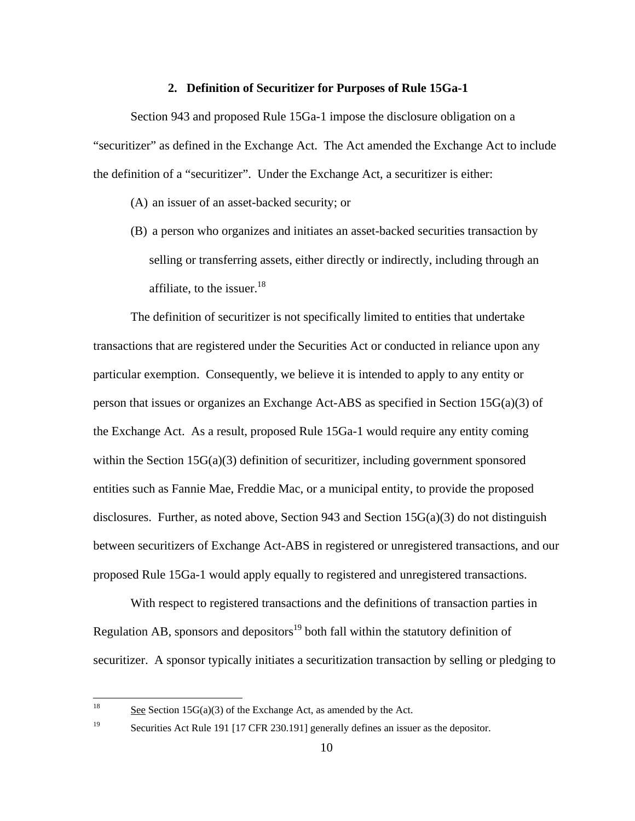### **2. Definition of Securitizer for Purposes of Rule 15Ga-1**

Section 943 and proposed Rule 15Ga-1 impose the disclosure obligation on a "securitizer" as defined in the Exchange Act. The Act amended the Exchange Act to include the definition of a "securitizer". Under the Exchange Act, a securitizer is either:

(A) an issuer of an asset-backed security; or

(B) a person who organizes and initiates an asset-backed securities transaction by selling or transferring assets, either directly or indirectly, including through an affiliate, to the issuer.<sup>18</sup>

The definition of securitizer is not specifically limited to entities that undertake transactions that are registered under the Securities Act or conducted in reliance upon any particular exemption. Consequently, we believe it is intended to apply to any entity or person that issues or organizes an Exchange Act-ABS as specified in Section 15G(a)(3) of the Exchange Act. As a result, proposed Rule 15Ga-1 would require any entity coming within the Section  $15G(a)(3)$  definition of securitizer, including government sponsored entities such as Fannie Mae, Freddie Mac, or a municipal entity, to provide the proposed disclosures. Further, as noted above, Section 943 and Section  $15G(a)(3)$  do not distinguish between securitizers of Exchange Act-ABS in registered or unregistered transactions, and our proposed Rule 15Ga-1 would apply equally to registered and unregistered transactions.

With respect to registered transactions and the definitions of transaction parties in Regulation AB, sponsors and depositors<sup>19</sup> both fall within the statutory definition of securitizer. A sponsor typically initiates a securitization transaction by selling or pledging to

See Section  $15G(a)(3)$  of the Exchange Act, as amended by the Act.

 $19\,$ Securities Act Rule 191 [17 CFR 230.191] generally defines an issuer as the depositor.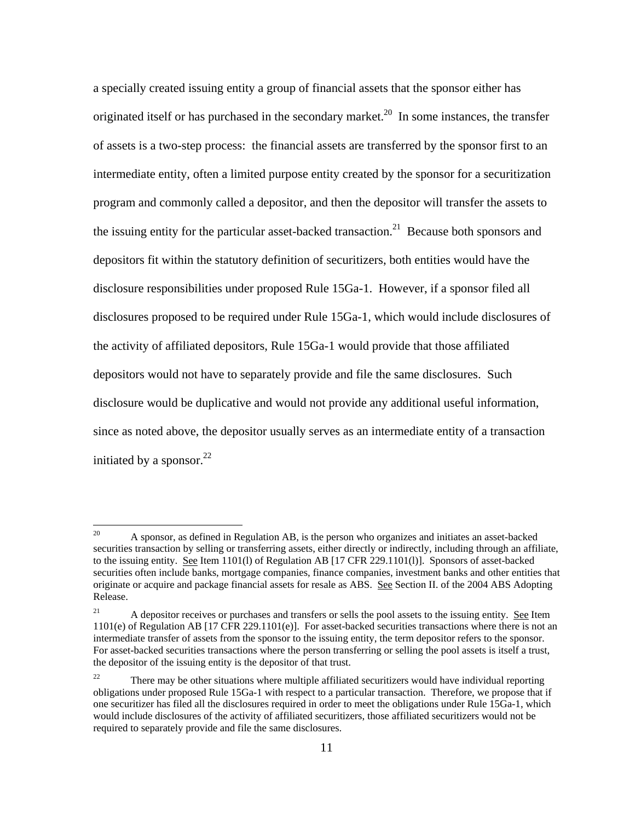initiated by a sponsor. $22$ a specially created issuing entity a group of financial assets that the sponsor either has originated itself or has purchased in the secondary market.<sup>20</sup> In some instances, the transfer of assets is a two-step process: the financial assets are transferred by the sponsor first to an intermediate entity, often a limited purpose entity created by the sponsor for a securitization program and commonly called a depositor, and then the depositor will transfer the assets to the issuing entity for the particular asset-backed transaction.<sup>21</sup> Because both sponsors and depositors fit within the statutory definition of securitizers, both entities would have the disclosure responsibilities under proposed Rule 15Ga-1. However, if a sponsor filed all disclosures proposed to be required under Rule 15Ga-1, which would include disclosures of the activity of affiliated depositors, Rule 15Ga-1 would provide that those affiliated depositors would not have to separately provide and file the same disclosures. Such disclosure would be duplicative and would not provide any additional useful information, since as noted above, the depositor usually serves as an intermediate entity of a transaction

<sup>20</sup>  securities transaction by selling or transferring assets, either directly or indirectly, including through an affiliate, originate or acquire and package financial assets for resale as ABS. See Section II. of the 2004 ABS Adopting 20 A sponsor, as defined in Regulation AB, is the person who organizes and initiates an asset-backed to the issuing entity. See Item 1101(l) of Regulation AB [17 CFR 229.1101(l)]. Sponsors of asset-backed securities often include banks, mortgage companies, finance companies, investment banks and other entities that Release.

 $21$ A depositor receives or purchases and transfers or sells the pool assets to the issuing entity. See Item 1101(e) of Regulation AB [17 CFR 229.1101(e)]. For asset-backed securities transactions where there is not an intermediate transfer of assets from the sponsor to the issuing entity, the term depositor refers to the sponsor. For asset-backed securities transactions where the person transferring or selling the pool assets is itself a trust, the depositor of the issuing entity is the depositor of that trust.

<sup>22</sup>  obligations under proposed Rule 15Ga-1 with respect to a particular transaction. Therefore, we propose that if one securitizer has filed all the disclosures required in order to meet the obligations under Rule 15Ga-1, which 22 There may be other situations where multiple affiliated securitizers would have individual reporting would include disclosures of the activity of affiliated securitizers, those affiliated securitizers would not be required to separately provide and file the same disclosures.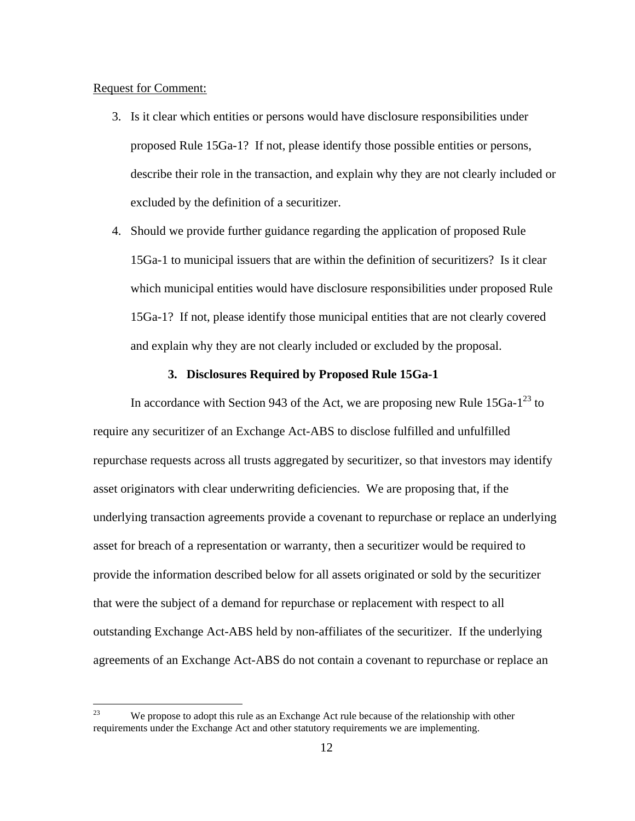#### Request for Comment:

 $\overline{a}$ 

- 3. Is it clear which entities or persons would have disclosure responsibilities under proposed Rule 15Ga-1? If not, please identify those possible entities or persons, describe their role in the transaction, and explain why they are not clearly included or excluded by the definition of a securitizer.
- 4. Should we provide further guidance regarding the application of proposed Rule 15Ga-1 to municipal issuers that are within the definition of securitizers? Is it clear which municipal entities would have disclosure responsibilities under proposed Rule 15Ga-1? If not, please identify those municipal entities that are not clearly covered and explain why they are not clearly included or excluded by the proposal.

#### **3. Disclosures Required by Proposed Rule 15Ga-1**

In accordance with Section 943 of the Act, we are proposing new Rule  $15Ga^{-1^{23}}$  to require any securitizer of an Exchange Act-ABS to disclose fulfilled and unfulfilled repurchase requests across all trusts aggregated by securitizer, so that investors may identify asset originators with clear underwriting deficiencies. We are proposing that, if the underlying transaction agreements provide a covenant to repurchase or replace an underlying asset for breach of a representation or warranty, then a securitizer would be required to provide the information described below for all assets originated or sold by the securitizer that were the subject of a demand for repurchase or replacement with respect to all outstanding Exchange Act-ABS held by non-affiliates of the securitizer. If the underlying agreements of an Exchange Act-ABS do not contain a covenant to repurchase or replace an

 23 We propose to adopt this rule as an Exchange Act rule because of the relationship with other requirements under the Exchange Act and other statutory requirements we are implementing.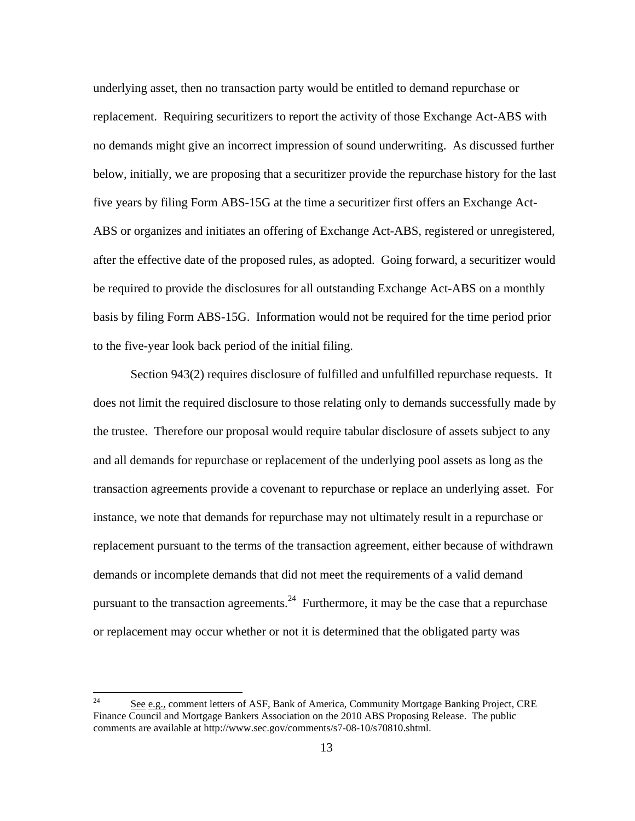underlying asset, then no transaction party would be entitled to demand repurchase or replacement. Requiring securitizers to report the activity of those Exchange Act-ABS with no demands might give an incorrect impression of sound underwriting. As discussed further below, initially, we are proposing that a securitizer provide the repurchase history for the last five years by filing Form ABS-15G at the time a securitizer first offers an Exchange Act-ABS or organizes and initiates an offering of Exchange Act-ABS, registered or unregistered, after the effective date of the proposed rules, as adopted. Going forward, a securitizer would be required to provide the disclosures for all outstanding Exchange Act-ABS on a monthly basis by filing Form ABS-15G. Information would not be required for the time period prior to the five-year look back period of the initial filing.

Section 943(2) requires disclosure of fulfilled and unfulfilled repurchase requests. It does not limit the required disclosure to those relating only to demands successfully made by the trustee. Therefore our proposal would require tabular disclosure of assets subject to any and all demands for repurchase or replacement of the underlying pool assets as long as the transaction agreements provide a covenant to repurchase or replace an underlying asset. For instance, we note that demands for repurchase may not ultimately result in a repurchase or replacement pursuant to the terms of the transaction agreement, either because of withdrawn demands or incomplete demands that did not meet the requirements of a valid demand pursuant to the transaction agreements.<sup>24</sup> Furthermore, it may be the case that a repurchase or replacement may occur whether or not it is determined that the obligated party was

 24 See e.g., comment letters of ASF, Bank of America, Community Mortgage Banking Project, CRE Finance Council and Mortgage Bankers Association on the 2010 ABS Proposing Release. The public comments are available at http://www.sec.gov/comments/s7-08-10/s70810.shtml.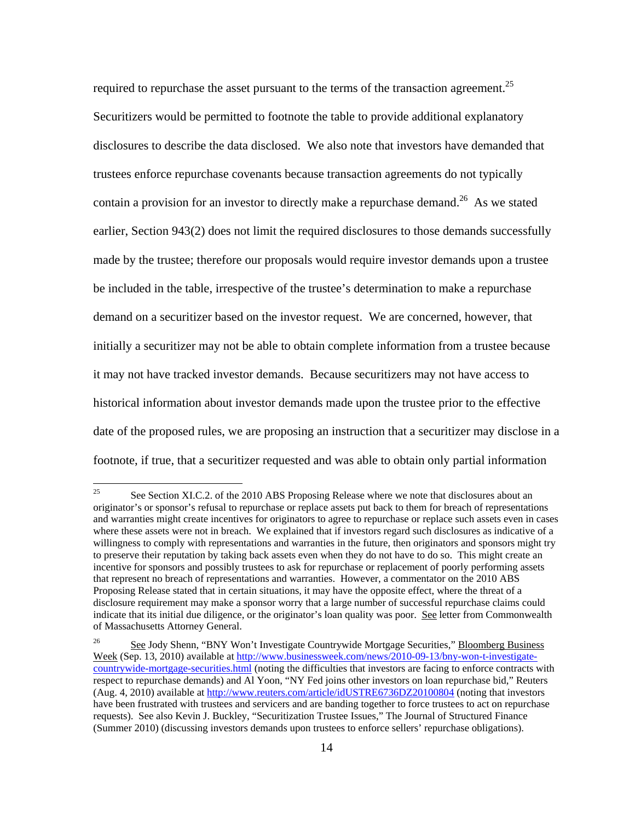required to repurchase the asset pursuant to the terms of the transaction agreement.<sup>25</sup> Securitizers would be permitted to footnote the table to provide additional explanatory disclosures to describe the data disclosed. We also note that investors have demanded that trustees enforce repurchase covenants because transaction agreements do not typically contain a provision for an investor to directly make a repurchase demand.<sup>26</sup> As we stated earlier, Section 943(2) does not limit the required disclosures to those demands successfully made by the trustee; therefore our proposals would require investor demands upon a trustee be included in the table, irrespective of the trustee's determination to make a repurchase demand on a securitizer based on the investor request. We are concerned, however, that initially a securitizer may not be able to obtain complete information from a trustee because it may not have tracked investor demands. Because securitizers may not have access to historical information about investor demands made upon the trustee prior to the effective date of the proposed rules, we are proposing an instruction that a securitizer may disclose in a footnote, if true, that a securitizer requested and was able to obtain only partial information

 originator's or sponsor's refusal to repurchase or replace assets put back to them for breach of representations to preserve their reputation by taking back assets even when they do not have to do so. This might create an See Section XI.C.2. of the 2010 ABS Proposing Release where we note that disclosures about an and warranties might create incentives for originators to agree to repurchase or replace such assets even in cases where these assets were not in breach. We explained that if investors regard such disclosures as indicative of a willingness to comply with representations and warranties in the future, then originators and sponsors might try incentive for sponsors and possibly trustees to ask for repurchase or replacement of poorly performing assets that represent no breach of representations and warranties. However, a commentator on the 2010 ABS Proposing Release stated that in certain situations, it may have the opposite effect, where the threat of a disclosure requirement may make a sponsor worry that a large number of successful repurchase claims could indicate that its initial due diligence, or the originator's loan quality was poor. See letter from Commonwealth of Massachusetts Attorney General.

<sup>26</sup> See Jody Shenn, "BNY Won't Investigate Countrywide Mortgage Securities," Bloomberg Business Week (Sep. 13, 2010) available at http://www.businessweek.com/news/2010-09-13/bny-won-t-investigatecountrywide-mortgage-securities.html (noting the difficulties that investors are facing to enforce contracts with respect to repurchase demands) and Al Yoon, "NY Fed joins other investors on loan repurchase bid," Reuters (Aug. 4, 2010) available at http://www.reuters.com/article/idUSTRE6736DZ20100804 (noting that investors have been frustrated with trustees and servicers and are banding together to force trustees to act on repurchase requests). See also Kevin J. Buckley, "Securitization Trustee Issues," The Journal of Structured Finance (Summer 2010) (discussing investors demands upon trustees to enforce sellers' repurchase obligations).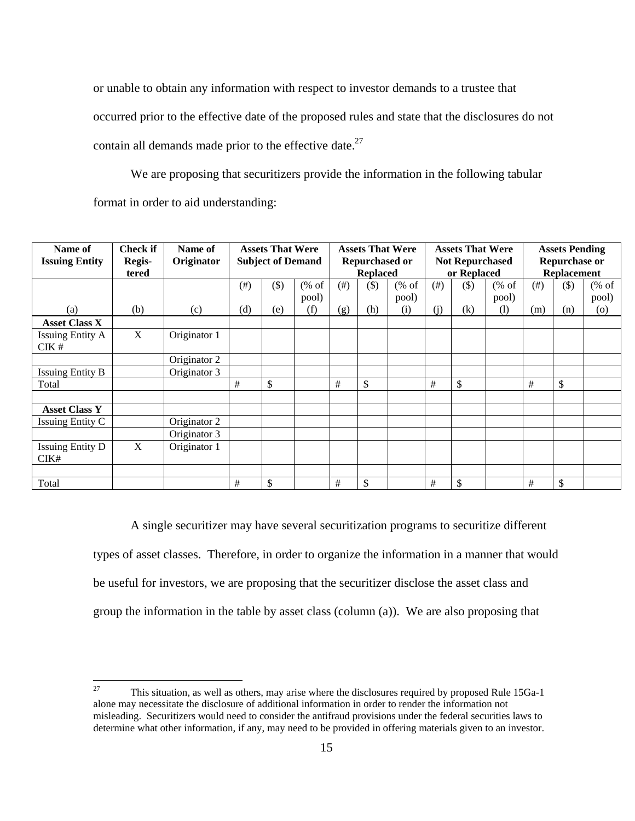contain all demands made prior to the effective date. $27$ or unable to obtain any information with respect to investor demands to a trustee that occurred prior to the effective date of the proposed rules and state that the disclosures do not

We are proposing that securitizers provide the information in the following tabular format in order to aid understanding:

| Name of<br><b>Issuing Entity</b> | <b>Check if</b><br>Regis-<br>tered | Name of<br>Originator | <b>Assets That Were</b><br><b>Subject of Demand</b> |         | <b>Assets That Were</b><br><b>Repurchased or</b><br><b>Replaced</b> |      |               | <b>Assets That Were</b><br><b>Not Repurchased</b><br>or Replaced |           |              | <b>Assets Pending</b><br><b>Repurchase or</b><br><b>Replacement</b> |           |     |                    |
|----------------------------------|------------------------------------|-----------------------|-----------------------------------------------------|---------|---------------------------------------------------------------------|------|---------------|------------------------------------------------------------------|-----------|--------------|---------------------------------------------------------------------|-----------|-----|--------------------|
|                                  |                                    |                       | $(\#)$                                              | $($ \$) | $(% \mathcal{L}_{0}^{\infty}$ of                                    | (# ) | $($ \$        | $(% \mathcal{L}_{0}^{\infty}$ (% of                              | $($ # $)$ | \$)          | $(% \mathcal{L}_{0}^{\infty}$ (% of                                 | $($ # $)$ | \$) | % of               |
|                                  |                                    |                       |                                                     |         | pool)                                                               |      |               | pool)                                                            |           |              | pool)                                                               |           |     | pool)              |
| (a)                              | (b)                                | (c)                   | (d)                                                 | (e)     | (f)                                                                 | (g)  | (h)           | (i)                                                              | (i)       | (k)          | (1)                                                                 | (m)       | (n) | $\left( 0 \right)$ |
| <b>Asset Class X</b>             |                                    |                       |                                                     |         |                                                                     |      |               |                                                                  |           |              |                                                                     |           |     |                    |
| <b>Issuing Entity A</b><br>CIK#  | X                                  | Originator 1          |                                                     |         |                                                                     |      |               |                                                                  |           |              |                                                                     |           |     |                    |
|                                  |                                    | Originator 2          |                                                     |         |                                                                     |      |               |                                                                  |           |              |                                                                     |           |     |                    |
| <b>Issuing Entity B</b>          |                                    | Originator 3          |                                                     |         |                                                                     |      |               |                                                                  |           |              |                                                                     |           |     |                    |
| Total                            |                                    |                       | #                                                   | \$      |                                                                     | #    | $\mathsf{\$}$ |                                                                  | #         | $\mathbb{S}$ |                                                                     | #         | \$  |                    |
|                                  |                                    |                       |                                                     |         |                                                                     |      |               |                                                                  |           |              |                                                                     |           |     |                    |
| <b>Asset Class Y</b>             |                                    |                       |                                                     |         |                                                                     |      |               |                                                                  |           |              |                                                                     |           |     |                    |
| <b>Issuing Entity C</b>          |                                    | Originator 2          |                                                     |         |                                                                     |      |               |                                                                  |           |              |                                                                     |           |     |                    |
|                                  |                                    | Originator 3          |                                                     |         |                                                                     |      |               |                                                                  |           |              |                                                                     |           |     |                    |
| <b>Issuing Entity D</b><br>CIK#  | X                                  | Originator 1          |                                                     |         |                                                                     |      |               |                                                                  |           |              |                                                                     |           |     |                    |
|                                  |                                    |                       |                                                     |         |                                                                     |      |               |                                                                  |           |              |                                                                     |           |     |                    |
| Total                            |                                    |                       | #                                                   | \$      |                                                                     | #    | \$            |                                                                  | #         | \$           |                                                                     | #         | \$  |                    |

A single securitizer may have several securitization programs to securitize different types of asset classes. Therefore, in order to organize the information in a manner that would be useful for investors, we are proposing that the securitizer disclose the asset class and group the information in the table by asset class (column (a)). We are also proposing that

 alone may necessitate the disclosure of additional information in order to render the information not 27 This situation, as well as others, may arise where the disclosures required by proposed Rule 15Ga-1 misleading. Securitizers would need to consider the antifraud provisions under the federal securities laws to determine what other information, if any, may need to be provided in offering materials given to an investor.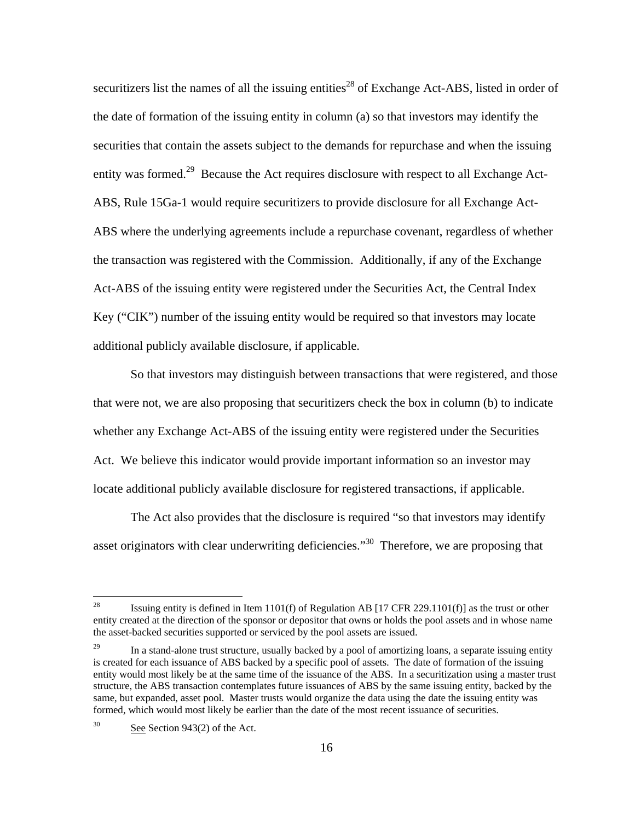securitizers list the names of all the issuing entities<sup>28</sup> of Exchange Act-ABS, listed in order of the date of formation of the issuing entity in column (a) so that investors may identify the securities that contain the assets subject to the demands for repurchase and when the issuing entity was formed.<sup>29</sup> Because the Act requires disclosure with respect to all Exchange Act-ABS, Rule 15Ga-1 would require securitizers to provide disclosure for all Exchange Act-ABS where the underlying agreements include a repurchase covenant, regardless of whether the transaction was registered with the Commission. Additionally, if any of the Exchange Act-ABS of the issuing entity were registered under the Securities Act, the Central Index Key ("CIK") number of the issuing entity would be required so that investors may locate additional publicly available disclosure, if applicable.

So that investors may distinguish between transactions that were registered, and those that were not, we are also proposing that securitizers check the box in column (b) to indicate whether any Exchange Act-ABS of the issuing entity were registered under the Securities Act. We believe this indicator would provide important information so an investor may locate additional publicly available disclosure for registered transactions, if applicable.

The Act also provides that the disclosure is required "so that investors may identify asset originators with clear underwriting deficiencies.<sup> $30$ </sup> Therefore, we are proposing that

Issuing entity is defined in Item  $1101(f)$  of Regulation AB  $[17 \text{ CFR } 229.1101(f)]$  as the trust or other entity created at the direction of the sponsor or depositor that owns or holds the pool assets and in whose name the asset-backed securities supported or serviced by the pool assets are issued.

<sup>29</sup> 29 In a stand-alone trust structure, usually backed by a pool of amortizing loans, a separate issuing entity is created for each issuance of ABS backed by a specific pool of assets. The date of formation of the issuing entity would most likely be at the same time of the issuance of the ABS. In a securitization using a master trust structure, the ABS transaction contemplates future issuances of ABS by the same issuing entity, backed by the same, but expanded, asset pool. Master trusts would organize the data using the date the issuing entity was formed, which would most likely be earlier than the date of the most recent issuance of securities.

 $30<sup>2</sup>$ See Section 943(2) of the Act.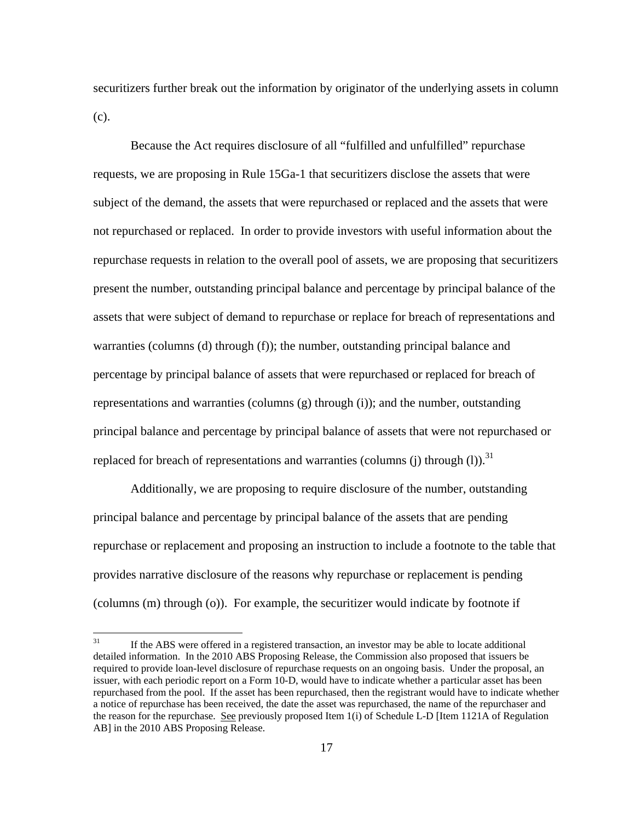securitizers further break out the information by originator of the underlying assets in column (c).

replaced for breach of representations and warranties (columns (j) through (l)).<sup>31</sup> Because the Act requires disclosure of all "fulfilled and unfulfilled" repurchase requests, we are proposing in Rule 15Ga-1 that securitizers disclose the assets that were subject of the demand, the assets that were repurchased or replaced and the assets that were not repurchased or replaced. In order to provide investors with useful information about the repurchase requests in relation to the overall pool of assets, we are proposing that securitizers present the number, outstanding principal balance and percentage by principal balance of the assets that were subject of demand to repurchase or replace for breach of representations and warranties (columns (d) through (f)); the number, outstanding principal balance and percentage by principal balance of assets that were repurchased or replaced for breach of representations and warranties (columns (g) through (i)); and the number, outstanding principal balance and percentage by principal balance of assets that were not repurchased or

Additionally, we are proposing to require disclosure of the number, outstanding principal balance and percentage by principal balance of the assets that are pending repurchase or replacement and proposing an instruction to include a footnote to the table that provides narrative disclosure of the reasons why repurchase or replacement is pending (columns (m) through (o)). For example, the securitizer would indicate by footnote if

 31 detailed information. In the 2010 ABS Proposing Release, the Commission also proposed that issuers be required to provide loan-level disclosure of repurchase requests on an ongoing basis. Under the proposal, an issuer, with each periodic report on a Form 10-D, would have to indicate whether a particular asset has been If the ABS were offered in a registered transaction, an investor may be able to locate additional repurchased from the pool. If the asset has been repurchased, then the registrant would have to indicate whether a notice of repurchase has been received, the date the asset was repurchased, the name of the repurchaser and the reason for the repurchase. See previously proposed Item 1(i) of Schedule L-D [Item 1121A of Regulation AB] in the 2010 ABS Proposing Release.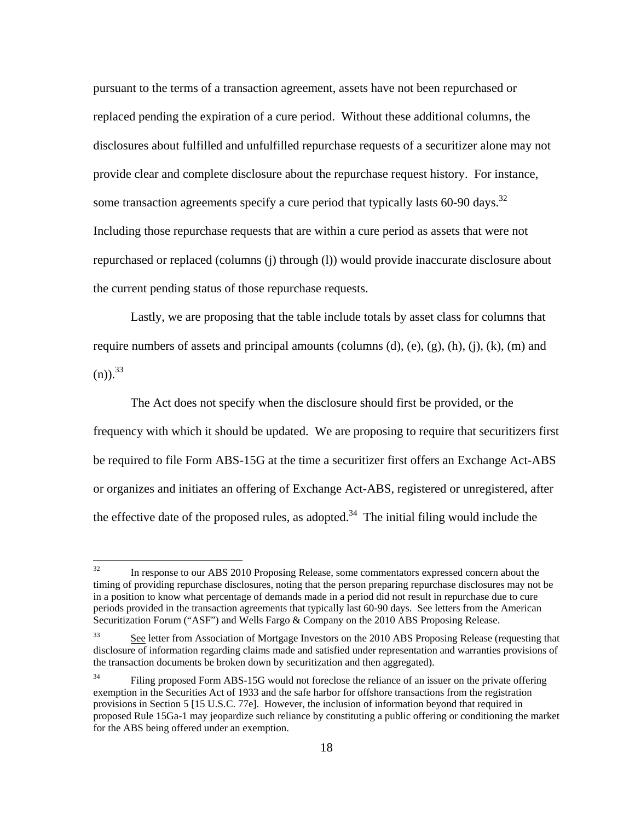some transaction agreements specify a cure period that typically lasts  $60-90$  days.<sup>32</sup> pursuant to the terms of a transaction agreement, assets have not been repurchased or replaced pending the expiration of a cure period. Without these additional columns, the disclosures about fulfilled and unfulfilled repurchase requests of a securitizer alone may not provide clear and complete disclosure about the repurchase request history. For instance, Including those repurchase requests that are within a cure period as assets that were not repurchased or replaced (columns (j) through (l)) would provide inaccurate disclosure about the current pending status of those repurchase requests.

 $(n)$ ).<sup>33</sup> Lastly, we are proposing that the table include totals by asset class for columns that require numbers of assets and principal amounts (columns  $(d)$ ,  $(e)$ ,  $(g)$ ,  $(h)$ ,  $(i)$ ,  $(k)$ ,  $(m)$  and

The Act does not specify when the disclosure should first be provided, or the frequency with which it should be updated. We are proposing to require that securitizers first be required to file Form ABS-15G at the time a securitizer first offers an Exchange Act-ABS or organizes and initiates an offering of Exchange Act-ABS, registered or unregistered, after the effective date of the proposed rules, as adopted.<sup>34</sup> The initial filing would include the

 timing of providing repurchase disclosures, noting that the person preparing repurchase disclosures may not be in a position to know what percentage of demands made in a period did not result in repurchase due to cure 32 In response to our ABS 2010 Proposing Release, some commentators expressed concern about the periods provided in the transaction agreements that typically last 60-90 days. See letters from the American Securitization Forum ("ASF") and Wells Fargo & Company on the 2010 ABS Proposing Release.

<sup>33</sup> See letter from Association of Mortgage Investors on the 2010 ABS Proposing Release (requesting that disclosure of information regarding claims made and satisfied under representation and warranties provisions of the transaction documents be broken down by securitization and then aggregated).

<sup>34</sup>  exemption in the Securities Act of 1933 and the safe harbor for offshore transactions from the registration for the ABS being offered under an exemption.<br>18 Filing proposed Form ABS-15G would not foreclose the reliance of an issuer on the private offering provisions in Section 5 [15 U.S.C. 77e]. However, the inclusion of information beyond that required in proposed Rule 15Ga-1 may jeopardize such reliance by constituting a public offering or conditioning the market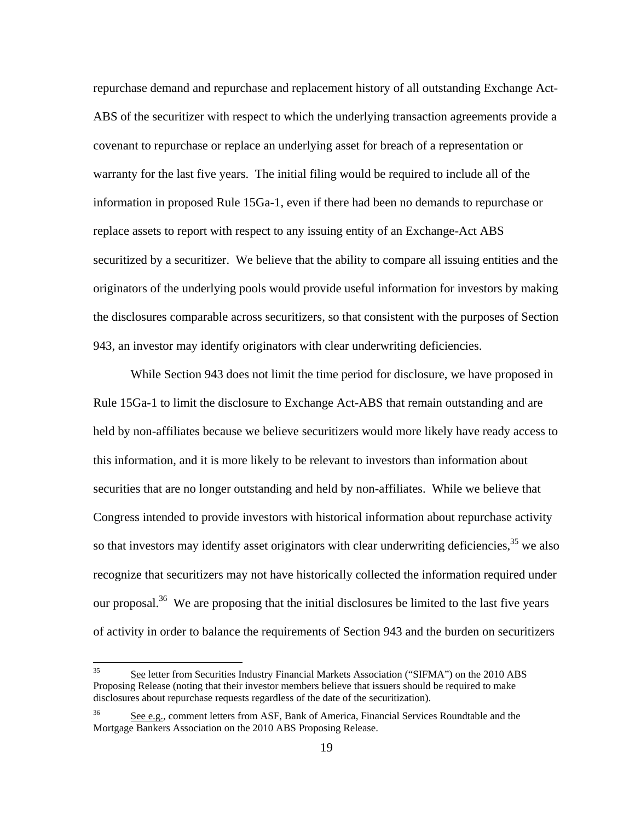repurchase demand and repurchase and replacement history of all outstanding Exchange Act-ABS of the securitizer with respect to which the underlying transaction agreements provide a covenant to repurchase or replace an underlying asset for breach of a representation or warranty for the last five years. The initial filing would be required to include all of the information in proposed Rule 15Ga-1, even if there had been no demands to repurchase or replace assets to report with respect to any issuing entity of an Exchange-Act ABS securitized by a securitizer. We believe that the ability to compare all issuing entities and the originators of the underlying pools would provide useful information for investors by making the disclosures comparable across securitizers, so that consistent with the purposes of Section 943, an investor may identify originators with clear underwriting deficiencies.

While Section 943 does not limit the time period for disclosure, we have proposed in Rule 15Ga-1 to limit the disclosure to Exchange Act-ABS that remain outstanding and are held by non-affiliates because we believe securitizers would more likely have ready access to this information, and it is more likely to be relevant to investors than information about securities that are no longer outstanding and held by non-affiliates. While we believe that Congress intended to provide investors with historical information about repurchase activity so that investors may identify asset originators with clear underwriting deficiencies,  $3<sup>35</sup>$  we also recognize that securitizers may not have historically collected the information required under our proposal.<sup>36</sup> We are proposing that the initial disclosures be limited to the last five years of activity in order to balance the requirements of Section 943 and the burden on securitizers

<sup>35</sup> See letter from Securities Industry Financial Markets Association ("SIFMA") on the 2010 ABS Proposing Release (noting that their investor members believe that issuers should be required to make disclosures about repurchase requests regardless of the date of the securitization).

<sup>36</sup> See e.g., comment letters from ASF, Bank of America, Financial Services Roundtable and the Mortgage Bankers Association on the 2010 ABS Proposing Release.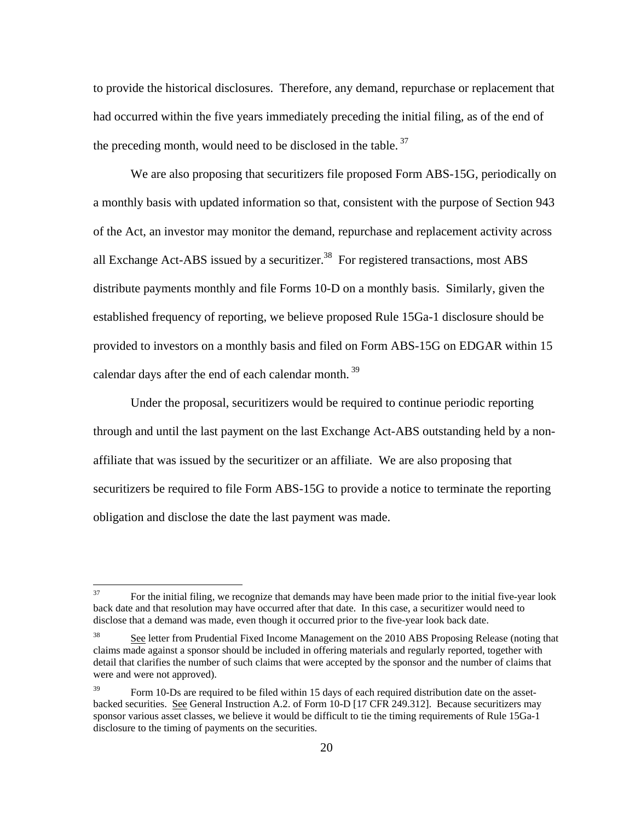to provide the historical disclosures. Therefore, any demand, repurchase or replacement that had occurred within the five years immediately preceding the initial filing, as of the end of the preceding month, would need to be disclosed in the table.  $37$ 

We are also proposing that securitizers file proposed Form ABS-15G, periodically on a monthly basis with updated information so that, consistent with the purpose of Section 943 of the Act, an investor may monitor the demand, repurchase and replacement activity across all Exchange Act-ABS issued by a securitizer.<sup>38</sup> For registered transactions, most ABS distribute payments monthly and file Forms 10-D on a monthly basis. Similarly, given the established frequency of reporting, we believe proposed Rule 15Ga-1 disclosure should be provided to investors on a monthly basis and filed on Form ABS-15G on EDGAR within 15 calendar days after the end of each calendar month.<sup>39</sup>

Under the proposal, securitizers would be required to continue periodic reporting through and until the last payment on the last Exchange Act-ABS outstanding held by a nonaffiliate that was issued by the securitizer or an affiliate. We are also proposing that securitizers be required to file Form ABS-15G to provide a notice to terminate the reporting obligation and disclose the date the last payment was made.

 back date and that resolution may have occurred after that date. In this case, a securitizer would need to disclose that a demand was made, even though it occurred prior to the five-year look back date. 37 For the initial filing, we recognize that demands may have been made prior to the initial five-year look

<sup>38</sup>  claims made against a sponsor should be included in offering materials and regularly reported, together with were and were not approved). See letter from Prudential Fixed Income Management on the 2010 ABS Proposing Release (noting that detail that clarifies the number of such claims that were accepted by the sponsor and the number of claims that

<sup>39</sup>  sponsor various asset classes, we believe it would be difficult to tie the timing requirements of Rule 15Ga-1 Form 10-Ds are required to be filed within 15 days of each required distribution date on the assetbacked securities. See General Instruction A.2. of Form 10-D [17 CFR 249.312]. Because securitizers may disclosure to the timing of payments on the securities.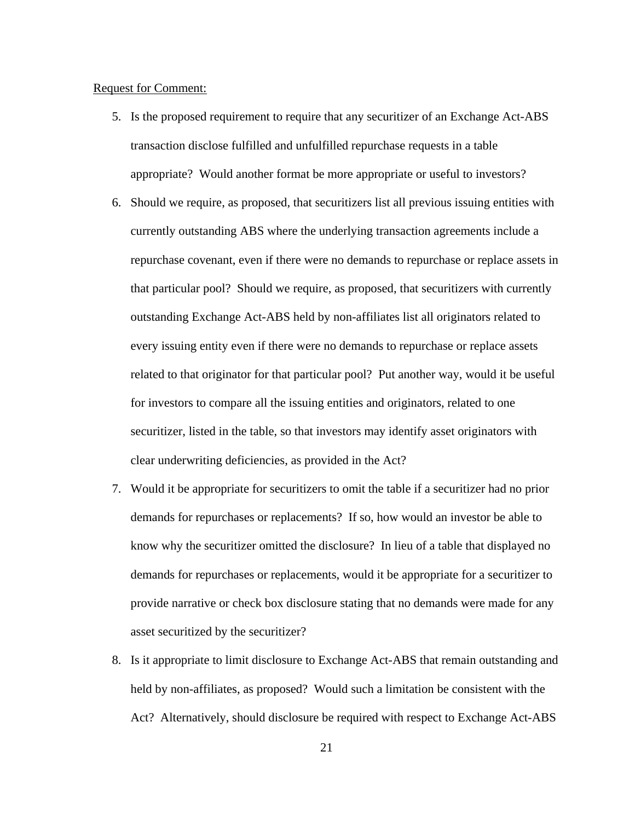#### Request for Comment:

- 5. Is the proposed requirement to require that any securitizer of an Exchange Act-ABS transaction disclose fulfilled and unfulfilled repurchase requests in a table appropriate? Would another format be more appropriate or useful to investors?
- clear underwriting deficiencies, as provided in the Act? 6. Should we require, as proposed, that securitizers list all previous issuing entities with currently outstanding ABS where the underlying transaction agreements include a repurchase covenant, even if there were no demands to repurchase or replace assets in that particular pool? Should we require, as proposed, that securitizers with currently outstanding Exchange Act-ABS held by non-affiliates list all originators related to every issuing entity even if there were no demands to repurchase or replace assets related to that originator for that particular pool? Put another way, would it be useful for investors to compare all the issuing entities and originators, related to one securitizer, listed in the table, so that investors may identify asset originators with
- 7. Would it be appropriate for securitizers to omit the table if a securitizer had no prior demands for repurchases or replacements? If so, how would an investor be able to know why the securitizer omitted the disclosure? In lieu of a table that displayed no demands for repurchases or replacements, would it be appropriate for a securitizer to provide narrative or check box disclosure stating that no demands were made for any asset securitized by the securitizer?
- 8. Is it appropriate to limit disclosure to Exchange Act-ABS that remain outstanding and held by non-affiliates, as proposed? Would such a limitation be consistent with the Act? Alternatively, should disclosure be required with respect to Exchange Act-ABS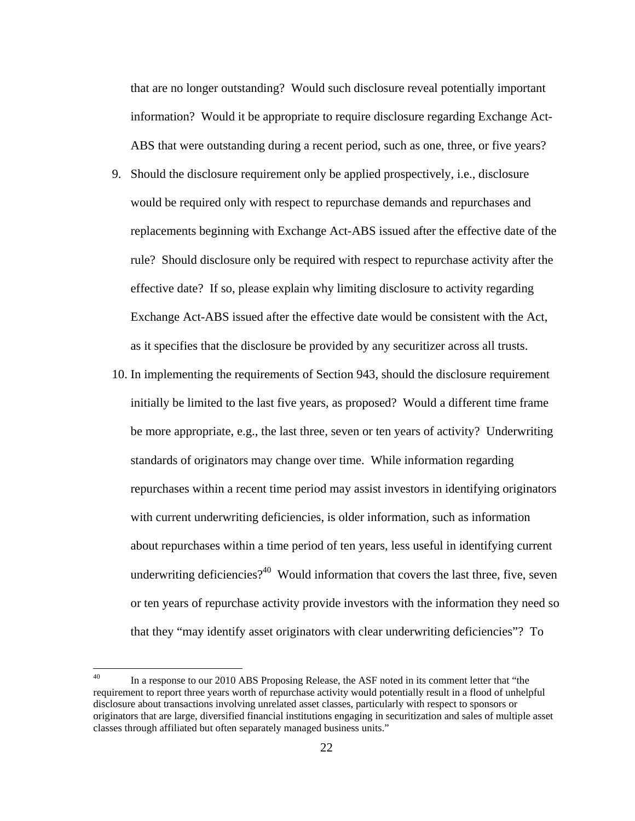that are no longer outstanding? Would such disclosure reveal potentially important information? Would it be appropriate to require disclosure regarding Exchange Act-ABS that were outstanding during a recent period, such as one, three, or five years?

- 9. Should the disclosure requirement only be applied prospectively, i.e., disclosure would be required only with respect to repurchase demands and repurchases and replacements beginning with Exchange Act-ABS issued after the effective date of the rule? Should disclosure only be required with respect to repurchase activity after the effective date? If so, please explain why limiting disclosure to activity regarding Exchange Act-ABS issued after the effective date would be consistent with the Act, as it specifies that the disclosure be provided by any securitizer across all trusts.
- 10. In implementing the requirements of Section 943, should the disclosure requirement initially be limited to the last five years, as proposed? Would a different time frame be more appropriate, e.g., the last three, seven or ten years of activity? Underwriting standards of originators may change over time. While information regarding repurchases within a recent time period may assist investors in identifying originators with current underwriting deficiencies, is older information, such as information about repurchases within a time period of ten years, less useful in identifying current underwriting deficiencies? $40$  Would information that covers the last three, five, seven or ten years of repurchase activity provide investors with the information they need so that they "may identify asset originators with clear underwriting deficiencies"? To

 40 requirement to report three years worth of repurchase activity would potentially result in a flood of unhelpful disclosure about transactions involving unrelated asset classes, particularly with respect to sponsors or In a response to our 2010 ABS Proposing Release, the ASF noted in its comment letter that "the originators that are large, diversified financial institutions engaging in securitization and sales of multiple asset classes through affiliated but often separately managed business units."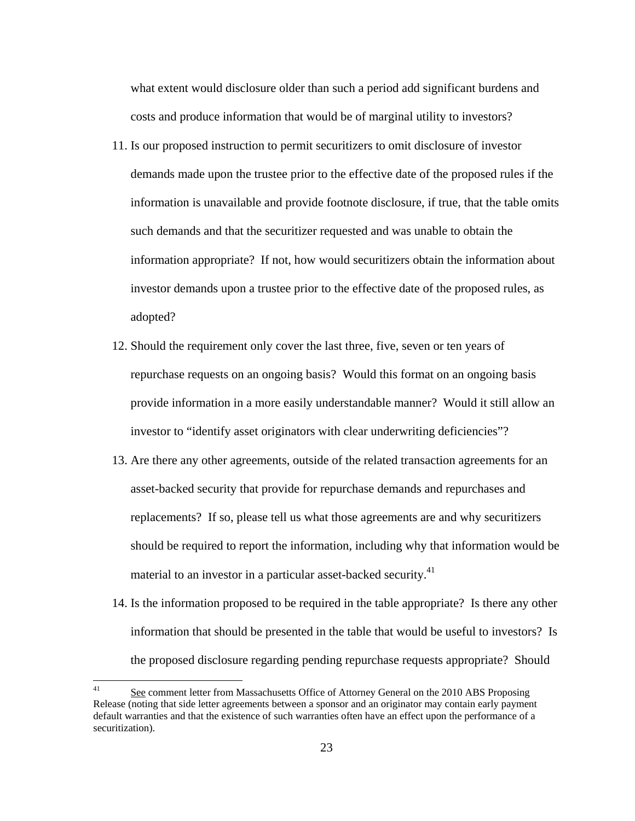what extent would disclosure older than such a period add significant burdens and costs and produce information that would be of marginal utility to investors?

- 11. Is our proposed instruction to permit securitizers to omit disclosure of investor demands made upon the trustee prior to the effective date of the proposed rules if the information is unavailable and provide footnote disclosure, if true, that the table omits such demands and that the securitizer requested and was unable to obtain the information appropriate? If not, how would securitizers obtain the information about investor demands upon a trustee prior to the effective date of the proposed rules, as adopted?
- 12. Should the requirement only cover the last three, five, seven or ten years of repurchase requests on an ongoing basis? Would this format on an ongoing basis provide information in a more easily understandable manner? Would it still allow an investor to "identify asset originators with clear underwriting deficiencies"?
- 13. Are there any other agreements, outside of the related transaction agreements for an asset-backed security that provide for repurchase demands and repurchases and replacements? If so, please tell us what those agreements are and why securitizers should be required to report the information, including why that information would be material to an investor in a particular asset-backed security.<sup>41</sup>
- 14. Is the information proposed to be required in the table appropriate? Is there any other information that should be presented in the table that would be useful to investors? Is the proposed disclosure regarding pending repurchase requests appropriate? Should

<u>.</u>

 41 default warranties and that the existence of such warranties often have an effect upon the performance of a See comment letter from Massachusetts Office of Attorney General on the 2010 ABS Proposing Release (noting that side letter agreements between a sponsor and an originator may contain early payment securitization).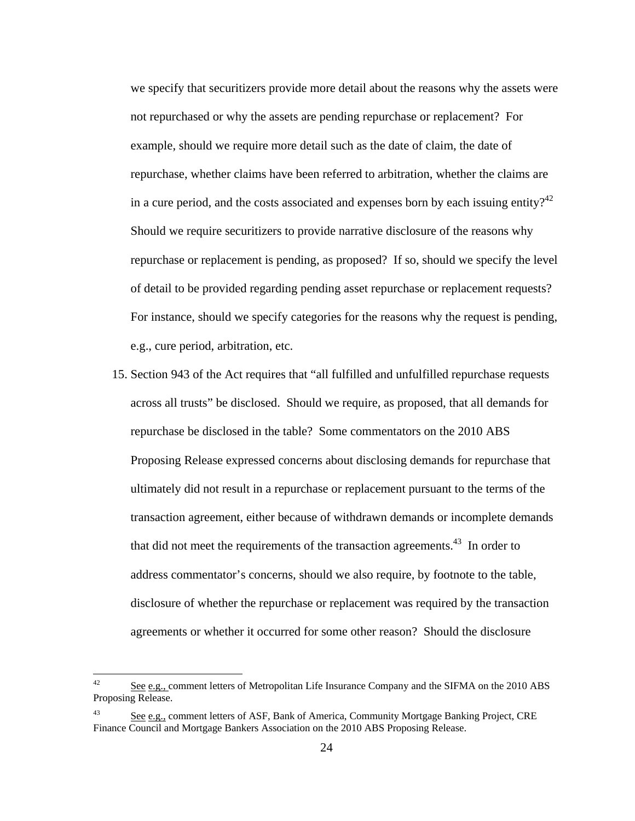in a cure period, and the costs associated and expenses born by each issuing entity?<sup>42</sup> of detail to be provided regarding pending asset repurchase or replacement requests? we specify that securitizers provide more detail about the reasons why the assets were not repurchased or why the assets are pending repurchase or replacement? For example, should we require more detail such as the date of claim, the date of repurchase, whether claims have been referred to arbitration, whether the claims are Should we require securitizers to provide narrative disclosure of the reasons why repurchase or replacement is pending, as proposed? If so, should we specify the level For instance, should we specify categories for the reasons why the request is pending, e.g., cure period, arbitration, etc.

15. Section 943 of the Act requires that "all fulfilled and unfulfilled repurchase requests across all trusts" be disclosed. Should we require, as proposed, that all demands for repurchase be disclosed in the table? Some commentators on the 2010 ABS Proposing Release expressed concerns about disclosing demands for repurchase that ultimately did not result in a repurchase or replacement pursuant to the terms of the transaction agreement, either because of withdrawn demands or incomplete demands that did not meet the requirements of the transaction agreements.<sup>43</sup> In order to address commentator's concerns, should we also require, by footnote to the table, disclosure of whether the repurchase or replacement was required by the transaction agreements or whether it occurred for some other reason? Should the disclosure

See e.g., comment letters of Metropolitan Life Insurance Company and the SIFMA on the 2010 ABS Proposing Release.

<sup>43</sup>  Finance Council and Mortgage Bankers Association on the 2010 ABS Proposing Release. 24 See e.g., comment letters of ASF, Bank of America, Community Mortgage Banking Project, CRE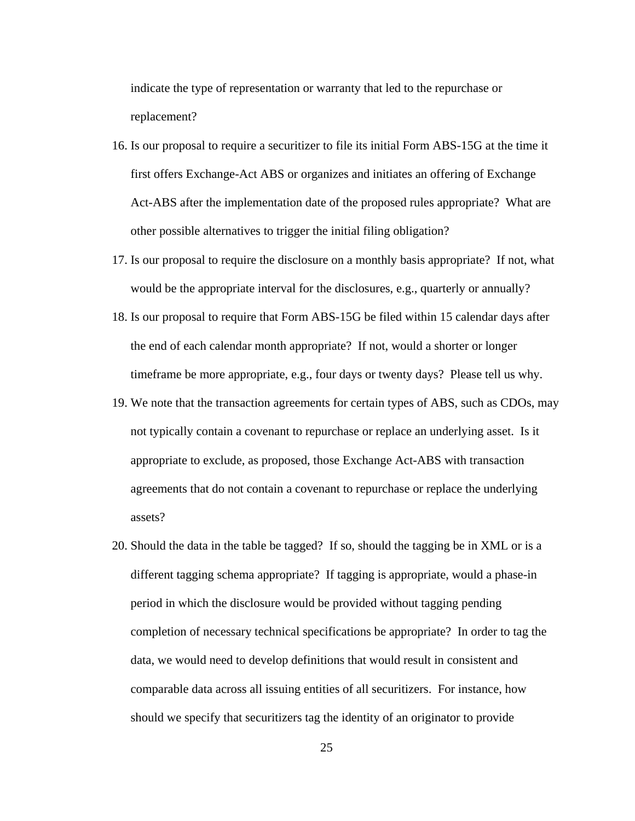indicate the type of representation or warranty that led to the repurchase or replacement?

- 16. Is our proposal to require a securitizer to file its initial Form ABS-15G at the time it first offers Exchange-Act ABS or organizes and initiates an offering of Exchange Act-ABS after the implementation date of the proposed rules appropriate? What are other possible alternatives to trigger the initial filing obligation?
- would be the appropriate interval for the disclosures, e.g., quarterly or annually? 17. Is our proposal to require the disclosure on a monthly basis appropriate? If not, what
- 18. Is our proposal to require that Form ABS-15G be filed within 15 calendar days after the end of each calendar month appropriate? If not, would a shorter or longer timeframe be more appropriate, e.g., four days or twenty days? Please tell us why.
- 19. We note that the transaction agreements for certain types of ABS, such as CDOs, may not typically contain a covenant to repurchase or replace an underlying asset. Is it appropriate to exclude, as proposed, those Exchange Act-ABS with transaction agreements that do not contain a covenant to repurchase or replace the underlying assets?
- completion of necessary technical specifications be appropriate? In order to tag the 20. Should the data in the table be tagged? If so, should the tagging be in XML or is a different tagging schema appropriate? If tagging is appropriate, would a phase-in period in which the disclosure would be provided without tagging pending data, we would need to develop definitions that would result in consistent and comparable data across all issuing entities of all securitizers. For instance, how should we specify that securitizers tag the identity of an originator to provide

25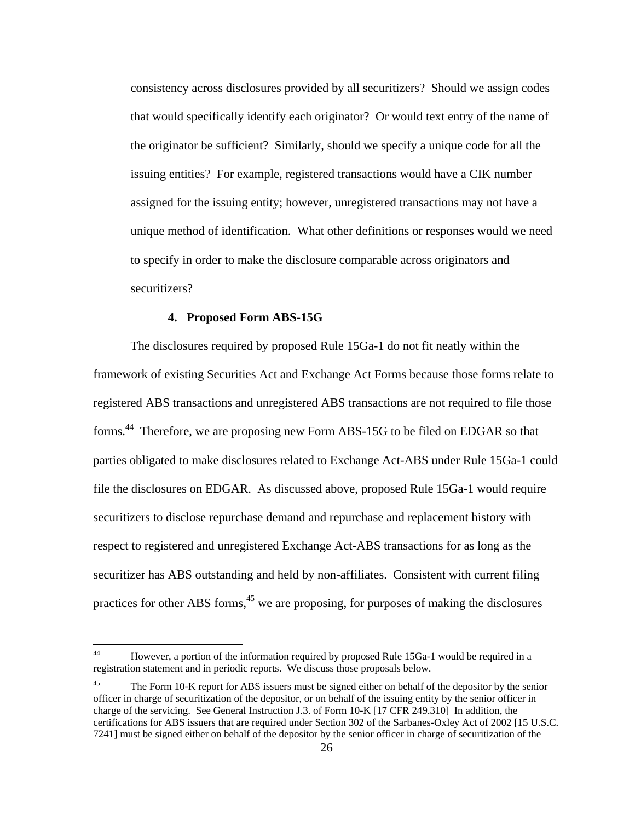securitizers? consistency across disclosures provided by all securitizers? Should we assign codes that would specifically identify each originator? Or would text entry of the name of the originator be sufficient? Similarly, should we specify a unique code for all the issuing entities? For example, registered transactions would have a CIK number assigned for the issuing entity; however, unregistered transactions may not have a unique method of identification. What other definitions or responses would we need to specify in order to make the disclosure comparable across originators and

#### **4. Proposed Form ABS-15G**

 $\overline{a}$ 

The disclosures required by proposed Rule 15Ga-1 do not fit neatly within the framework of existing Securities Act and Exchange Act Forms because those forms relate to registered ABS transactions and unregistered ABS transactions are not required to file those forms.<sup>44</sup> Therefore, we are proposing new Form ABS-15G to be filed on EDGAR so that parties obligated to make disclosures related to Exchange Act-ABS under Rule 15Ga-1 could file the disclosures on EDGAR. As discussed above, proposed Rule 15Ga-1 would require securitizers to disclose repurchase demand and repurchase and replacement history with respect to registered and unregistered Exchange Act-ABS transactions for as long as the securitizer has ABS outstanding and held by non-affiliates. Consistent with current filing practices for other ABS forms,<sup> $45$ </sup> we are proposing, for purposes of making the disclosures

<sup>44</sup> 44 However, a portion of the information required by proposed Rule 15Ga-1 would be required in a registration statement and in periodic reports. We discuss those proposals below.

<sup>45</sup>  officer in charge of securitization of the depositor, or on behalf of the issuing entity by the senior officer in charge of the servicing. See General Instruction J.3. of Form 10-K [17 CFR 249.310] In addition, the 7241] must be signed either on behalf of the depositor by the senior officer in charge of securitization of the The Form 10-K report for ABS issuers must be signed either on behalf of the depositor by the senior certifications for ABS issuers that are required under Section 302 of the Sarbanes-Oxley Act of 2002 [15 U.S.C.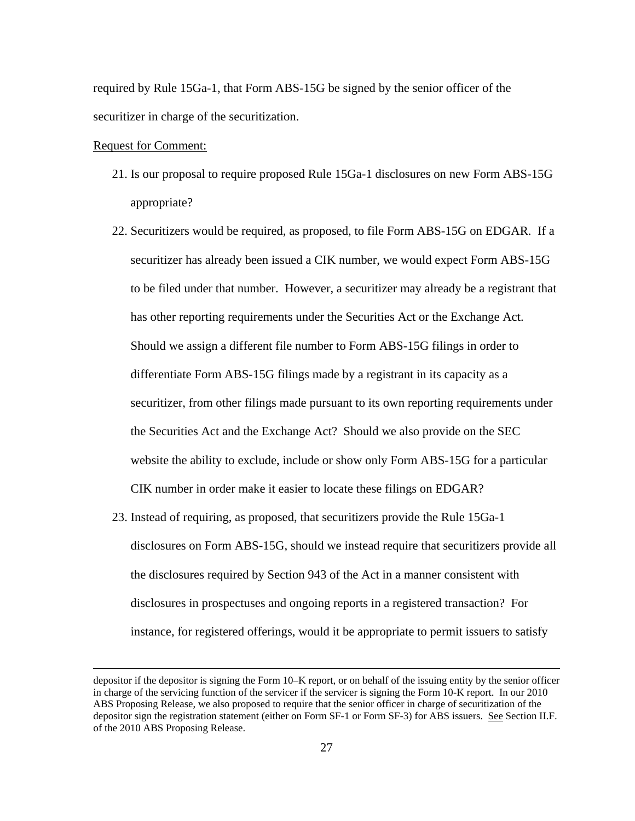required by Rule 15Ga-1, that Form ABS-15G be signed by the senior officer of the securitizer in charge of the securitization.

#### Request for Comment:

- 21. Is our proposal to require proposed Rule 15Ga-1 disclosures on new Form ABS-15G appropriate?
- CIK number in order make it easier to locate these filings on EDGAR? 22. Securitizers would be required, as proposed, to file Form ABS-15G on EDGAR. If a securitizer has already been issued a CIK number, we would expect Form ABS-15G to be filed under that number. However, a securitizer may already be a registrant that has other reporting requirements under the Securities Act or the Exchange Act. Should we assign a different file number to Form ABS-15G filings in order to differentiate Form ABS-15G filings made by a registrant in its capacity as a securitizer, from other filings made pursuant to its own reporting requirements under the Securities Act and the Exchange Act? Should we also provide on the SEC website the ability to exclude, include or show only Form ABS-15G for a particular
- 23. Instead of requiring, as proposed, that securitizers provide the Rule 15Ga-1 disclosures on Form ABS-15G, should we instead require that securitizers provide all the disclosures required by Section 943 of the Act in a manner consistent with disclosures in prospectuses and ongoing reports in a registered transaction? For instance, for registered offerings, would it be appropriate to permit issuers to satisfy

depositor if the depositor is signing the Form 10–K report, or on behalf of the issuing entity by the senior officer in charge of the servicing function of the servicer if the servicer is signing the Form 10-K report. In our 2010 ABS Proposing Release, we also proposed to require that the senior officer in charge of securitization of the depositor sign the registration statement (either on Form SF-1 or Form SF-3) for ABS issuers. See Section II.F. of the 2010 ABS Proposing Release.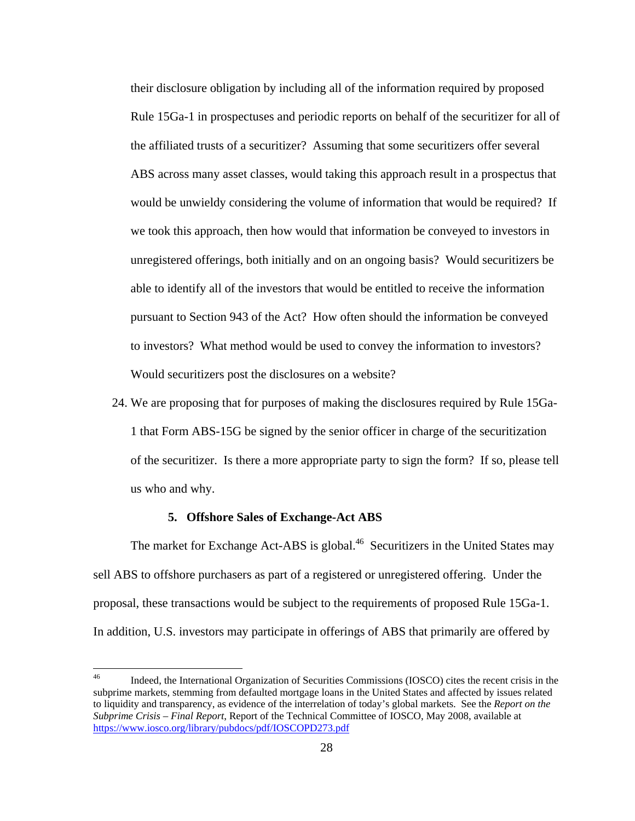their disclosure obligation by including all of the information required by proposed Rule 15Ga-1 in prospectuses and periodic reports on behalf of the securitizer for all of the affiliated trusts of a securitizer? Assuming that some securitizers offer several ABS across many asset classes, would taking this approach result in a prospectus that would be unwieldy considering the volume of information that would be required? If we took this approach, then how would that information be conveyed to investors in unregistered offerings, both initially and on an ongoing basis? Would securitizers be able to identify all of the investors that would be entitled to receive the information pursuant to Section 943 of the Act? How often should the information be conveyed to investors? What method would be used to convey the information to investors? Would securitizers post the disclosures on a website?

24. We are proposing that for purposes of making the disclosures required by Rule 15Ga-1 that Form ABS-15G be signed by the senior officer in charge of the securitization of the securitizer. Is there a more appropriate party to sign the form? If so, please tell us who and why.

#### **5. Offshore Sales of Exchange-Act ABS**

 $\overline{a}$ 

The market for Exchange Act-ABS is global.<sup>46</sup> Securitizers in the United States may sell ABS to offshore purchasers as part of a registered or unregistered offering. Under the proposal, these transactions would be subject to the requirements of proposed Rule 15Ga-1. In addition, U.S. investors may participate in offerings of ABS that primarily are offered by

 46 to liquidity and transparency, as evidence of the interrelation of today's global markets. See the *Report on the*  Indeed, the International Organization of Securities Commissions (IOSCO) cites the recent crisis in the subprime markets, stemming from defaulted mortgage loans in the United States and affected by issues related *Subprime Crisis – Final Report*, Report of the Technical Committee of IOSCO, May 2008, available at https://www.iosco.org/library/pubdocs/pdf/IOSCOPD273.pdf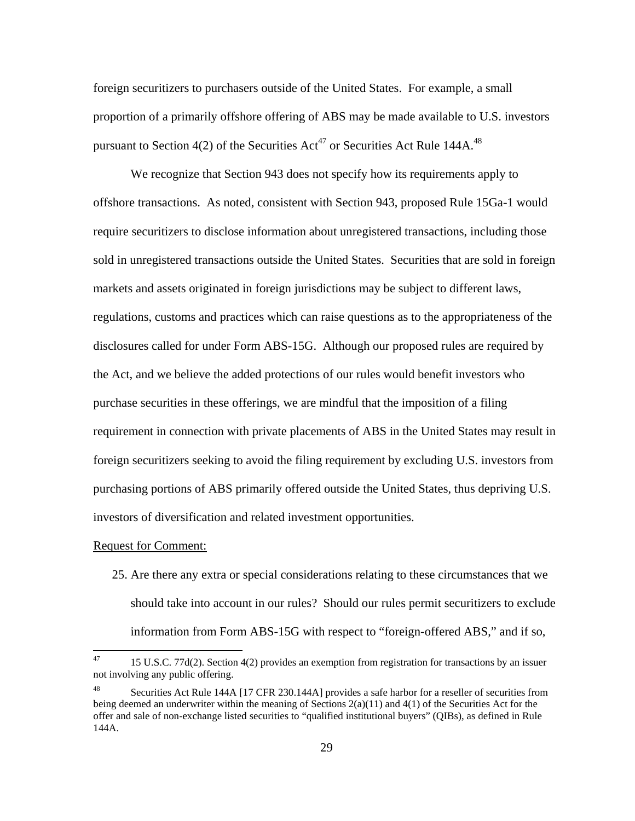foreign securitizers to purchasers outside of the United States. For example, a small proportion of a primarily offshore offering of ABS may be made available to U.S. investors pursuant to Section 4(2) of the Securities Act<sup>47</sup> or Securities Act Rule 144A.<sup>48</sup>

We recognize that Section 943 does not specify how its requirements apply to offshore transactions. As noted, consistent with Section 943, proposed Rule 15Ga-1 would require securitizers to disclose information about unregistered transactions, including those sold in unregistered transactions outside the United States. Securities that are sold in foreign markets and assets originated in foreign jurisdictions may be subject to different laws, regulations, customs and practices which can raise questions as to the appropriateness of the disclosures called for under Form ABS-15G. Although our proposed rules are required by the Act, and we believe the added protections of our rules would benefit investors who purchase securities in these offerings, we are mindful that the imposition of a filing requirement in connection with private placements of ABS in the United States may result in foreign securitizers seeking to avoid the filing requirement by excluding U.S. investors from purchasing portions of ABS primarily offered outside the United States, thus depriving U.S. investors of diversification and related investment opportunities.

#### **Request for Comment:**

 $\overline{a}$ 

25. Are there any extra or special considerations relating to these circumstances that we should take into account in our rules? Should our rules permit securitizers to exclude information from Form ABS-15G with respect to "foreign-offered ABS," and if so,

<sup>47 15</sup> U.S.C. 77d(2). Section 4(2) provides an exemption from registration for transactions by an issuer not involving any public offering.

Securities Act Rule 144A [17 CFR 230.144A] provides a safe harbor for a reseller of securities from being deemed an underwriter within the meaning of Sections  $2(a)(11)$  and  $4(1)$  of the Securities Act for the offer and sale of non-exchange listed securities to "qualified institutional buyers" (QIBs), as defined in Rule 144A.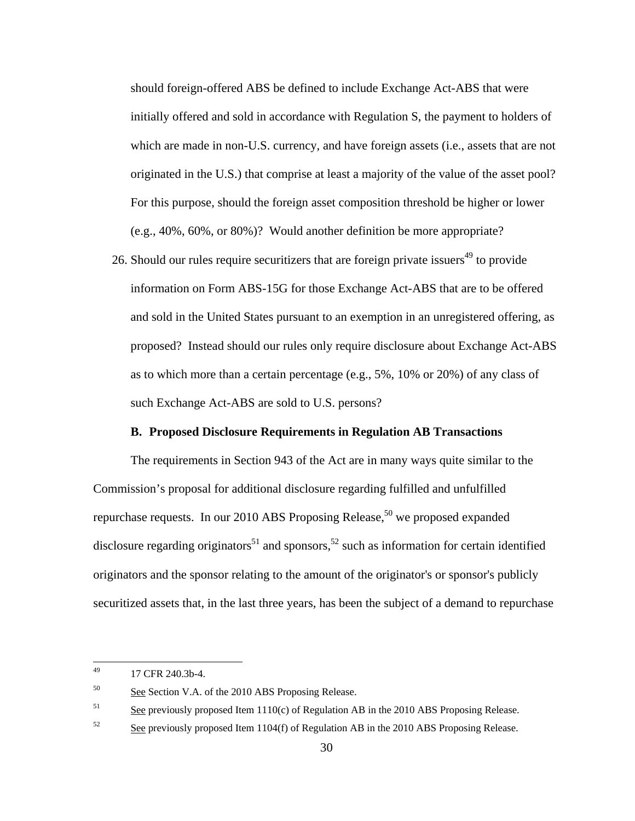should foreign-offered ABS be defined to include Exchange Act-ABS that were initially offered and sold in accordance with Regulation S, the payment to holders of which are made in non-U.S. currency, and have foreign assets (i.e., assets that are not originated in the U.S.) that comprise at least a majority of the value of the asset pool? For this purpose, should the foreign asset composition threshold be higher or lower (e.g., 40%, 60%, or 80%)? Would another definition be more appropriate?

26. Should our rules require securitizers that are foreign private issuers<sup>49</sup> to provide information on Form ABS-15G for those Exchange Act-ABS that are to be offered and sold in the United States pursuant to an exemption in an unregistered offering, as proposed? Instead should our rules only require disclosure about Exchange Act-ABS as to which more than a certain percentage (e.g., 5%, 10% or 20%) of any class of such Exchange Act-ABS are sold to U.S. persons?

#### **B. Proposed Disclosure Requirements in Regulation AB Transactions**

The requirements in Section 943 of the Act are in many ways quite similar to the Commission's proposal for additional disclosure regarding fulfilled and unfulfilled repurchase requests. In our 2010 ABS Proposing Release,<sup>50</sup> we proposed expanded disclosure regarding originators<sup>51</sup> and sponsors,<sup>52</sup> such as information for certain identified originators and the sponsor relating to the amount of the originator's or sponsor's publicly securitized assets that, in the last three years, has been the subject of a demand to repurchase

<sup>17</sup> CFR 240.3b-4.

<sup>50</sup> See Section V.A. of the 2010 ABS Proposing Release.

<sup>51</sup> See previously proposed Item 1110(c) of Regulation AB in the 2010 ABS Proposing Release.

<sup>52</sup> See previously proposed Item 1104(f) of Regulation AB in the 2010 ABS Proposing Release.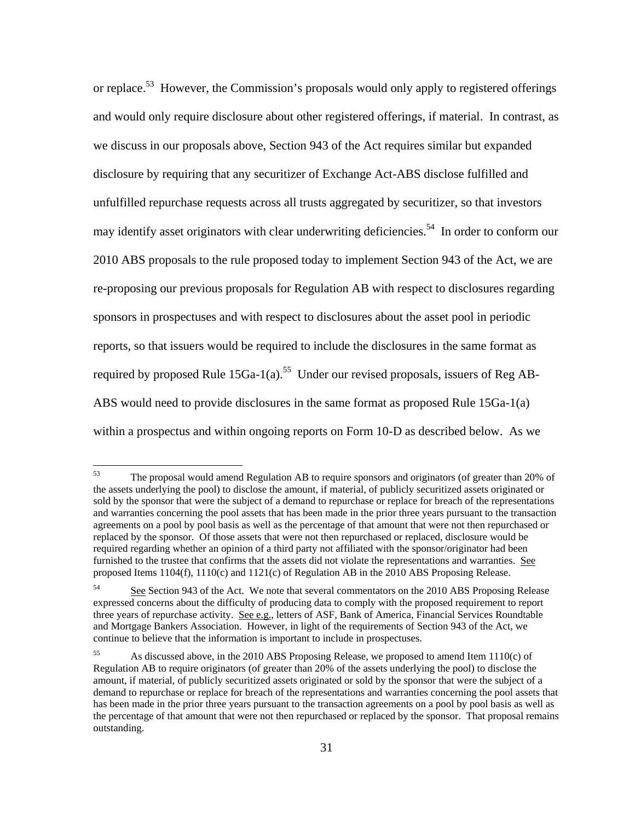or replace.<sup>53</sup> However, the Commission's proposals would only apply to registered offerings and would only require disclosure about other registered offerings, if material. In contrast, as we discuss in our proposals above, Section 943 of the Act requires similar but expanded disclosure by requiring that any securitizer of Exchange Act-ABS disclose fulfilled and unfulfilled repurchase requests across all trusts aggregated by securitizer, so that investors may identify asset originators with clear underwriting deficiencies.<sup>54</sup> In order to conform our 2010 ABS proposals to the rule proposed today to implement Section 943 of the Act, we are re-proposing our previous proposals for Regulation AB with respect to disclosures regarding sponsors in prospectuses and with respect to disclosures about the asset pool in periodic reports, so that issuers would be required to include the disclosures in the same format as required by proposed Rule  $15Ga-1(a)$ .<sup>55</sup> Under our revised proposals, issuers of Reg AB-ABS would need to provide disclosures in the same format as proposed Rule 15Ga-1(a) within a prospectus and within ongoing reports on Form 10-D as described below. As we

 agreements on a pool by pool basis as well as the percentage of that amount that were not then repurchased or required regarding whether an opinion of a third party not affiliated with the sponsor/originator had been furnished to the trustee that confirms that the assets did not violate the representations and warranties. See The proposal would amend Regulation AB to require sponsors and originators (of greater than 20% of the assets underlying the pool) to disclose the amount, if material, of publicly securitized assets originated or sold by the sponsor that were the subject of a demand to repurchase or replace for breach of the representations and warranties concerning the pool assets that has been made in the prior three years pursuant to the transaction replaced by the sponsor. Of those assets that were not then repurchased or replaced, disclosure would be proposed Items 1104(f), 1110(c) and 1121(c) of Regulation AB in the 2010 ABS Proposing Release.

<sup>54</sup> three years of repurchase activity. See e.g., letters of ASF, Bank of America, Financial Services Roundtable and Mortgage Bankers Association. However, in light of the requirements of Section 943 of the Act, we See Section 943 of the Act. We note that several commentators on the 2010 ABS Proposing Release expressed concerns about the difficulty of producing data to comply with the proposed requirement to report continue to believe that the information is important to include in prospectuses.

<sup>55</sup>  Regulation AB to require originators (of greater than 20% of the assets underlying the pool) to disclose the amount, if material, of publicly securitized assets originated or sold by the sponsor that were the subject of a has been made in the prior three years pursuant to the transaction agreements on a pool by pool basis as well as 55 As discussed above, in the 2010 ABS Proposing Release, we proposed to amend Item 1110(c) of demand to repurchase or replace for breach of the representations and warranties concerning the pool assets that the percentage of that amount that were not then repurchased or replaced by the sponsor. That proposal remains outstanding.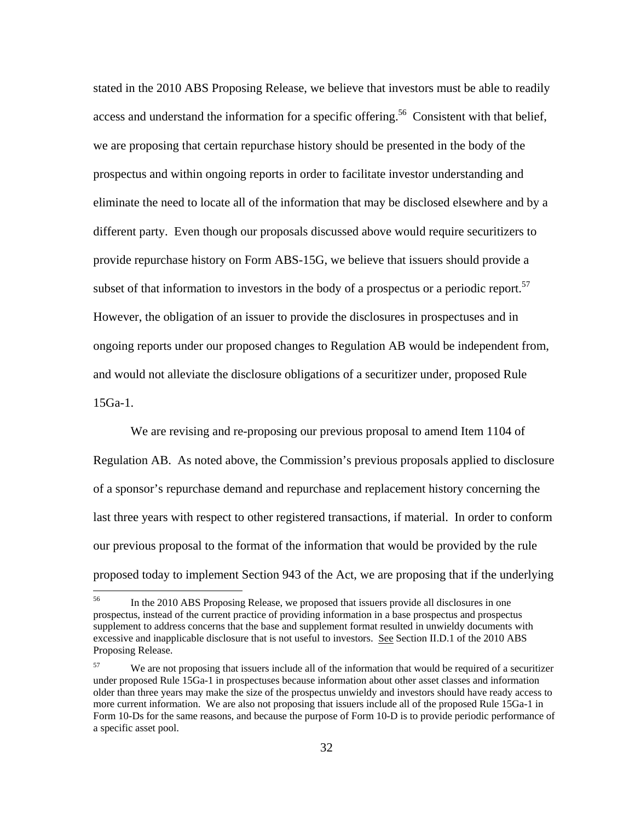subset of that information to investors in the body of a prospectus or a periodic report.<sup>57</sup> stated in the 2010 ABS Proposing Release, we believe that investors must be able to readily access and understand the information for a specific offering.<sup>56</sup> Consistent with that belief, we are proposing that certain repurchase history should be presented in the body of the prospectus and within ongoing reports in order to facilitate investor understanding and eliminate the need to locate all of the information that may be disclosed elsewhere and by a different party. Even though our proposals discussed above would require securitizers to provide repurchase history on Form ABS-15G, we believe that issuers should provide a However, the obligation of an issuer to provide the disclosures in prospectuses and in ongoing reports under our proposed changes to Regulation AB would be independent from, and would not alleviate the disclosure obligations of a securitizer under, proposed Rule 15Ga-1.

We are revising and re-proposing our previous proposal to amend Item 1104 of Regulation AB. As noted above, the Commission's previous proposals applied to disclosure of a sponsor's repurchase demand and repurchase and replacement history concerning the last three years with respect to other registered transactions, if material. In order to conform our previous proposal to the format of the information that would be provided by the rule proposed today to implement Section 943 of the Act, we are proposing that if the underlying

1

excessive and inapplicable disclosure that is not useful to investors. See Section II.D.1 of the 2010 ABS 56 In the 2010 ABS Proposing Release, we proposed that issuers provide all disclosures in one prospectus, instead of the current practice of providing information in a base prospectus and prospectus supplement to address concerns that the base and supplement format resulted in unwieldy documents with Proposing Release.

<sup>57</sup>  more current information. We are also not proposing that issuers include all of the proposed Rule 15Ga-1 in We are not proposing that issuers include all of the information that would be required of a securitizer under proposed Rule 15Ga-1 in prospectuses because information about other asset classes and information older than three years may make the size of the prospectus unwieldy and investors should have ready access to Form 10-Ds for the same reasons, and because the purpose of Form 10-D is to provide periodic performance of a specific asset pool.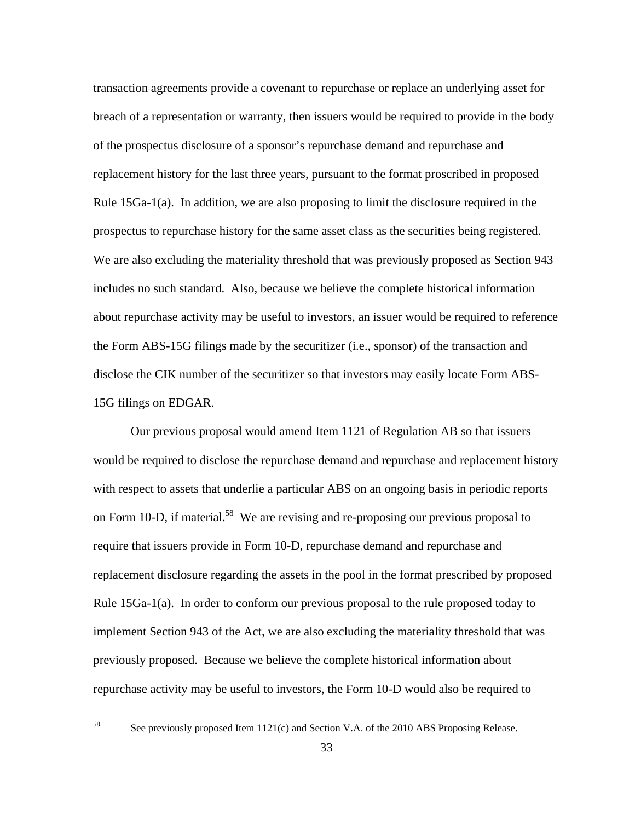transaction agreements provide a covenant to repurchase or replace an underlying asset for breach of a representation or warranty, then issuers would be required to provide in the body of the prospectus disclosure of a sponsor's repurchase demand and repurchase and replacement history for the last three years, pursuant to the format proscribed in proposed Rule 15Ga-1(a). In addition, we are also proposing to limit the disclosure required in the prospectus to repurchase history for the same asset class as the securities being registered. We are also excluding the materiality threshold that was previously proposed as Section 943 includes no such standard. Also, because we believe the complete historical information about repurchase activity may be useful to investors, an issuer would be required to reference the Form ABS-15G filings made by the securitizer (i.e., sponsor) of the transaction and disclose the CIK number of the securitizer so that investors may easily locate Form ABS-15G filings on EDGAR.

Our previous proposal would amend Item 1121 of Regulation AB so that issuers would be required to disclose the repurchase demand and repurchase and replacement history with respect to assets that underlie a particular ABS on an ongoing basis in periodic reports on Form 10-D, if material.<sup>58</sup> We are revising and re-proposing our previous proposal to require that issuers provide in Form 10-D, repurchase demand and repurchase and replacement disclosure regarding the assets in the pool in the format prescribed by proposed Rule 15Ga-1(a). In order to conform our previous proposal to the rule proposed today to implement Section 943 of the Act, we are also excluding the materiality threshold that was previously proposed. Because we believe the complete historical information about repurchase activity may be useful to investors, the Form 10-D would also be required to

See previously proposed Item 1121(c) and Section V.A. of the 2010 ABS Proposing Release.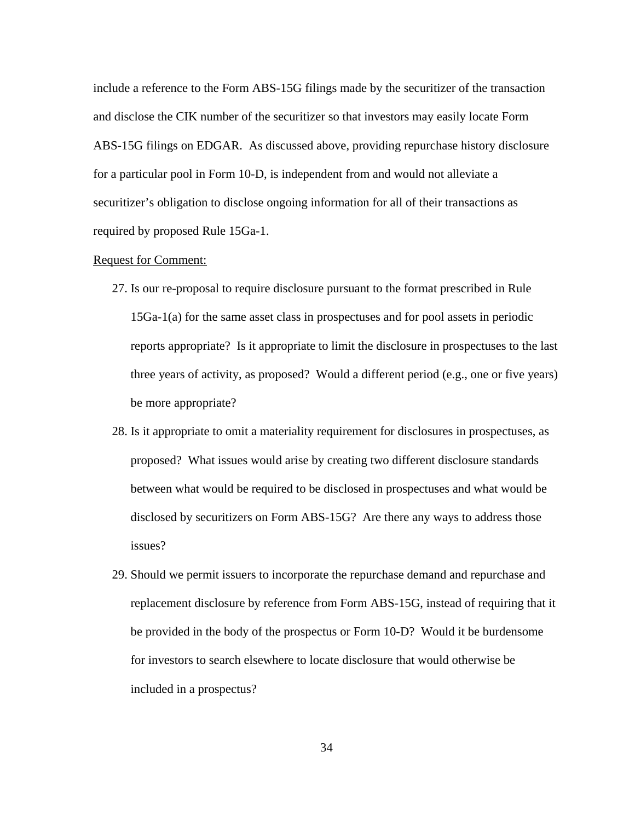include a reference to the Form ABS-15G filings made by the securitizer of the transaction and disclose the CIK number of the securitizer so that investors may easily locate Form ABS-15G filings on EDGAR. As discussed above, providing repurchase history disclosure for a particular pool in Form 10-D, is independent from and would not alleviate a securitizer's obligation to disclose ongoing information for all of their transactions as required by proposed Rule 15Ga-1.

# **Request for Comment:**

- 27. Is our re-proposal to require disclosure pursuant to the format prescribed in Rule 15Ga-1(a) for the same asset class in prospectuses and for pool assets in periodic reports appropriate? Is it appropriate to limit the disclosure in prospectuses to the last three years of activity, as proposed? Would a different period (e.g., one or five years) be more appropriate?
- 28. Is it appropriate to omit a materiality requirement for disclosures in prospectuses, as proposed? What issues would arise by creating two different disclosure standards between what would be required to be disclosed in prospectuses and what would be disclosed by securitizers on Form ABS-15G? Are there any ways to address those issues?
- 29. Should we permit issuers to incorporate the repurchase demand and repurchase and replacement disclosure by reference from Form ABS-15G, instead of requiring that it be provided in the body of the prospectus or Form 10-D? Would it be burdensome for investors to search elsewhere to locate disclosure that would otherwise be included in a prospectus?

34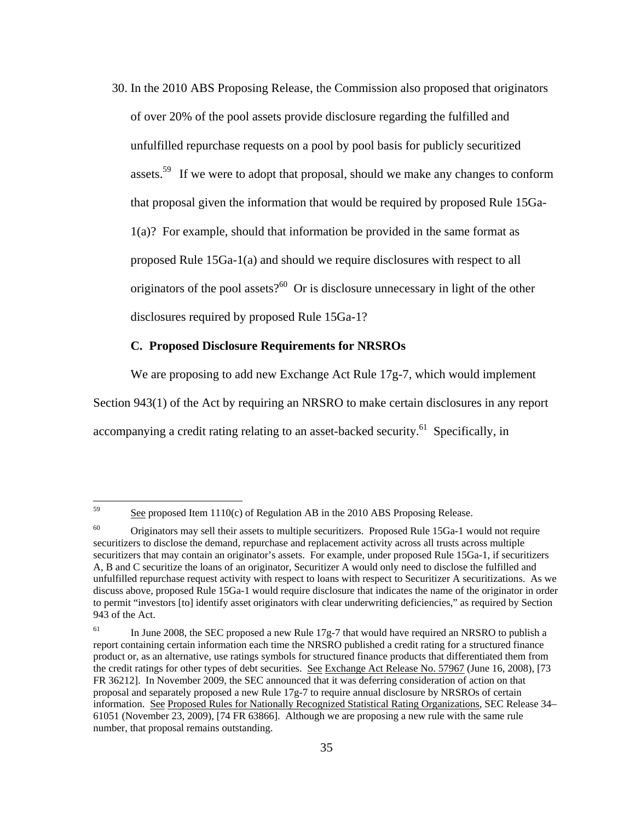30. In the 2010 ABS Proposing Release, the Commission also proposed that originators of over 20% of the pool assets provide disclosure regarding the fulfilled and unfulfilled repurchase requests on a pool by pool basis for publicly securitized assets.<sup>59</sup> If we were to adopt that proposal, should we make any changes to conform that proposal given the information that would be required by proposed Rule 15Ga-1(a)? For example, should that information be provided in the same format as proposed Rule 15Ga-1(a) and should we require disclosures with respect to all originators of the pool assets?<sup>60</sup> Or is disclosure unnecessary in light of the other disclosures required by proposed Rule 15Ga-1?

## **C. Proposed Disclosure Requirements for NRSROs**

We are proposing to add new Exchange Act Rule 17g-7, which would implement

Section 943(1) of the Act by requiring an NRSRO to make certain disclosures in any report

accompanying a credit rating relating to an asset-backed security.<sup>61</sup> Specifically, in

See proposed Item 1110(c) of Regulation AB in the 2010 ABS Proposing Release.

<sup>60</sup>  discuss above, proposed Rule 15Ga-1 would require disclosure that indicates the name of the originator in order 60 Originators may sell their assets to multiple securitizers. Proposed Rule 15Ga-1 would not require securitizers to disclose the demand, repurchase and replacement activity across all trusts across multiple securitizers that may contain an originator's assets. For example, under proposed Rule 15Ga-1, if securitizers A, B and C securitize the loans of an originator, Securitizer A would only need to disclose the fulfilled and unfulfilled repurchase request activity with respect to loans with respect to Securitizer A securitizations. As we to permit "investors [to] identify asset originators with clear underwriting deficiencies," as required by Section 943 of the Act.

 report containing certain information each time the NRSRO published a credit rating for a structured finance product or, as an alternative, use ratings symbols for structured finance products that differentiated them from FR 36212]. In November 2009, the SEC announced that it was deferring consideration of action on that 61051 (November 23, 2009), [74 FR 63866]. Although we are proposing a new rule with the same rule In June 2008, the SEC proposed a new Rule 17g-7 that would have required an NRSRO to publish a the credit ratings for other types of debt securities. See Exchange Act Release No. 57967 (June 16, 2008), [73 proposal and separately proposed a new Rule 17g-7 to require annual disclosure by NRSROs of certain information. See Proposed Rules for Nationally Recognized Statistical Rating Organizations, SEC Release 34– number, that proposal remains outstanding.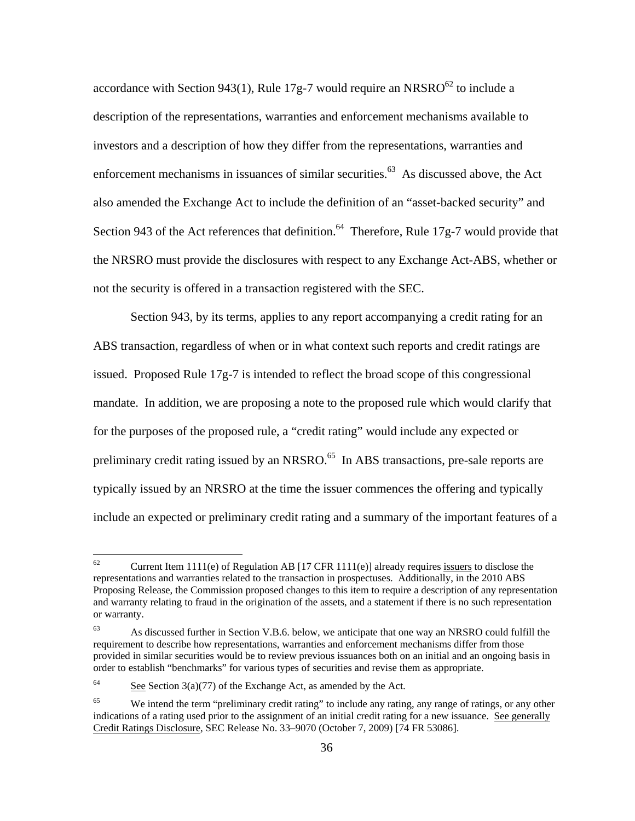accordance with Section 943(1), Rule 17g-7 would require an NRSRO $^{62}$  to include a description of the representations, warranties and enforcement mechanisms available to investors and a description of how they differ from the representations, warranties and enforcement mechanisms in issuances of similar securities.<sup>63</sup> As discussed above, the Act also amended the Exchange Act to include the definition of an "asset-backed security" and Section 943 of the Act references that definition.<sup>64</sup> Therefore, Rule 17g-7 would provide that the NRSRO must provide the disclosures with respect to any Exchange Act-ABS, whether or not the security is offered in a transaction registered with the SEC.

Section 943, by its terms, applies to any report accompanying a credit rating for an ABS transaction, regardless of when or in what context such reports and credit ratings are issued. Proposed Rule 17g-7 is intended to reflect the broad scope of this congressional mandate. In addition, we are proposing a note to the proposed rule which would clarify that for the purposes of the proposed rule, a "credit rating" would include any expected or preliminary credit rating issued by an NRSRO.<sup>65</sup> In ABS transactions, pre-sale reports are typically issued by an NRSRO at the time the issuer commences the offering and typically include an expected or preliminary credit rating and a summary of the important features of a

<sup>62</sup> Current Item 1111(e) of Regulation AB [17 CFR 1111(e)] already requires issuers to disclose the representations and warranties related to the transaction in prospectuses. Additionally, in the 2010 ABS Proposing Release, the Commission proposed changes to this item to require a description of any representation and warranty relating to fraud in the origination of the assets, and a statement if there is no such representation or warranty.

<sup>63</sup> As discussed further in Section V.B.6. below, we anticipate that one way an NRSRO could fulfill the requirement to describe how representations, warranties and enforcement mechanisms differ from those provided in similar securities would be to review previous issuances both on an initial and an ongoing basis in order to establish "benchmarks" for various types of securities and revise them as appropriate.

<sup>64</sup> See Section  $3(a)(77)$  of the Exchange Act, as amended by the Act.

<sup>65</sup> indications of a rating used prior to the assignment of an initial credit rating for a new issuance. See generally Credit Ratings Disclosure, SEC Release No. 33–9070 (October 7, 2009) [74 FR 53086]. We intend the term "preliminary credit rating" to include any rating, any range of ratings, or any other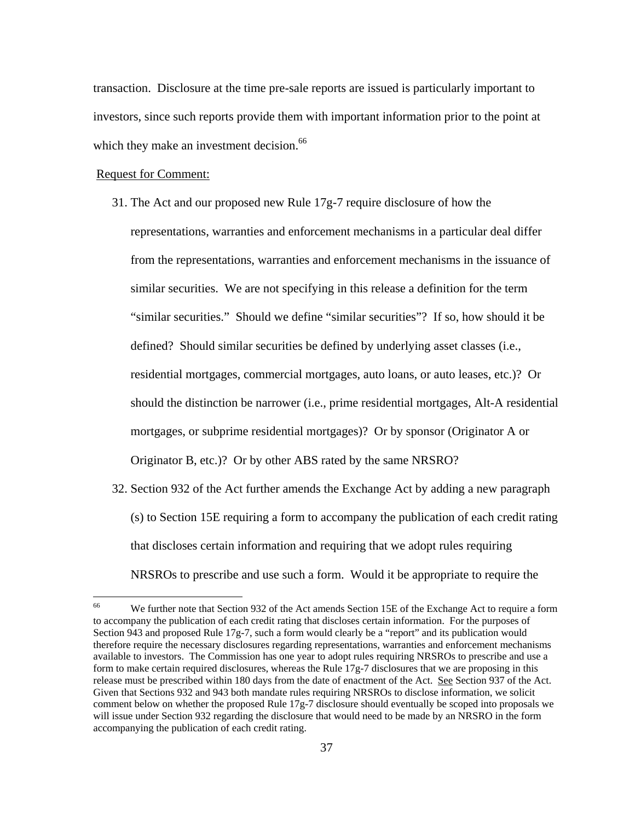which they make an investment decision.<sup>66</sup> transaction. Disclosure at the time pre-sale reports are issued is particularly important to investors, since such reports provide them with important information prior to the point at

#### Request for Comment:

1

- 31. The Act and our proposed new Rule 17g-7 require disclosure of how the representations, warranties and enforcement mechanisms in a particular deal differ from the representations, warranties and enforcement mechanisms in the issuance of similar securities. We are not specifying in this release a definition for the term "similar securities." Should we define "similar securities"? If so, how should it be defined? Should similar securities be defined by underlying asset classes (i.e., residential mortgages, commercial mortgages, auto loans, or auto leases, etc.)? Or should the distinction be narrower (i.e., prime residential mortgages, Alt-A residential mortgages, or subprime residential mortgages)? Or by sponsor (Originator A or Originator B, etc.)? Or by other ABS rated by the same NRSRO?
- 32. Section 932 of the Act further amends the Exchange Act by adding a new paragraph (s) to Section 15E requiring a form to accompany the publication of each credit rating that discloses certain information and requiring that we adopt rules requiring NRSROs to prescribe and use such a form. Would it be appropriate to require the

 66 form to make certain required disclosures, whereas the Rule 17g-7 disclosures that we are proposing in this comment below on whether the proposed Rule 17g-7 disclosure should eventually be scoped into proposals we will issue under Section 932 regarding the disclosure that would need to be made by an NRSRO in the form We further note that Section 932 of the Act amends Section 15E of the Exchange Act to require a form to accompany the publication of each credit rating that discloses certain information. For the purposes of Section 943 and proposed Rule 17g-7, such a form would clearly be a "report" and its publication would therefore require the necessary disclosures regarding representations, warranties and enforcement mechanisms available to investors. The Commission has one year to adopt rules requiring NRSROs to prescribe and use a release must be prescribed within 180 days from the date of enactment of the Act. See Section 937 of the Act. Given that Sections 932 and 943 both mandate rules requiring NRSROs to disclose information, we solicit accompanying the publication of each credit rating.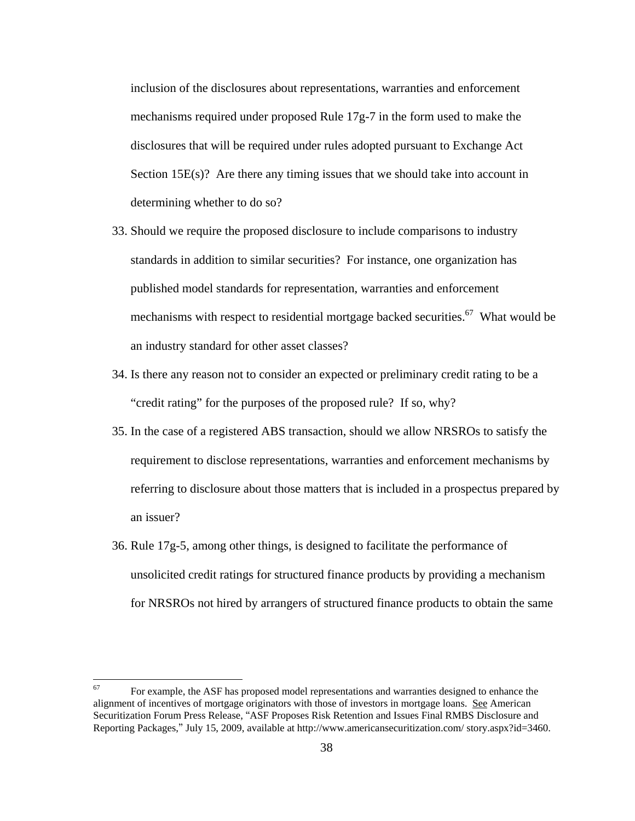inclusion of the disclosures about representations, warranties and enforcement mechanisms required under proposed Rule  $17g-7$  in the form used to make the disclosures that will be required under rules adopted pursuant to Exchange Act Section 15E(s)? Are there any timing issues that we should take into account in determining whether to do so?

- 33. Should we require the proposed disclosure to include comparisons to industry standards in addition to similar securities? For instance, one organization has published model standards for representation, warranties and enforcement mechanisms with respect to residential mortgage backed securities.<sup>67</sup> What would be an industry standard for other asset classes?
- 34. Is there any reason not to consider an expected or preliminary credit rating to be a "credit rating" for the purposes of the proposed rule? If so, why?
- 35. In the case of a registered ABS transaction, should we allow NRSROs to satisfy the requirement to disclose representations, warranties and enforcement mechanisms by referring to disclosure about those matters that is included in a prospectus prepared by an issuer?
- 36. Rule 17g-5, among other things, is designed to facilitate the performance of unsolicited credit ratings for structured finance products by providing a mechanism for NRSROs not hired by arrangers of structured finance products to obtain the same

1

 67 For example, the ASF has proposed model representations and warranties designed to enhance the alignment of incentives of mortgage originators with those of investors in mortgage loans. See American Securitization Forum Press Release, ''ASF Proposes Risk Retention and Issues Final RMBS Disclosure and Reporting Packages,'' July 15, 2009, available at http://www.americansecuritization.com/ story.aspx?id=3460.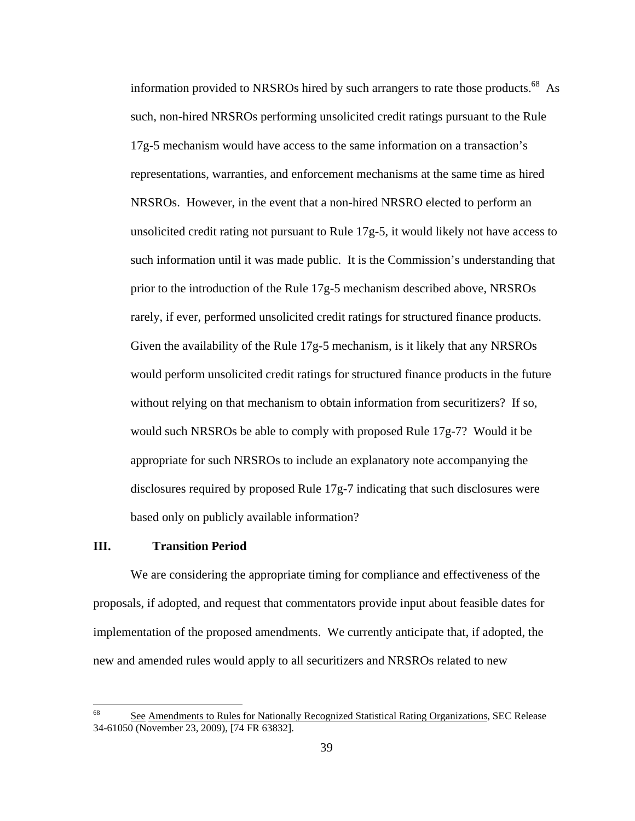information provided to NRSROs hired by such arrangers to rate those products.<sup>68</sup> As such, non-hired NRSROs performing unsolicited credit ratings pursuant to the Rule 17g-5 mechanism would have access to the same information on a transaction's representations, warranties, and enforcement mechanisms at the same time as hired NRSROs. However, in the event that a non-hired NRSRO elected to perform an unsolicited credit rating not pursuant to Rule 17g-5, it would likely not have access to such information until it was made public. It is the Commission's understanding that prior to the introduction of the Rule 17g-5 mechanism described above, NRSROs rarely, if ever, performed unsolicited credit ratings for structured finance products. Given the availability of the Rule 17g-5 mechanism, is it likely that any NRSROs would perform unsolicited credit ratings for structured finance products in the future without relying on that mechanism to obtain information from securitizers? If so, would such NRSROs be able to comply with proposed Rule  $17g-7$ ? Would it be appropriate for such NRSROs to include an explanatory note accompanying the disclosures required by proposed Rule 17g-7 indicating that such disclosures were based only on publicly available information?

# **III. Transition Period**

 $\overline{a}$ 

We are considering the appropriate timing for compliance and effectiveness of the proposals, if adopted, and request that commentators provide input about feasible dates for implementation of the proposed amendments. We currently anticipate that, if adopted, the new and amended rules would apply to all securitizers and NRSROs related to new

 68 See Amendments to Rules for Nationally Recognized Statistical Rating Organizations, SEC Release 34-61050 (November 23, 2009), [74 FR 63832].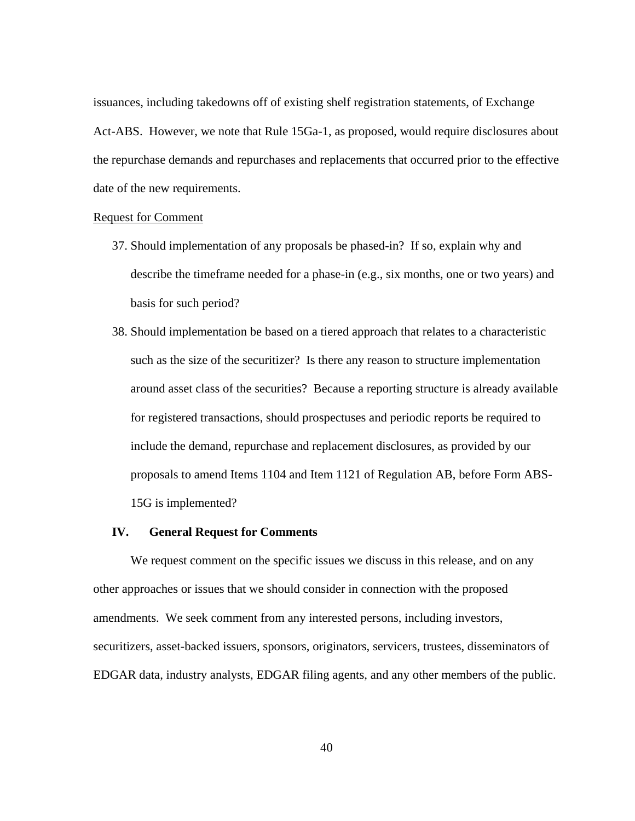issuances, including takedowns off of existing shelf registration statements, of Exchange Act-ABS. However, we note that Rule 15Ga-1, as proposed, would require disclosures about the repurchase demands and repurchases and replacements that occurred prior to the effective date of the new requirements.

### Request for Comment

- 37. Should implementation of any proposals be phased-in? If so, explain why and describe the timeframe needed for a phase-in (e.g., six months, one or two years) and basis for such period?
- 15G is implemented? 38. Should implementation be based on a tiered approach that relates to a characteristic such as the size of the securitizer? Is there any reason to structure implementation around asset class of the securities? Because a reporting structure is already available for registered transactions, should prospectuses and periodic reports be required to include the demand, repurchase and replacement disclosures, as provided by our proposals to amend Items 1104 and Item 1121 of Regulation AB, before Form ABS-

### **IV. General Request for Comments**

We request comment on the specific issues we discuss in this release, and on any other approaches or issues that we should consider in connection with the proposed amendments. We seek comment from any interested persons, including investors, securitizers, asset-backed issuers, sponsors, originators, servicers, trustees, disseminators of EDGAR data, industry analysts, EDGAR filing agents, and any other members of the public.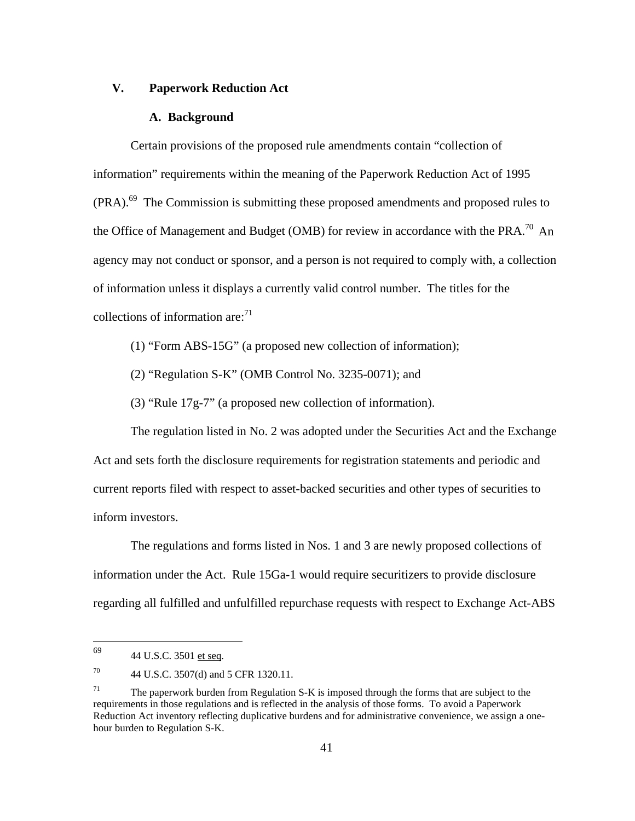### **V. Paperwork Reduction Act**

#### **A. Background**

Certain provisions of the proposed rule amendments contain "collection of information" requirements within the meaning of the Paperwork Reduction Act of 1995 (PRA).69 The Commission is submitting these proposed amendments and proposed rules to the Office of Management and Budget (OMB) for review in accordance with the PRA.<sup>70</sup> An agency may not conduct or sponsor, and a person is not required to comply with, a collection of information unless it displays a currently valid control number. The titles for the collections of information are: $71$ 

- (1) "Form ABS-15G" (a proposed new collection of information);
- (2) "Regulation S-K" (OMB Control No. 3235-0071); and

(3) "Rule 17g-7" (a proposed new collection of information).

The regulation listed in No. 2 was adopted under the Securities Act and the Exchange Act and sets forth the disclosure requirements for registration statements and periodic and current reports filed with respect to asset-backed securities and other types of securities to inform investors.

The regulations and forms listed in Nos. 1 and 3 are newly proposed collections of information under the Act. Rule 15Ga-1 would require securitizers to provide disclosure regarding all fulfilled and unfulfilled repurchase requests with respect to Exchange Act-ABS

<sup>44</sup> U.S.C. 3501 et seq.

<sup>70</sup> 44 U.S.C. 3507(d) and 5 CFR 1320.11.

<sup>71</sup> 71 The paperwork burden from Regulation S-K is imposed through the forms that are subject to the requirements in those regulations and is reflected in the analysis of those forms. To avoid a Paperwork Reduction Act inventory reflecting duplicative burdens and for administrative convenience, we assign a onehour burden to Regulation S-K.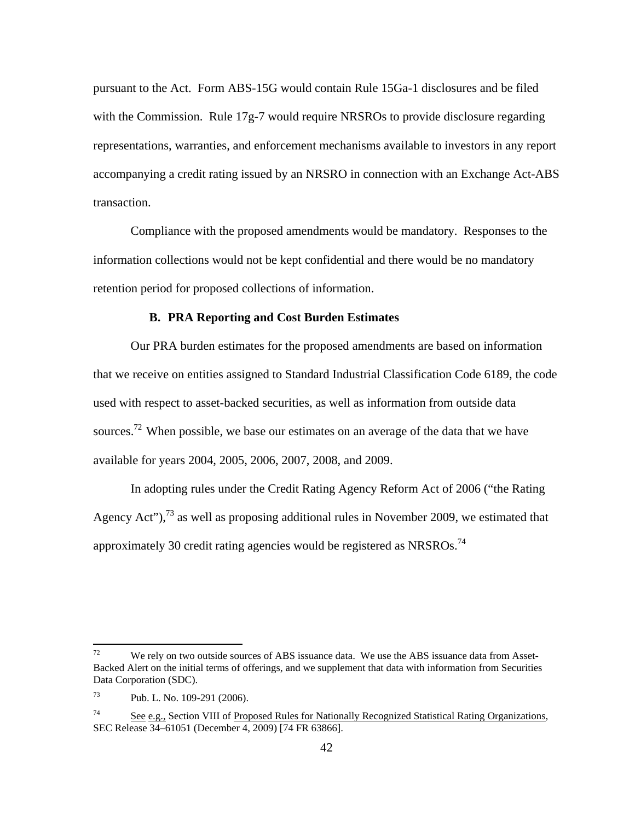pursuant to the Act. Form ABS-15G would contain Rule 15Ga-1 disclosures and be filed with the Commission. Rule 17g-7 would require NRSROs to provide disclosure regarding representations, warranties, and enforcement mechanisms available to investors in any report accompanying a credit rating issued by an NRSRO in connection with an Exchange Act-ABS transaction.

Compliance with the proposed amendments would be mandatory. Responses to the information collections would not be kept confidential and there would be no mandatory retention period for proposed collections of information.

#### **B. PRA Reporting and Cost Burden Estimates**

Our PRA burden estimates for the proposed amendments are based on information that we receive on entities assigned to Standard Industrial Classification Code 6189, the code used with respect to asset-backed securities, as well as information from outside data sources.<sup>72</sup> When possible, we base our estimates on an average of the data that we have available for years 2004, 2005, 2006, 2007, 2008, and 2009.

approximately 30 credit rating agencies would be registered as NRSROs.<sup>74</sup> In adopting rules under the Credit Rating Agency Reform Act of 2006 ("the Rating Agency Act"),  $^{73}$  as well as proposing additional rules in November 2009, we estimated that

We rely on two outside sources of ABS issuance data. We use the ABS issuance data from Asset-Backed Alert on the initial terms of offerings, and we supplement that data with information from Securities Data Corporation (SDC).

<sup>73</sup> Pub. L. No. 109-291 (2006).

<sup>74</sup> See e.g., Section VIII of Proposed Rules for Nationally Recognized Statistical Rating Organizations, SEC Release 34–61051 (December 4, 2009) [74 FR 63866].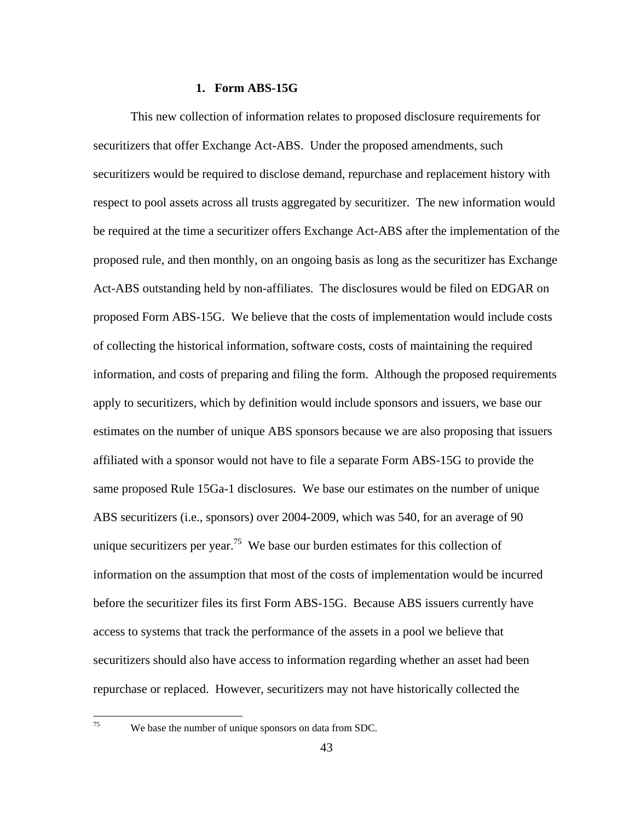### **1. Form ABS-15G**

This new collection of information relates to proposed disclosure requirements for securitizers that offer Exchange Act-ABS. Under the proposed amendments, such securitizers would be required to disclose demand, repurchase and replacement history with respect to pool assets across all trusts aggregated by securitizer. The new information would be required at the time a securitizer offers Exchange Act-ABS after the implementation of the proposed rule, and then monthly, on an ongoing basis as long as the securitizer has Exchange Act-ABS outstanding held by non-affiliates. The disclosures would be filed on EDGAR on proposed Form ABS-15G. We believe that the costs of implementation would include costs of collecting the historical information, software costs, costs of maintaining the required information, and costs of preparing and filing the form. Although the proposed requirements apply to securitizers, which by definition would include sponsors and issuers, we base our estimates on the number of unique ABS sponsors because we are also proposing that issuers affiliated with a sponsor would not have to file a separate Form ABS-15G to provide the same proposed Rule 15Ga-1 disclosures. We base our estimates on the number of unique ABS securitizers (i.e., sponsors) over 2004-2009, which was 540, for an average of 90 unique securitizers per year.<sup>75</sup> We base our burden estimates for this collection of information on the assumption that most of the costs of implementation would be incurred before the securitizer files its first Form ABS-15G. Because ABS issuers currently have access to systems that track the performance of the assets in a pool we believe that securitizers should also have access to information regarding whether an asset had been repurchase or replaced. However, securitizers may not have historically collected the

<u>.</u> 75

We base the number of unique sponsors on data from SDC.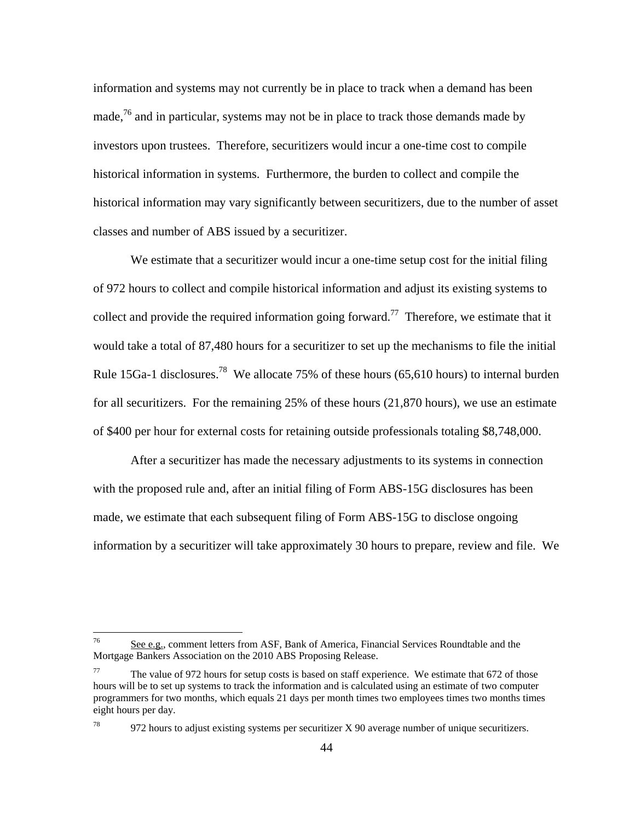information and systems may not currently be in place to track when a demand has been made,  $^{76}$  and in particular, systems may not be in place to track those demands made by investors upon trustees. Therefore, securitizers would incur a one-time cost to compile historical information in systems. Furthermore, the burden to collect and compile the historical information may vary significantly between securitizers, due to the number of asset classes and number of ABS issued by a securitizer.

We estimate that a securitizer would incur a one-time setup cost for the initial filing of 972 hours to collect and compile historical information and adjust its existing systems to collect and provide the required information going forward.<sup>77</sup> Therefore, we estimate that it would take a total of 87,480 hours for a securitizer to set up the mechanisms to file the initial Rule 15Ga-1 disclosures.78 We allocate 75% of these hours (65,610 hours) to internal burden for all securitizers. For the remaining 25% of these hours (21,870 hours), we use an estimate of \$400 per hour for external costs for retaining outside professionals totaling \$8,748,000.

After a securitizer has made the necessary adjustments to its systems in connection with the proposed rule and, after an initial filing of Form ABS-15G disclosures has been made, we estimate that each subsequent filing of Form ABS-15G to disclose ongoing information by a securitizer will take approximately 30 hours to prepare, review and file. We

See e.g., comment letters from ASF, Bank of America, Financial Services Roundtable and the Mortgage Bankers Association on the 2010 ABS Proposing Release.

<sup>77</sup>  eight hours per day. The value of 972 hours for setup costs is based on staff experience. We estimate that 672 of those hours will be to set up systems to track the information and is calculated using an estimate of two computer programmers for two months, which equals 21 days per month times two employees times two months times

<sup>78</sup> 78 972 hours to adjust existing systems per securitizer X 90 average number of unique securitizers.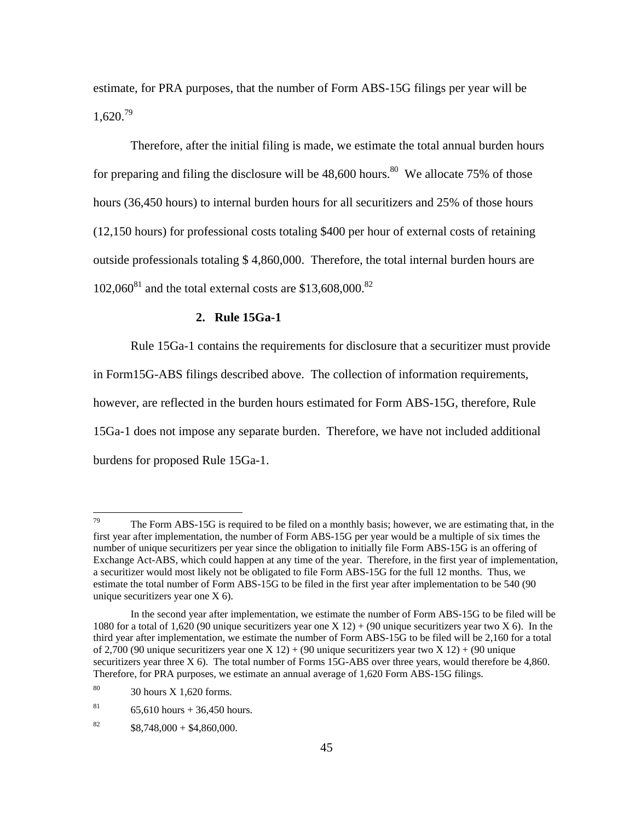$1,620.<sup>79</sup>$ estimate, for PRA purposes, that the number of Form ABS-15G filings per year will be

Therefore, after the initial filing is made, we estimate the total annual burden hours for preparing and filing the disclosure will be  $48,600$  hours.<sup>80</sup> We allocate 75% of those hours (36,450 hours) to internal burden hours for all securitizers and 25% of those hours (12,150 hours) for professional costs totaling \$400 per hour of external costs of retaining outside professionals totaling \$ 4,860,000. Therefore, the total internal burden hours are  $102,060^{81}$  and the total external costs are \$13,608,000.<sup>82</sup>

#### **2. Rule 15Ga-1**

Rule 15Ga-1 contains the requirements for disclosure that a securitizer must provide in Form15G-ABS filings described above. The collection of information requirements, however, are reflected in the burden hours estimated for Form ABS-15G, therefore, Rule 15Ga-1 does not impose any separate burden. Therefore, we have not included additional burdens for proposed Rule 15Ga-1.

 79 a securitizer would most likely not be obligated to file Form ABS-15G for the full 12 months. Thus, we estimate the total number of Form ABS-15G to be filed in the first year after implementation to be 540 (90 The Form ABS-15G is required to be filed on a monthly basis; however, we are estimating that, in the first year after implementation, the number of Form ABS-15G per year would be a multiple of six times the number of unique securitizers per year since the obligation to initially file Form ABS-15G is an offering of Exchange Act-ABS, which could happen at any time of the year. Therefore, in the first year of implementation, unique securitizers year one X 6).

 In the second year after implementation, we estimate the number of Form ABS-15G to be filed will be 1080 for a total of 1,620 (90 unique securitizers year one X 12) + (90 unique securitizers year two X 6). In the of 2,700 (90 unique securitizers year one X 12) + (90 unique securitizers year two X 12) + (90 unique securitizers year three X 6). The total number of Forms 15G-ABS over three years, would therefore be 4,860. Therefore, for PRA purposes, we estimate an annual average of 1,620 Form ABS-15G filings.  $30$  hours X 1,620 form Therefore, for PRA purposes, we estimate an annual average of 1,620 Form ABS-15G filings. third year after implementation, we estimate the number of Form ABS-15G to be filed will be 2,160 for a total

<sup>80</sup> 

<sup>81</sup>  $65,610$  hours + 36,450 hours.

<sup>82</sup>  $$8,748,000 + $4,860,000.$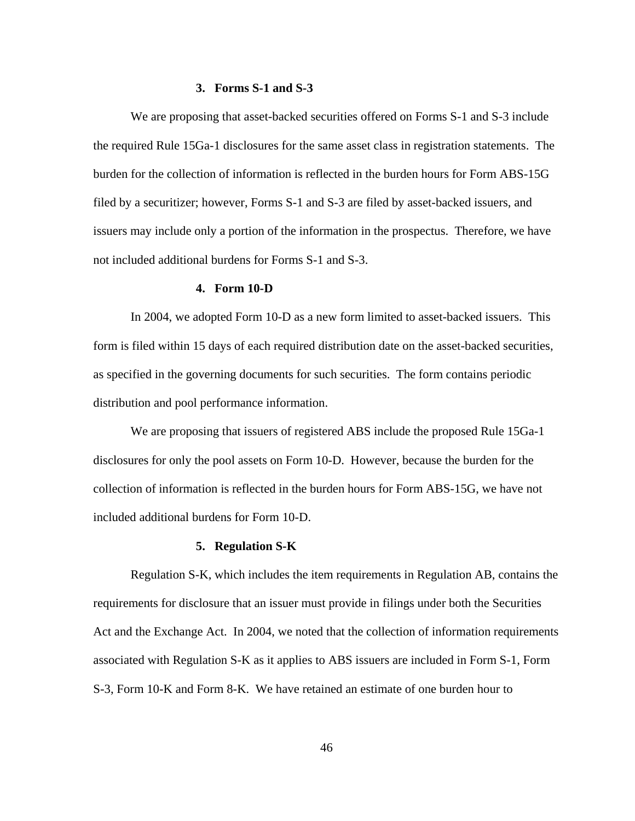#### **3. Forms S-1 and S-3**

We are proposing that asset-backed securities offered on Forms S-1 and S-3 include the required Rule 15Ga-1 disclosures for the same asset class in registration statements. The burden for the collection of information is reflected in the burden hours for Form ABS-15G filed by a securitizer; however, Forms S-1 and S-3 are filed by asset-backed issuers, and issuers may include only a portion of the information in the prospectus. Therefore, we have not included additional burdens for Forms S-1 and S-3.

#### **4. Form 10-D**

In 2004, we adopted Form 10-D as a new form limited to asset-backed issuers. This form is filed within 15 days of each required distribution date on the asset-backed securities, as specified in the governing documents for such securities. The form contains periodic distribution and pool performance information.

We are proposing that issuers of registered ABS include the proposed Rule 15Ga-1 disclosures for only the pool assets on Form 10-D. However, because the burden for the collection of information is reflected in the burden hours for Form ABS-15G, we have not included additional burdens for Form 10-D.

# **5. Regulation S-K**

Regulation S-K, which includes the item requirements in Regulation AB, contains the requirements for disclosure that an issuer must provide in filings under both the Securities Act and the Exchange Act. In 2004, we noted that the collection of information requirements associated with Regulation S-K as it applies to ABS issuers are included in Form S-1, Form S-3, Form 10-K and Form 8-K. We have retained an estimate of one burden hour to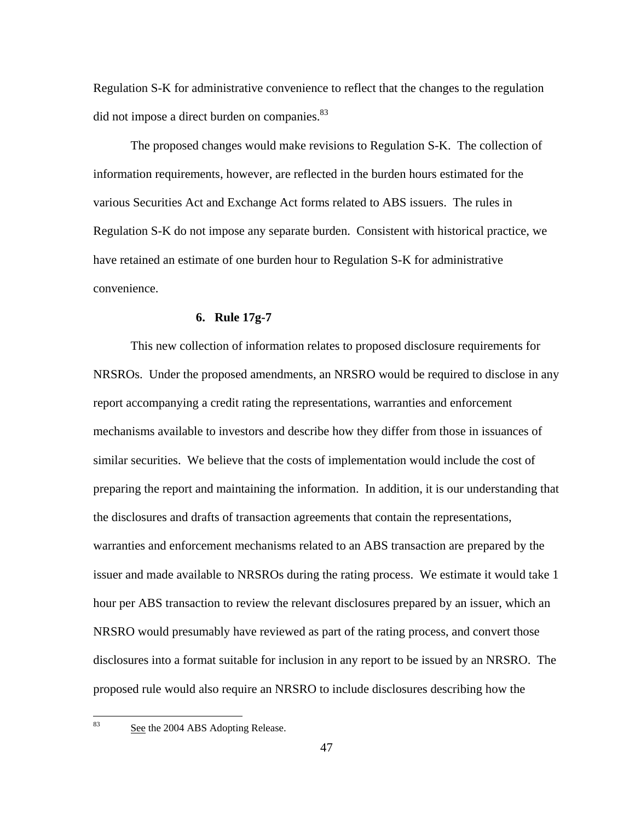did not impose a direct burden on companies.<sup>83</sup> Regulation S-K for administrative convenience to reflect that the changes to the regulation

The proposed changes would make revisions to Regulation S-K. The collection of information requirements, however, are reflected in the burden hours estimated for the various Securities Act and Exchange Act forms related to ABS issuers. The rules in Regulation S-K do not impose any separate burden. Consistent with historical practice, we have retained an estimate of one burden hour to Regulation S-K for administrative convenience.

#### **6. Rule 17g-7**

This new collection of information relates to proposed disclosure requirements for NRSROs. Under the proposed amendments, an NRSRO would be required to disclose in any report accompanying a credit rating the representations, warranties and enforcement mechanisms available to investors and describe how they differ from those in issuances of similar securities. We believe that the costs of implementation would include the cost of preparing the report and maintaining the information. In addition, it is our understanding that the disclosures and drafts of transaction agreements that contain the representations, warranties and enforcement mechanisms related to an ABS transaction are prepared by the issuer and made available to NRSROs during the rating process. We estimate it would take 1 hour per ABS transaction to review the relevant disclosures prepared by an issuer, which an NRSRO would presumably have reviewed as part of the rating process, and convert those disclosures into a format suitable for inclusion in any report to be issued by an NRSRO. The proposed rule would also require an NRSRO to include disclosures describing how the

<u>.</u> 83

See the 2004 ABS Adopting Release.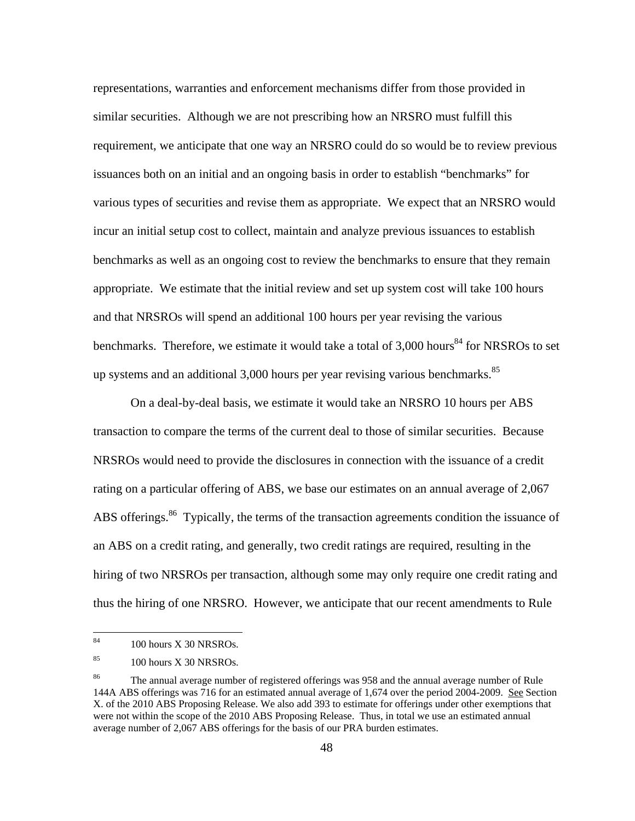representations, warranties and enforcement mechanisms differ from those provided in similar securities. Although we are not prescribing how an NRSRO must fulfill this requirement, we anticipate that one way an NRSRO could do so would be to review previous issuances both on an initial and an ongoing basis in order to establish "benchmarks" for various types of securities and revise them as appropriate. We expect that an NRSRO would incur an initial setup cost to collect, maintain and analyze previous issuances to establish benchmarks as well as an ongoing cost to review the benchmarks to ensure that they remain appropriate. We estimate that the initial review and set up system cost will take 100 hours and that NRSROs will spend an additional 100 hours per year revising the various benchmarks. Therefore, we estimate it would take a total of  $3,000$  hours<sup>84</sup> for NRSROs to set up systems and an additional  $3,000$  hours per year revising various benchmarks.<sup>85</sup>

On a deal-by-deal basis, we estimate it would take an NRSRO 10 hours per ABS transaction to compare the terms of the current deal to those of similar securities. Because NRSROs would need to provide the disclosures in connection with the issuance of a credit rating on a particular offering of ABS, we base our estimates on an annual average of 2,067 ABS offerings.<sup>86</sup> Typically, the terms of the transaction agreements condition the issuance of an ABS on a credit rating, and generally, two credit ratings are required, resulting in the hiring of two NRSROs per transaction, although some may only require one credit rating and thus the hiring of one NRSRO. However, we anticipate that our recent amendments to Rule

<sup>100</sup> hours X 30 NRSROs.

<sup>85</sup> 100 hours X 30 NRSROs.

<sup>86</sup> The annual average number of registered offerings was 958 and the annual average number of Rule 144A ABS offerings was 716 for an estimated annual average of 1,674 over the period 2004-2009. See Section X. of the 2010 ABS Proposing Release. We also add 393 to estimate for offerings under other exemptions that were not within the scope of the 2010 ABS Proposing Release. Thus, in total we use an estimated annual average number of 2,067 ABS offerings for the basis of our PRA burden estimates.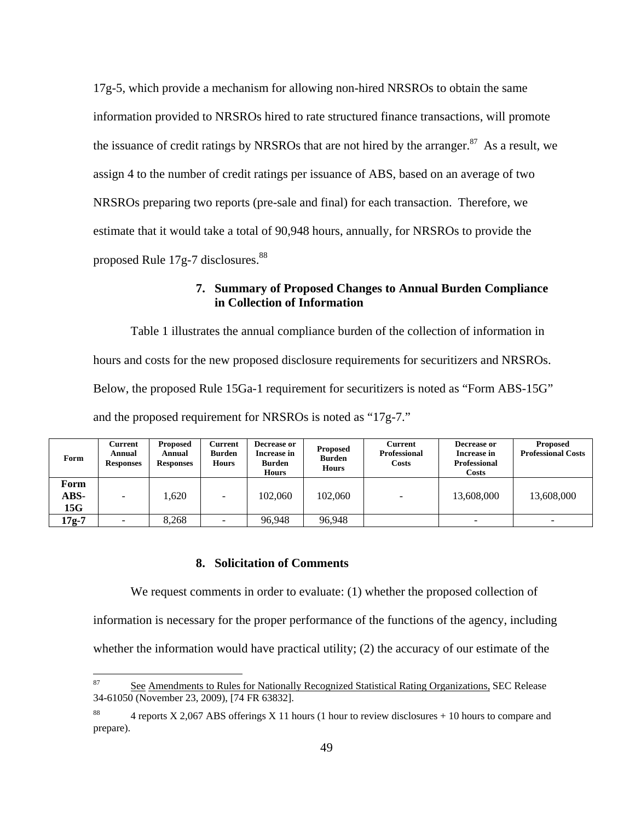the issuance of credit ratings by NRSROs that are not hired by the arranger. $87$  As a result, we proposed Rule 17g-7 disclosures.<sup>88</sup> 17g-5, which provide a mechanism for allowing non-hired NRSROs to obtain the same information provided to NRSROs hired to rate structured finance transactions, will promote assign 4 to the number of credit ratings per issuance of ABS, based on an average of two NRSROs preparing two reports (pre-sale and final) for each transaction. Therefore, we estimate that it would take a total of 90,948 hours, annually, for NRSROs to provide the

# **7. Summary of Proposed Changes to Annual Burden Compliance in Collection of Information**

Table 1 illustrates the annual compliance burden of the collection of information in hours and costs for the new proposed disclosure requirements for securitizers and NRSROs. Below, the proposed Rule 15Ga-1 requirement for securitizers is noted as "Form ABS-15G" and the proposed requirement for NRSROs is noted as "17g-7."

| Form                | Current<br>Annual<br><b>Responses</b> | <b>Proposed</b><br>Annual<br><b>Responses</b> | Current<br>Burden<br><b>Hours</b> | Decrease or<br>Increase in<br><b>Burden</b><br>Hours | <b>Proposed</b><br><b>Burden</b><br><b>Hours</b> | <b>Current</b><br><b>Professional</b><br>Costs | Decrease or<br>Increase in<br><b>Professional</b><br><b>Costs</b> | <b>Proposed</b><br><b>Professional Costs</b> |
|---------------------|---------------------------------------|-----------------------------------------------|-----------------------------------|------------------------------------------------------|--------------------------------------------------|------------------------------------------------|-------------------------------------------------------------------|----------------------------------------------|
| Form<br>ABS-<br>15G | $\overline{\phantom{a}}$              | .620                                          | $\overline{\phantom{0}}$          | 102,060                                              | 102,060                                          | $\overline{\phantom{0}}$                       | 13,608,000                                                        | 13,608,000                                   |
| $17g-7$             | $\overline{\phantom{0}}$              | 8.268                                         |                                   | 96.948                                               | 96.948                                           |                                                |                                                                   | $\overline{\phantom{a}}$                     |

### **8. Solicitation of Comments**

 $\overline{a}$ 

We request comments in order to evaluate: (1) whether the proposed collection of information is necessary for the proper performance of the functions of the agency, including whether the information would have practical utility; (2) the accuracy of our estimate of the

<sup>87</sup> See Amendments to Rules for Nationally Recognized Statistical Rating Organizations, SEC Release 34-61050 (November 23, 2009), [74 FR 63832].

<sup>88 4</sup> reports X 2,067 ABS offerings X 11 hours (1 hour to review disclosures + 10 hours to compare and prepare).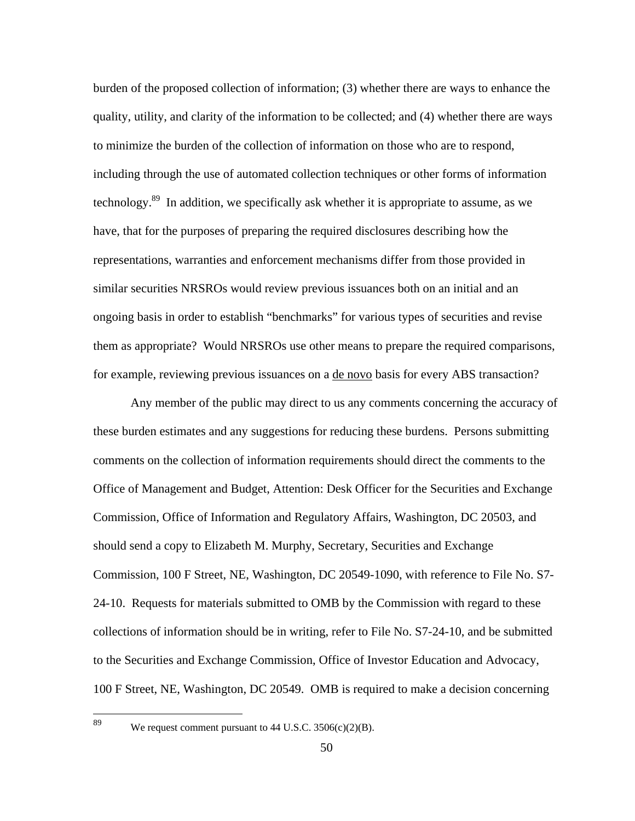burden of the proposed collection of information; (3) whether there are ways to enhance the quality, utility, and clarity of the information to be collected; and (4) whether there are ways to minimize the burden of the collection of information on those who are to respond, including through the use of automated collection techniques or other forms of information technology.<sup>89</sup> In addition, we specifically ask whether it is appropriate to assume, as we have, that for the purposes of preparing the required disclosures describing how the representations, warranties and enforcement mechanisms differ from those provided in similar securities NRSROs would review previous issuances both on an initial and an ongoing basis in order to establish "benchmarks" for various types of securities and revise them as appropriate? Would NRSROs use other means to prepare the required comparisons, for example, reviewing previous issuances on a de novo basis for every ABS transaction?

Any member of the public may direct to us any comments concerning the accuracy of these burden estimates and any suggestions for reducing these burdens. Persons submitting comments on the collection of information requirements should direct the comments to the Office of Management and Budget, Attention: Desk Officer for the Securities and Exchange Commission, Office of Information and Regulatory Affairs, Washington, DC 20503, and should send a copy to Elizabeth M. Murphy, Secretary, Securities and Exchange Commission, 100 F Street, NE, Washington, DC 20549-1090, with reference to File No. S7- 24-10. Requests for materials submitted to OMB by the Commission with regard to these collections of information should be in writing, refer to File No. S7-24-10, and be submitted to the Securities and Exchange Commission, Office of Investor Education and Advocacy, 100 F Street, NE, Washington, DC 20549. OMB is required to make a decision concerning

We request comment pursuant to  $44$  U.S.C.  $3506(c)(2)(B)$ .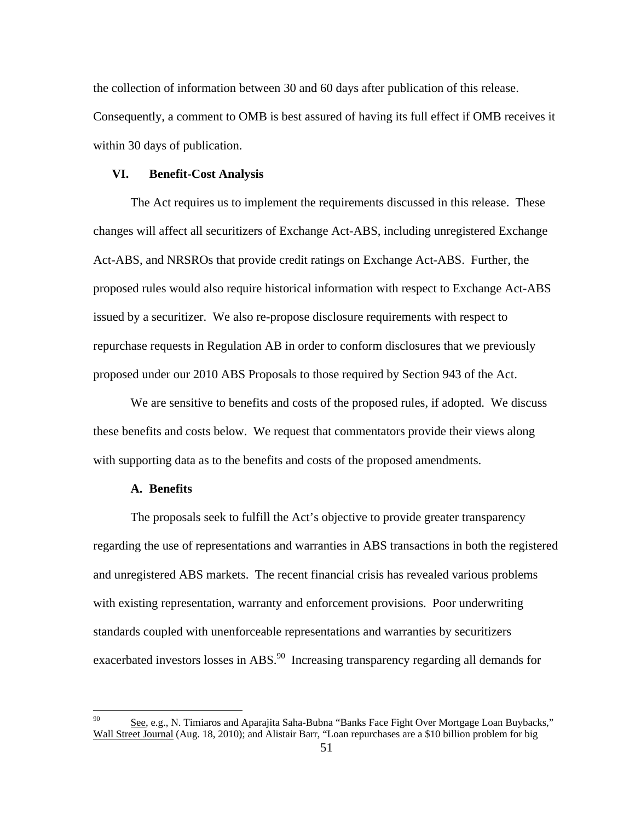the collection of information between 30 and 60 days after publication of this release. Consequently, a comment to OMB is best assured of having its full effect if OMB receives it within 30 days of publication.

#### **VI. Benefit-Cost Analysis**

The Act requires us to implement the requirements discussed in this release. These changes will affect all securitizers of Exchange Act-ABS, including unregistered Exchange Act-ABS, and NRSROs that provide credit ratings on Exchange Act-ABS. Further, the proposed rules would also require historical information with respect to Exchange Act-ABS issued by a securitizer. We also re-propose disclosure requirements with respect to repurchase requests in Regulation AB in order to conform disclosures that we previously proposed under our 2010 ABS Proposals to those required by Section 943 of the Act.

We are sensitive to benefits and costs of the proposed rules, if adopted. We discuss these benefits and costs below. We request that commentators provide their views along with supporting data as to the benefits and costs of the proposed amendments.

#### **A. Benefits**

 $\overline{a}$ 

The proposals seek to fulfill the Act's objective to provide greater transparency regarding the use of representations and warranties in ABS transactions in both the registered and unregistered ABS markets. The recent financial crisis has revealed various problems with existing representation, warranty and enforcement provisions. Poor underwriting standards coupled with unenforceable representations and warranties by securitizers exacerbated investors losses in ABS.<sup>90</sup> Increasing transparency regarding all demands for

See, e.g., N. Timiaros and Aparajita Saha-Bubna "Banks Face Fight Over Mortgage Loan Buybacks," Wall Street Journal (Aug. 18, 2010); and Alistair Barr, "Loan repurchases are a \$10 billion problem for big 90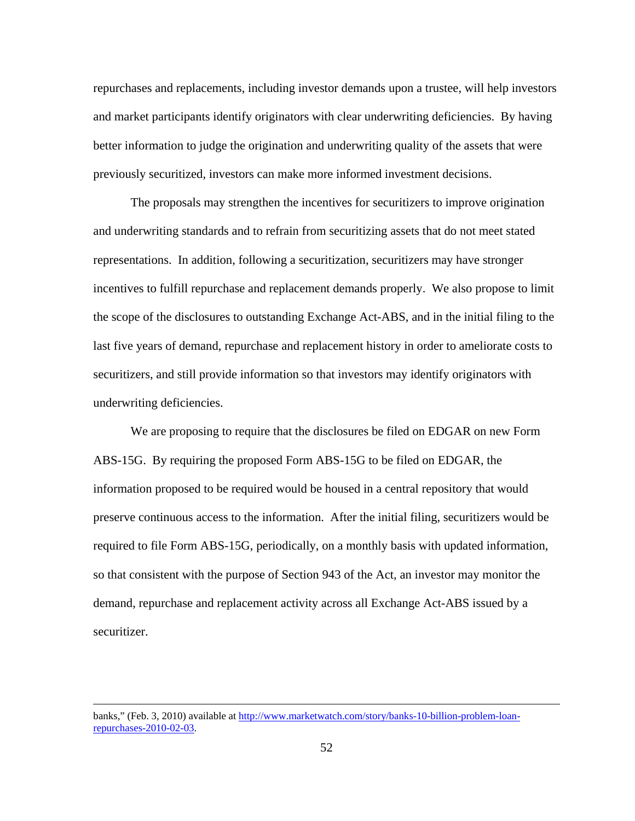repurchases and replacements, including investor demands upon a trustee, will help investors and market participants identify originators with clear underwriting deficiencies. By having better information to judge the origination and underwriting quality of the assets that were previously securitized, investors can make more informed investment decisions.

The proposals may strengthen the incentives for securitizers to improve origination and underwriting standards and to refrain from securitizing assets that do not meet stated representations. In addition, following a securitization, securitizers may have stronger incentives to fulfill repurchase and replacement demands properly. We also propose to limit the scope of the disclosures to outstanding Exchange Act-ABS, and in the initial filing to the last five years of demand, repurchase and replacement history in order to ameliorate costs to securitizers, and still provide information so that investors may identify originators with underwriting deficiencies.

We are proposing to require that the disclosures be filed on EDGAR on new Form ABS-15G. By requiring the proposed Form ABS-15G to be filed on EDGAR, the information proposed to be required would be housed in a central repository that would preserve continuous access to the information. After the initial filing, securitizers would be required to file Form ABS-15G, periodically, on a monthly basis with updated information, so that consistent with the purpose of Section 943 of the Act, an investor may monitor the demand, repurchase and replacement activity across all Exchange Act-ABS issued by a securitizer.

banks," (Feb. 3, 2010) available at http://www.marketwatch.com/story/banks-10-billion-problem-loanrepurchases-2010-02-03.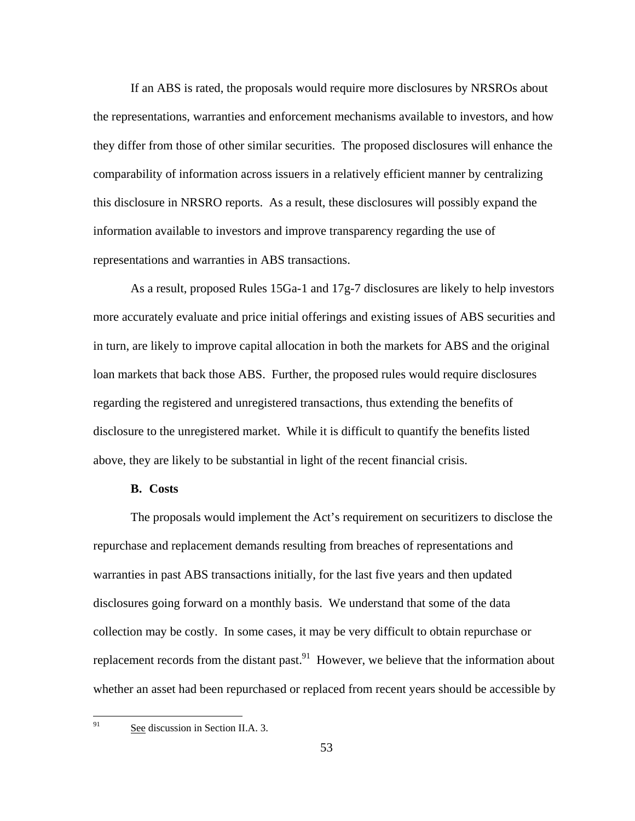If an ABS is rated, the proposals would require more disclosures by NRSROs about the representations, warranties and enforcement mechanisms available to investors, and how they differ from those of other similar securities. The proposed disclosures will enhance the comparability of information across issuers in a relatively efficient manner by centralizing this disclosure in NRSRO reports. As a result, these disclosures will possibly expand the information available to investors and improve transparency regarding the use of representations and warranties in ABS transactions.

As a result, proposed Rules 15Ga-1 and 17g-7 disclosures are likely to help investors more accurately evaluate and price initial offerings and existing issues of ABS securities and in turn, are likely to improve capital allocation in both the markets for ABS and the original loan markets that back those ABS. Further, the proposed rules would require disclosures regarding the registered and unregistered transactions, thus extending the benefits of disclosure to the unregistered market. While it is difficult to quantify the benefits listed above, they are likely to be substantial in light of the recent financial crisis.

# **B. Costs**

The proposals would implement the Act's requirement on securitizers to disclose the repurchase and replacement demands resulting from breaches of representations and warranties in past ABS transactions initially, for the last five years and then updated disclosures going forward on a monthly basis. We understand that some of the data collection may be costly. In some cases, it may be very difficult to obtain repurchase or replacement records from the distant past.<sup>91</sup> However, we believe that the information about whether an asset had been repurchased or replaced from recent years should be accessible by

See discussion in Section II.A. 3.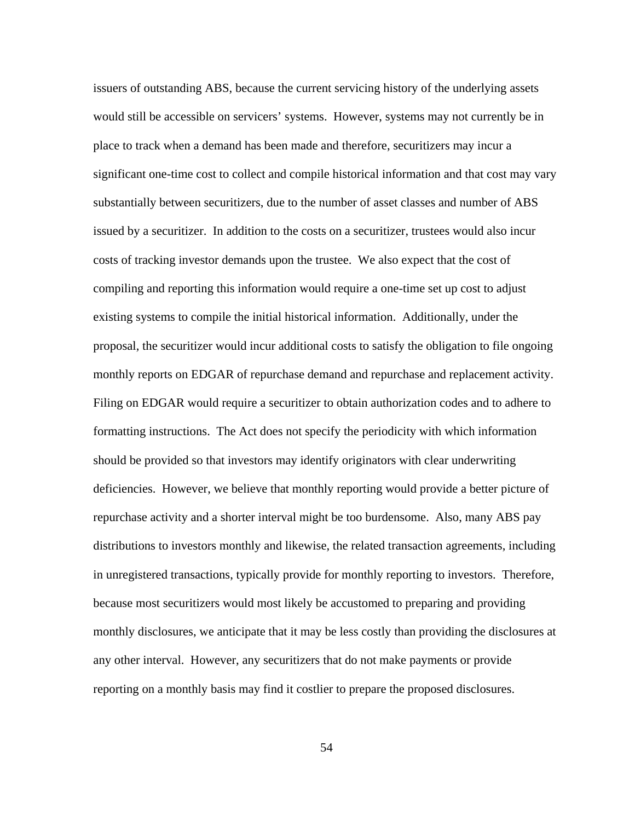issuers of outstanding ABS, because the current servicing history of the underlying assets would still be accessible on servicers' systems. However, systems may not currently be in place to track when a demand has been made and therefore, securitizers may incur a significant one-time cost to collect and compile historical information and that cost may vary substantially between securitizers, due to the number of asset classes and number of ABS issued by a securitizer. In addition to the costs on a securitizer, trustees would also incur costs of tracking investor demands upon the trustee. We also expect that the cost of compiling and reporting this information would require a one-time set up cost to adjust existing systems to compile the initial historical information. Additionally, under the proposal, the securitizer would incur additional costs to satisfy the obligation to file ongoing monthly reports on EDGAR of repurchase demand and repurchase and replacement activity. Filing on EDGAR would require a securitizer to obtain authorization codes and to adhere to formatting instructions. The Act does not specify the periodicity with which information should be provided so that investors may identify originators with clear underwriting deficiencies. However, we believe that monthly reporting would provide a better picture of repurchase activity and a shorter interval might be too burdensome. Also, many ABS pay distributions to investors monthly and likewise, the related transaction agreements, including in unregistered transactions, typically provide for monthly reporting to investors. Therefore, because most securitizers would most likely be accustomed to preparing and providing monthly disclosures, we anticipate that it may be less costly than providing the disclosures at any other interval. However, any securitizers that do not make payments or provide reporting on a monthly basis may find it costlier to prepare the proposed disclosures.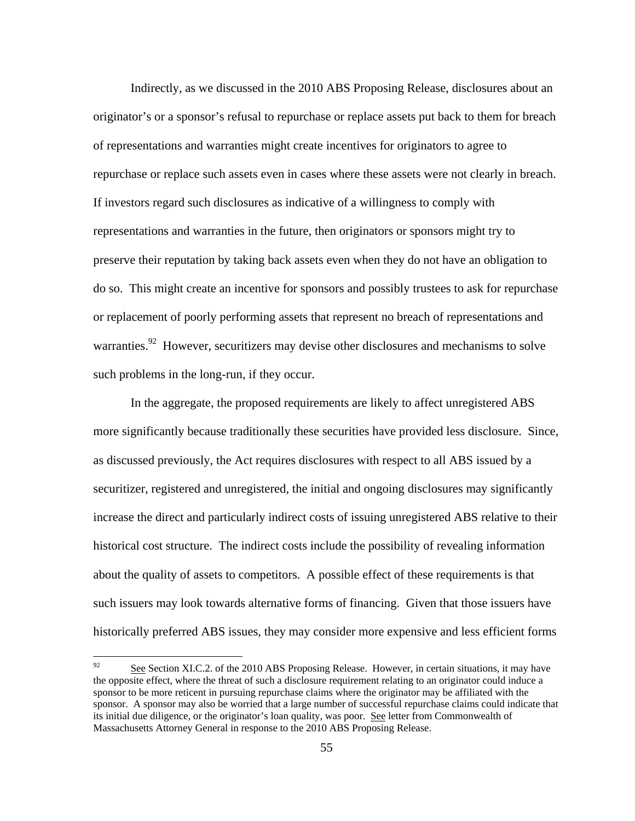Indirectly, as we discussed in the 2010 ABS Proposing Release, disclosures about an originator's or a sponsor's refusal to repurchase or replace assets put back to them for breach of representations and warranties might create incentives for originators to agree to repurchase or replace such assets even in cases where these assets were not clearly in breach. If investors regard such disclosures as indicative of a willingness to comply with representations and warranties in the future, then originators or sponsors might try to preserve their reputation by taking back assets even when they do not have an obligation to do so. This might create an incentive for sponsors and possibly trustees to ask for repurchase or replacement of poorly performing assets that represent no breach of representations and warranties.<sup>92</sup> However, securitizers may devise other disclosures and mechanisms to solve such problems in the long-run, if they occur.

In the aggregate, the proposed requirements are likely to affect unregistered ABS more significantly because traditionally these securities have provided less disclosure. Since, as discussed previously, the Act requires disclosures with respect to all ABS issued by a securitizer, registered and unregistered, the initial and ongoing disclosures may significantly increase the direct and particularly indirect costs of issuing unregistered ABS relative to their historical cost structure. The indirect costs include the possibility of revealing information about the quality of assets to competitors. A possible effect of these requirements is that such issuers may look towards alternative forms of financing. Given that those issuers have historically preferred ABS issues, they may consider more expensive and less efficient forms

 92 sponsor to be more reticent in pursuing repurchase claims where the originator may be affiliated with the See Section XI.C.2. of the 2010 ABS Proposing Release. However, in certain situations, it may have the opposite effect, where the threat of such a disclosure requirement relating to an originator could induce a sponsor. A sponsor may also be worried that a large number of successful repurchase claims could indicate that its initial due diligence, or the originator's loan quality, was poor. See letter from Commonwealth of Massachusetts Attorney General in response to the 2010 ABS Proposing Release.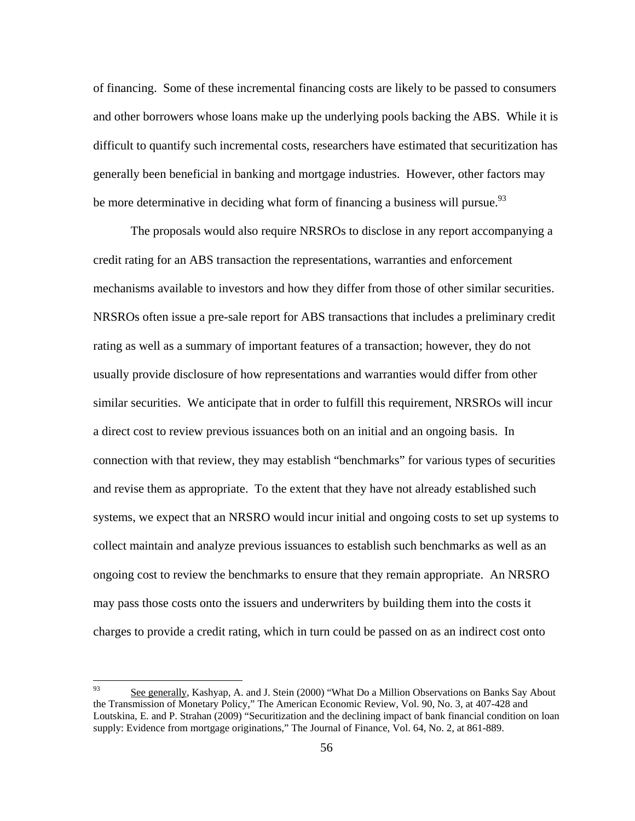of financing. Some of these incremental financing costs are likely to be passed to consumers and other borrowers whose loans make up the underlying pools backing the ABS. While it is difficult to quantify such incremental costs, researchers have estimated that securitization has generally been beneficial in banking and mortgage industries. However, other factors may be more determinative in deciding what form of financing a business will pursue.<sup>93</sup>

The proposals would also require NRSROs to disclose in any report accompanying a credit rating for an ABS transaction the representations, warranties and enforcement mechanisms available to investors and how they differ from those of other similar securities. NRSROs often issue a pre-sale report for ABS transactions that includes a preliminary credit rating as well as a summary of important features of a transaction; however, they do not usually provide disclosure of how representations and warranties would differ from other similar securities. We anticipate that in order to fulfill this requirement, NRSROs will incur a direct cost to review previous issuances both on an initial and an ongoing basis. In connection with that review, they may establish "benchmarks" for various types of securities and revise them as appropriate. To the extent that they have not already established such systems, we expect that an NRSRO would incur initial and ongoing costs to set up systems to collect maintain and analyze previous issuances to establish such benchmarks as well as an ongoing cost to review the benchmarks to ensure that they remain appropriate. An NRSRO may pass those costs onto the issuers and underwriters by building them into the costs it charges to provide a credit rating, which in turn could be passed on as an indirect cost onto

 93 supply: Evidence from mortgage originations," The Journal of Finance, Vol. 64, No. 2, at 861-889. See generally, Kashyap, A. and J. Stein (2000) "What Do a Million Observations on Banks Say About the Transmission of Monetary Policy," The American Economic Review, Vol. 90, No. 3, at 407-428 and Loutskina, E. and P. Strahan (2009) "Securitization and the declining impact of bank financial condition on loan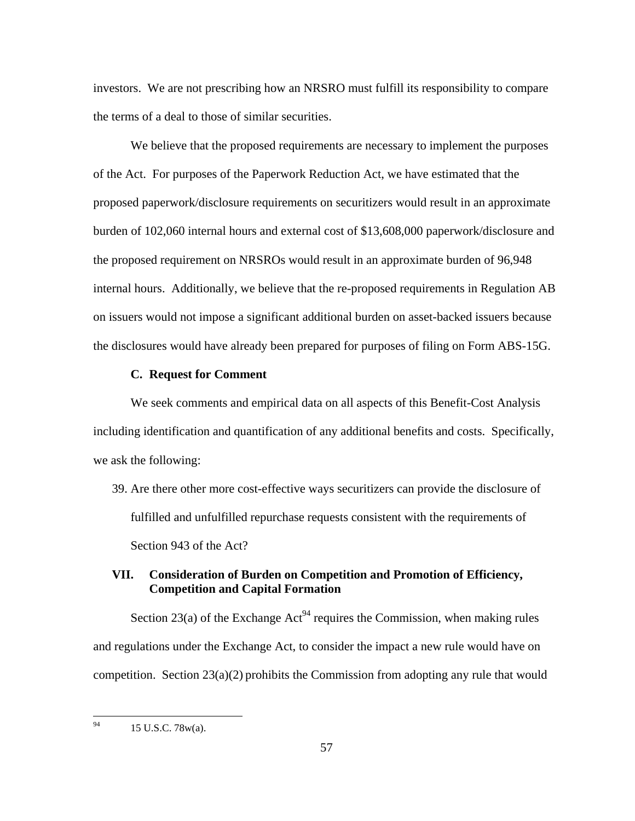investors. We are not prescribing how an NRSRO must fulfill its responsibility to compare the terms of a deal to those of similar securities.

We believe that the proposed requirements are necessary to implement the purposes of the Act. For purposes of the Paperwork Reduction Act, we have estimated that the proposed paperwork/disclosure requirements on securitizers would result in an approximate burden of 102,060 internal hours and external cost of \$13,608,000 paperwork/disclosure and the proposed requirement on NRSROs would result in an approximate burden of 96,948 internal hours. Additionally, we believe that the re-proposed requirements in Regulation AB on issuers would not impose a significant additional burden on asset-backed issuers because the disclosures would have already been prepared for purposes of filing on Form ABS-15G.

## **C. Request for Comment**

We seek comments and empirical data on all aspects of this Benefit-Cost Analysis including identification and quantification of any additional benefits and costs. Specifically, we ask the following:

 Section 943 of the Act? 39. Are there other more cost-effective ways securitizers can provide the disclosure of fulfilled and unfulfilled repurchase requests consistent with the requirements of

# **VII. Consideration of Burden on Competition and Promotion of Efficiency, Competition and Capital Formation**

Section 23(a) of the Exchange  $Act^{94}$  requires the Commission, when making rules and regulations under the Exchange Act, to consider the impact a new rule would have on competition. Section 23(a)(2) prohibits the Commission from adopting any rule that would

 94 15 U.S.C. 78w(a).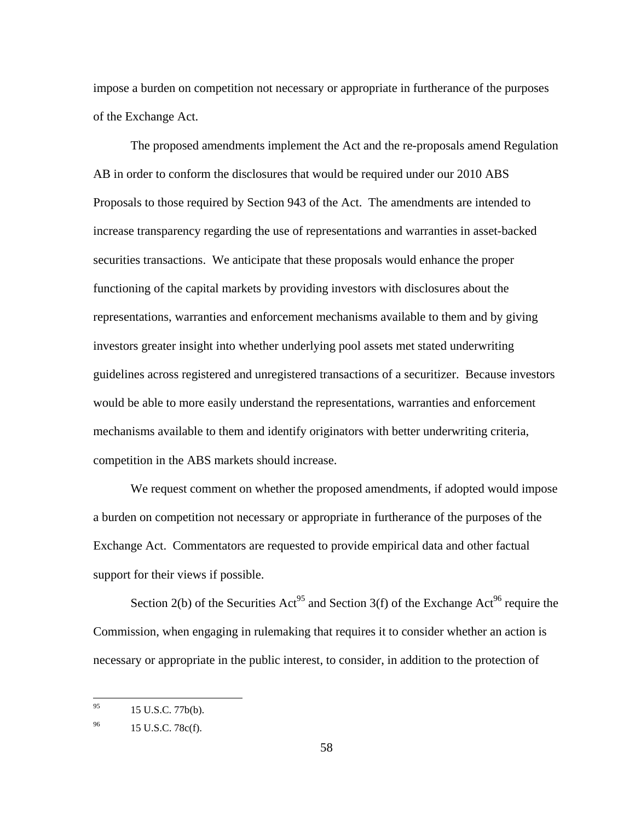impose a burden on competition not necessary or appropriate in furtherance of the purposes of the Exchange Act.

competition in the ABS markets should increase. The proposed amendments implement the Act and the re-proposals amend Regulation AB in order to conform the disclosures that would be required under our 2010 ABS Proposals to those required by Section 943 of the Act. The amendments are intended to increase transparency regarding the use of representations and warranties in asset-backed securities transactions. We anticipate that these proposals would enhance the proper functioning of the capital markets by providing investors with disclosures about the representations, warranties and enforcement mechanisms available to them and by giving investors greater insight into whether underlying pool assets met stated underwriting guidelines across registered and unregistered transactions of a securitizer. Because investors would be able to more easily understand the representations, warranties and enforcement mechanisms available to them and identify originators with better underwriting criteria,

We request comment on whether the proposed amendments, if adopted would impose a burden on competition not necessary or appropriate in furtherance of the purposes of the Exchange Act. Commentators are requested to provide empirical data and other factual support for their views if possible.

Section 2(b) of the Securities Act<sup>95</sup> and Section 3(f) of the Exchange Act<sup>96</sup> require the Commission, when engaging in rulemaking that requires it to consider whether an action is necessary or appropriate in the public interest, to consider, in addition to the protection of

<sup>95 15</sup> U.S.C. 77b(b).

<sup>96</sup> 15 U.S.C. 78c(f).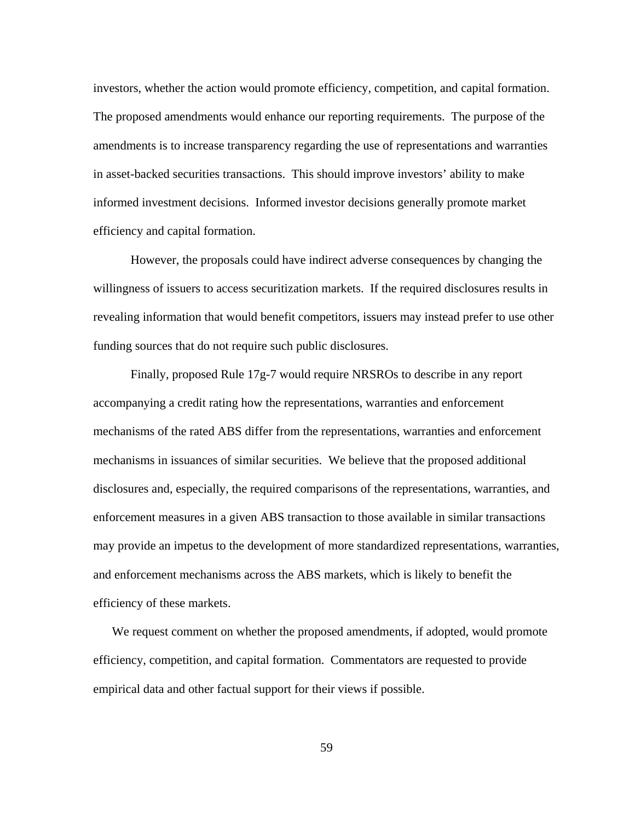investors, whether the action would promote efficiency, competition, and capital formation. The proposed amendments would enhance our reporting requirements. The purpose of the amendments is to increase transparency regarding the use of representations and warranties in asset-backed securities transactions. This should improve investors' ability to make informed investment decisions. Informed investor decisions generally promote market efficiency and capital formation.

However, the proposals could have indirect adverse consequences by changing the willingness of issuers to access securitization markets. If the required disclosures results in revealing information that would benefit competitors, issuers may instead prefer to use other funding sources that do not require such public disclosures.

Finally, proposed Rule 17g-7 would require NRSROs to describe in any report accompanying a credit rating how the representations, warranties and enforcement mechanisms of the rated ABS differ from the representations, warranties and enforcement mechanisms in issuances of similar securities. We believe that the proposed additional disclosures and, especially, the required comparisons of the representations, warranties, and enforcement measures in a given ABS transaction to those available in similar transactions may provide an impetus to the development of more standardized representations, warranties, and enforcement mechanisms across the ABS markets, which is likely to benefit the efficiency of these markets.

We request comment on whether the proposed amendments, if adopted, would promote efficiency, competition, and capital formation. Commentators are requested to provide empirical data and other factual support for their views if possible.

59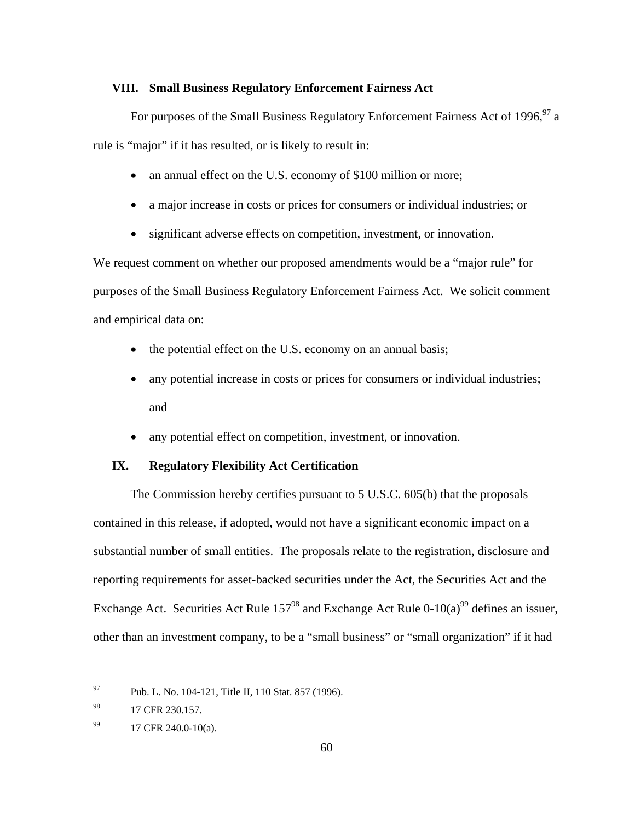#### **VIII. Small Business Regulatory Enforcement Fairness Act**

For purposes of the Small Business Regulatory Enforcement Fairness Act of 1996,  $97$  a rule is "major" if it has resulted, or is likely to result in:

- an annual effect on the U.S. economy of \$100 million or more;
- a major increase in costs or prices for consumers or individual industries; or
- significant adverse effects on competition, investment, or innovation.

We request comment on whether our proposed amendments would be a "major rule" for purposes of the Small Business Regulatory Enforcement Fairness Act. We solicit comment and empirical data on:

- the potential effect on the U.S. economy on an annual basis;
- any potential increase in costs or prices for consumers or individual industries; and
- any potential effect on competition, investment, or innovation.

# **IX. Regulatory Flexibility Act Certification**

The Commission hereby certifies pursuant to 5 U.S.C. 605(b) that the proposals contained in this release, if adopted, would not have a significant economic impact on a substantial number of small entities. The proposals relate to the registration, disclosure and reporting requirements for asset-backed securities under the Act, the Securities Act and the Exchange Act. Securities Act Rule  $157<sup>98</sup>$  and Exchange Act Rule 0-10(a)<sup>99</sup> defines an issuer, other than an investment company, to be a "small business" or "small organization" if it had

<sup>97</sup> Pub. L. No. 104-121, Title II, 110 Stat. 857 (1996).

<sup>98</sup> 17 CFR 230.157.

<sup>99</sup> 17 CFR 240.0-10(a).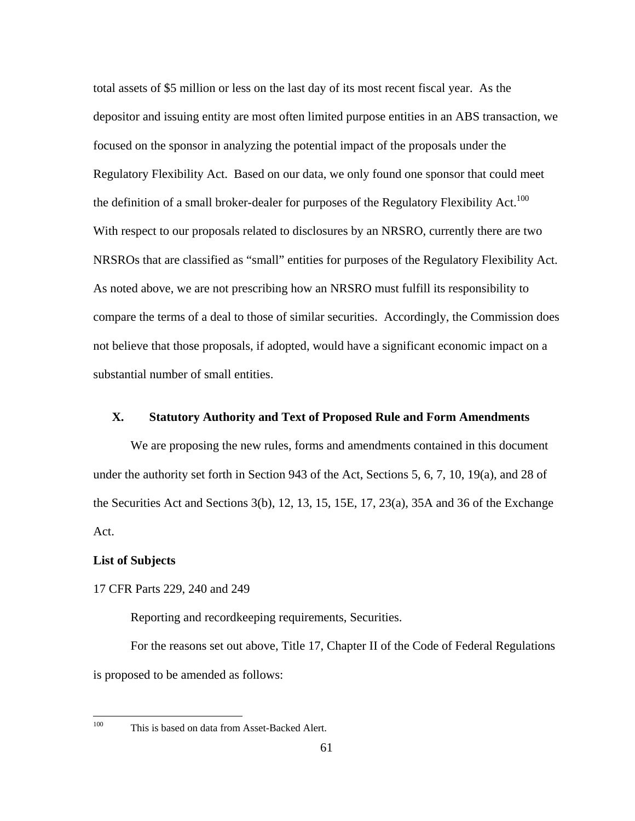the definition of a small broker-dealer for purposes of the Regulatory Flexibility Act.<sup>100</sup> total assets of \$5 million or less on the last day of its most recent fiscal year. As the depositor and issuing entity are most often limited purpose entities in an ABS transaction, we focused on the sponsor in analyzing the potential impact of the proposals under the Regulatory Flexibility Act. Based on our data, we only found one sponsor that could meet With respect to our proposals related to disclosures by an NRSRO, currently there are two NRSROs that are classified as "small" entities for purposes of the Regulatory Flexibility Act. As noted above, we are not prescribing how an NRSRO must fulfill its responsibility to compare the terms of a deal to those of similar securities. Accordingly, the Commission does not believe that those proposals, if adopted, would have a significant economic impact on a substantial number of small entities.

# **X. Statutory Authority and Text of Proposed Rule and Form Amendments**

We are proposing the new rules, forms and amendments contained in this document under the authority set forth in Section 943 of the Act, Sections 5, 6, 7, 10, 19(a), and 28 of the Securities Act and Sections 3(b), 12, 13, 15, 15E, 17, 23(a), 35A and 36 of the Exchange Act.

# **List of Subjects**

### 17 CFR Parts 229, 240 and 249

Reporting and recordkeeping requirements, Securities.

For the reasons set out above, Title 17, Chapter II of the Code of Federal Regulations is proposed to be amended as follows:

This is based on data from Asset-Backed Alert.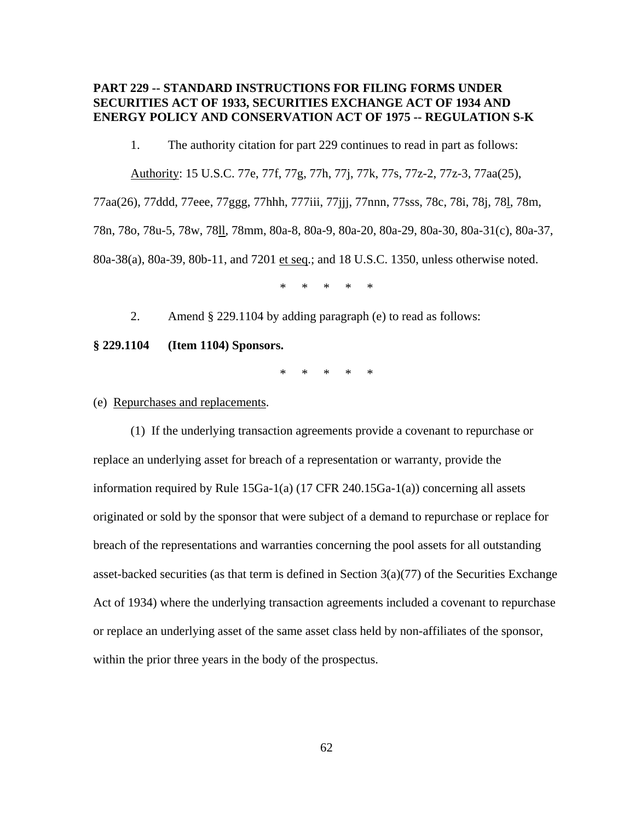# **PART 229 -- STANDARD INSTRUCTIONS FOR FILING FORMS UNDER SECURITIES ACT OF 1933, SECURITIES EXCHANGE ACT OF 1934 AND ENERGY POLICY AND CONSERVATION ACT OF 1975 -- REGULATION S-K**

1. The authority citation for part 229 continues to read in part as follows:

Authority: 15 U.S.C. 77e, 77f, 77g, 77h, 77j, 77k, 77s, 77z-2, 77z-3, 77aa(25),

77aa(26), 77ddd, 77eee, 77ggg, 77hhh, 777iii, 77jjj, 77nnn, 77sss, 78c, 78i, 78j, 78l, 78m, 78n, 78o, 78u-5, 78w, 78ll, 78mm, 80a-8, 80a-9, 80a-20, 80a-29, 80a-30, 80a-31(c), 80a-37, 80a-38(a), 80a-39, 80b-11, and 7201 et seq.; and 18 U.S.C. 1350, unless otherwise noted.

\* \* \* \* \*

2. Amend § 229.1104 by adding paragraph (e) to read as follows:

**§ 229.1104 (Item 1104) Sponsors.** 

\* \* \* \* \*

(e) Repurchases and replacements.

(1) If the underlying transaction agreements provide a covenant to repurchase or replace an underlying asset for breach of a representation or warranty, provide the information required by Rule 15Ga-1(a) (17 CFR 240.15Ga-1(a)) concerning all assets originated or sold by the sponsor that were subject of a demand to repurchase or replace for breach of the representations and warranties concerning the pool assets for all outstanding asset-backed securities (as that term is defined in Section  $3(a)(77)$  of the Securities Exchange Act of 1934) where the underlying transaction agreements included a covenant to repurchase or replace an underlying asset of the same asset class held by non-affiliates of the sponsor, within the prior three years in the body of the prospectus.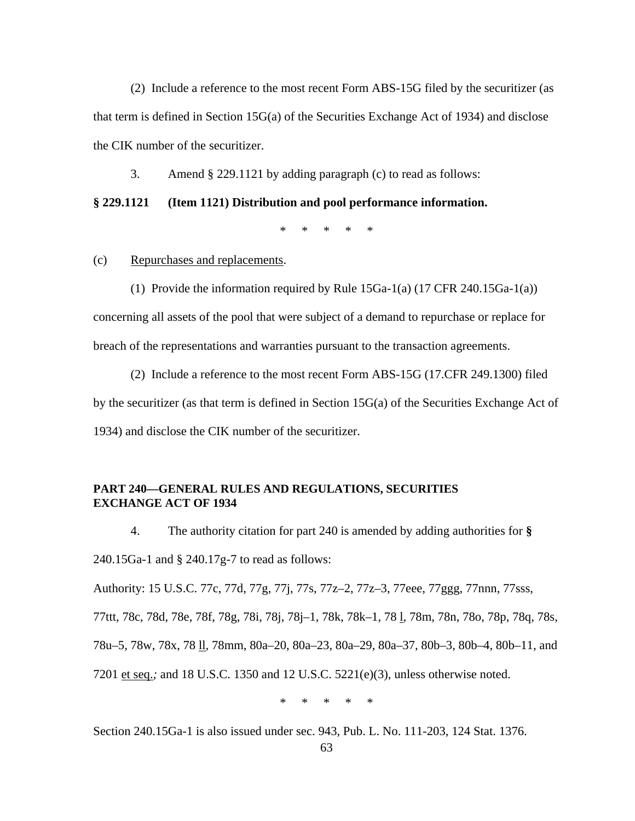(2) Include a reference to the most recent Form ABS-15G filed by the securitizer (as that term is defined in Section 15G(a) of the Securities Exchange Act of 1934) and disclose the CIK number of the securitizer.

3. Amend § 229.1121 by adding paragraph (c) to read as follows:

### **§ 229.1121 (Item 1121) Distribution and pool performance information.**

\* \* \* \* \*

# (c) Repurchases and replacements.

(1) Provide the information required by Rule 15Ga-1(a) (17 CFR 240.15Ga-1(a)) concerning all assets of the pool that were subject of a demand to repurchase or replace for breach of the representations and warranties pursuant to the transaction agreements.

(2) Include a reference to the most recent Form ABS-15G (17.CFR 249.1300) filed by the securitizer (as that term is defined in Section 15G(a) of the Securities Exchange Act of 1934) and disclose the CIK number of the securitizer.

# **PART 240—GENERAL RULES AND REGULATIONS, SECURITIES EXCHANGE ACT OF 1934**

4. The authority citation for part 240 is amended by adding authorities for **§**  240.15Ga-1 and § 240.17g-7 to read as follows:

Authority: 15 U.S.C. 77c, 77d, 77g, 77j, 77s, 77z–2, 77z–3, 77eee, 77ggg, 77nnn, 77sss,

77ttt, 78c, 78d, 78e, 78f, 78g, 78i, 78j, 78j–1, 78k, 78k–1, 78 l*,* 78m, 78n, 78o, 78p, 78q, 78s,

78u–5, 78w, 78x, 78 ll*,* 78mm, 80a–20, 80a–23, 80a–29, 80a–37, 80b–3, 80b–4, 80b–11, and

7201 et seq.*;* and 18 U.S.C. 1350 and 12 U.S.C. 5221(e)(3), unless otherwise noted.

\* \* \* \* \*

Section 240.15Ga-1 is also issued under sec. 943, Pub. L. No. 111-203, 124 Stat. 1376.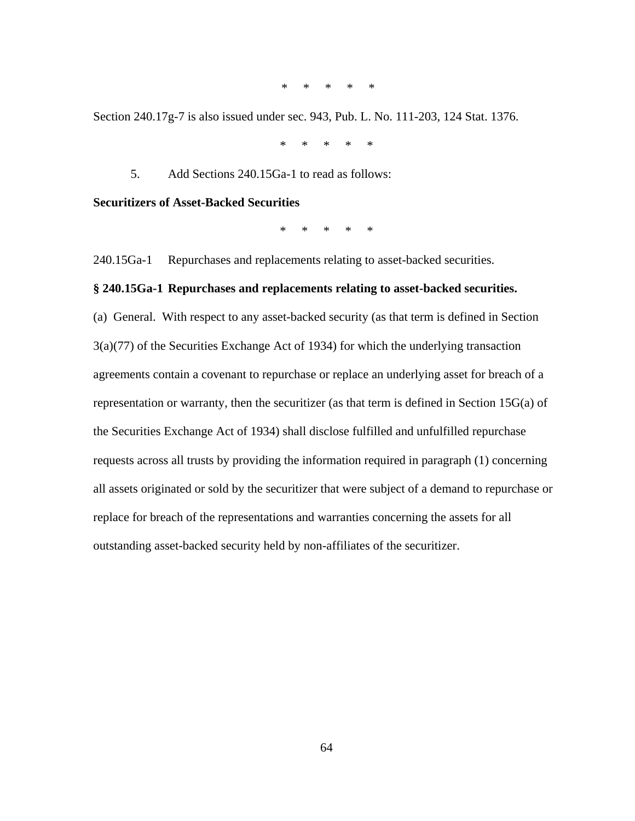\* \* \* \* \*

Section 240.17g-7 is also issued under sec. 943, Pub. L. No. 111-203, 124 Stat. 1376.

\* \* \* \* \*

5. Add Sections 240.15Ga-1 to read as follows:

**Securitizers of Asset-Backed Securities** 

\* \* \* \* \*

240.15Ga-1 Repurchases and replacements relating to asset-backed securities.

## **§ 240.15Ga-1 Repurchases and replacements relating to asset-backed securities.**

(a) General. With respect to any asset-backed security (as that term is defined in Section 3(a)(77) of the Securities Exchange Act of 1934) for which the underlying transaction agreements contain a covenant to repurchase or replace an underlying asset for breach of a representation or warranty, then the securitizer (as that term is defined in Section 15G(a) of the Securities Exchange Act of 1934) shall disclose fulfilled and unfulfilled repurchase requests across all trusts by providing the information required in paragraph (1) concerning all assets originated or sold by the securitizer that were subject of a demand to repurchase or replace for breach of the representations and warranties concerning the assets for all outstanding asset-backed security held by non-affiliates of the securitizer.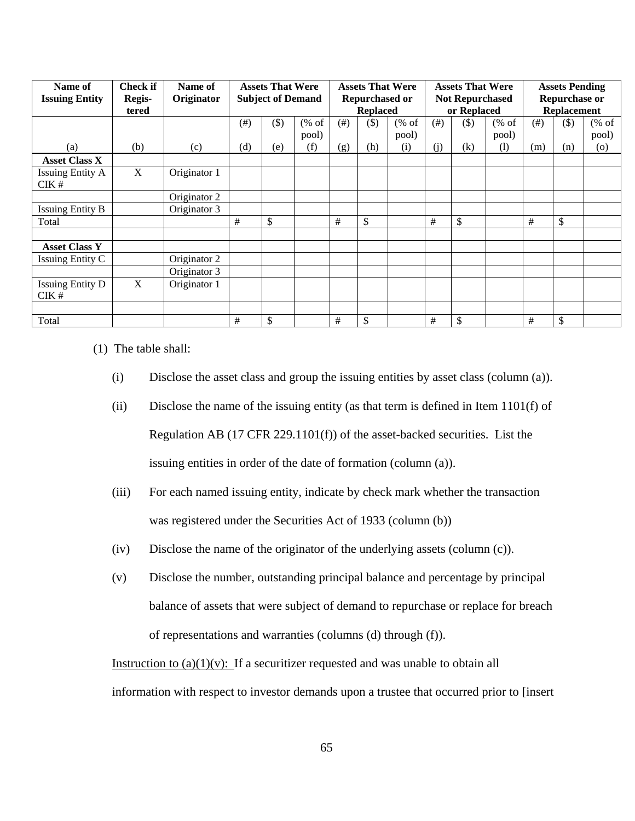| Name of<br><b>Issuing Entity</b> | <b>Check if</b><br>Regis-<br>tered | Name of<br>Originator | <b>Assets That Were</b><br><b>Subject of Demand</b> |        | <b>Assets That Were</b><br><b>Repurchased or</b><br><b>Replaced</b> |           |        | <b>Assets That Were</b><br><b>Not Repurchased</b><br>or Replaced |           |        | <b>Assets Pending</b><br><b>Repurchase or</b><br><b>Replacement</b> |           |       |                                              |
|----------------------------------|------------------------------------|-----------------------|-----------------------------------------------------|--------|---------------------------------------------------------------------|-----------|--------|------------------------------------------------------------------|-----------|--------|---------------------------------------------------------------------|-----------|-------|----------------------------------------------|
|                                  |                                    |                       | (# )                                                | $(\$)$ | % of<br>pool)                                                       | $($ # $)$ | $(\$)$ | % of<br>pool)                                                    | $($ # $)$ | $(\$)$ | % of<br>pool)                                                       | $($ # $)$ | $($)$ | $(% \mathcal{L}_{0}^{\infty}$ (% of<br>pool) |
| (a)                              | (b)                                | (c)                   | (d)                                                 | (e)    | (f)                                                                 | (g)       | (h)    | (i)                                                              | (i)       | (k)    | (1)                                                                 | (m)       | (n)   | (0)                                          |
| <b>Asset Class X</b>             |                                    |                       |                                                     |        |                                                                     |           |        |                                                                  |           |        |                                                                     |           |       |                                              |
| <b>Issuing Entity A</b><br>CIK#  | X                                  | Originator 1          |                                                     |        |                                                                     |           |        |                                                                  |           |        |                                                                     |           |       |                                              |
|                                  |                                    | Originator 2          |                                                     |        |                                                                     |           |        |                                                                  |           |        |                                                                     |           |       |                                              |
| <b>Issuing Entity B</b>          |                                    | Originator 3          |                                                     |        |                                                                     |           |        |                                                                  |           |        |                                                                     |           |       |                                              |
| Total                            |                                    |                       | #                                                   | \$     |                                                                     | #         | \$     |                                                                  | #         | \$     |                                                                     | #         | \$    |                                              |
|                                  |                                    |                       |                                                     |        |                                                                     |           |        |                                                                  |           |        |                                                                     |           |       |                                              |
| <b>Asset Class Y</b>             |                                    |                       |                                                     |        |                                                                     |           |        |                                                                  |           |        |                                                                     |           |       |                                              |
| Issuing Entity C                 |                                    | Originator 2          |                                                     |        |                                                                     |           |        |                                                                  |           |        |                                                                     |           |       |                                              |
|                                  |                                    | Originator 3          |                                                     |        |                                                                     |           |        |                                                                  |           |        |                                                                     |           |       |                                              |
| <b>Issuing Entity D</b><br>CIK#  | X                                  | Originator 1          |                                                     |        |                                                                     |           |        |                                                                  |           |        |                                                                     |           |       |                                              |
|                                  |                                    |                       |                                                     |        |                                                                     |           |        |                                                                  |           |        |                                                                     |           |       |                                              |
| Total                            |                                    |                       | $\#$                                                | \$     |                                                                     | $\#$      | \$     |                                                                  | $\#$      | \$     |                                                                     | $\#$      | \$    |                                              |

(1) The table shall:

- (i) Disclose the asset class and group the issuing entities by asset class (column (a)).
- (ii) Disclose the name of the issuing entity (as that term is defined in Item 1101(f) of Regulation AB (17 CFR 229.1101(f)) of the asset-backed securities. List the issuing entities in order of the date of formation (column (a)).
- (iii) For each named issuing entity, indicate by check mark whether the transaction was registered under the Securities Act of 1933 (column (b))
- (iv) Disclose the name of the originator of the underlying assets (column  $(c)$ ).
- (v) Disclose the number, outstanding principal balance and percentage by principal balance of assets that were subject of demand to repurchase or replace for breach of representations and warranties (columns (d) through (f)).

Instruction to  $(a)(1)(v)$ : If a securitizer requested and was unable to obtain all information with respect to investor demands upon a trustee that occurred prior to [insert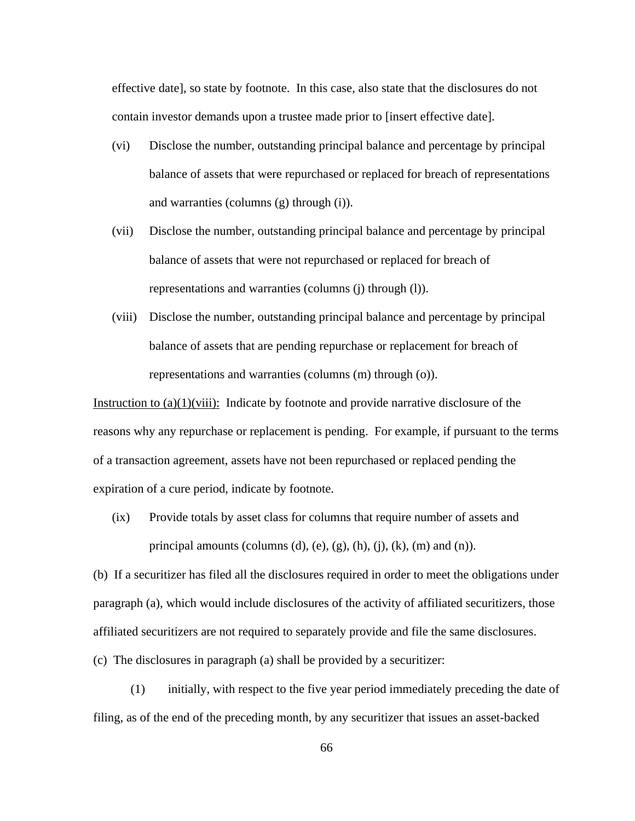effective date], so state by footnote. In this case, also state that the disclosures do not contain investor demands upon a trustee made prior to [insert effective date].

- (vi) Disclose the number, outstanding principal balance and percentage by principal balance of assets that were repurchased or replaced for breach of representations and warranties (columns (g) through (i)).
- (vii) Disclose the number, outstanding principal balance and percentage by principal balance of assets that were not repurchased or replaced for breach of representations and warranties (columns (j) through (l)).
- (viii) Disclose the number, outstanding principal balance and percentage by principal balance of assets that are pending repurchase or replacement for breach of representations and warranties (columns (m) through (o)).

Instruction to  $(a)(1)(viii)$ : Indicate by footnote and provide narrative disclosure of the reasons why any repurchase or replacement is pending. For example, if pursuant to the terms of a transaction agreement, assets have not been repurchased or replaced pending the expiration of a cure period, indicate by footnote.

(ix) Provide totals by asset class for columns that require number of assets and principal amounts (columns (d), (e), (g), (h), (j), (k), (m) and (n)).

(b) If a securitizer has filed all the disclosures required in order to meet the obligations under paragraph (a), which would include disclosures of the activity of affiliated securitizers, those affiliated securitizers are not required to separately provide and file the same disclosures. (c) The disclosures in paragraph (a) shall be provided by a securitizer:

(1) initially, with respect to the five year period immediately preceding the date of filing, as of the end of the preceding month, by any securitizer that issues an asset-backed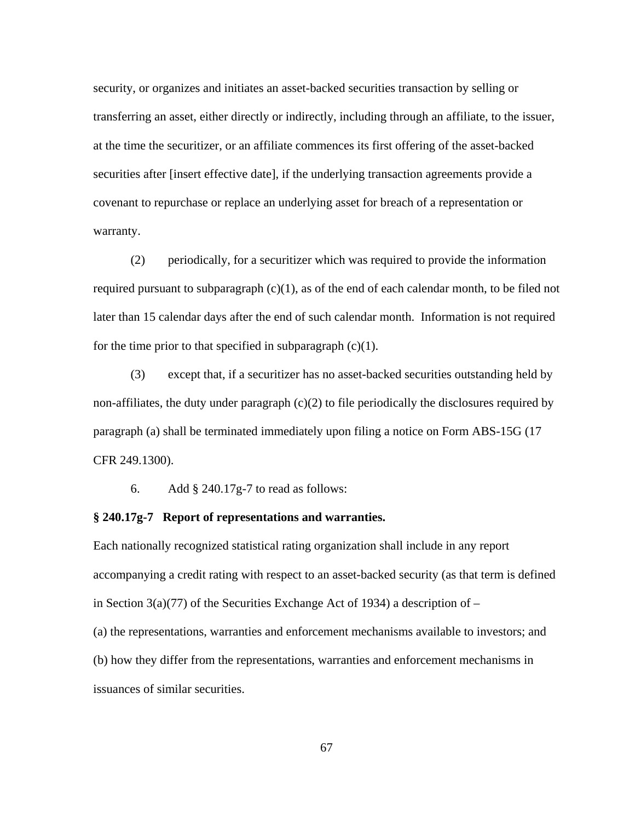security, or organizes and initiates an asset-backed securities transaction by selling or transferring an asset, either directly or indirectly, including through an affiliate, to the issuer, at the time the securitizer, or an affiliate commences its first offering of the asset-backed securities after [insert effective date], if the underlying transaction agreements provide a covenant to repurchase or replace an underlying asset for breach of a representation or warranty.

(2) periodically, for a securitizer which was required to provide the information required pursuant to subparagraph  $(c)(1)$ , as of the end of each calendar month, to be filed not later than 15 calendar days after the end of such calendar month. Information is not required for the time prior to that specified in subparagraph  $(c)(1)$ .

(3) except that, if a securitizer has no asset-backed securities outstanding held by non-affiliates, the duty under paragraph  $(c)(2)$  to file periodically the disclosures required by paragraph (a) shall be terminated immediately upon filing a notice on Form ABS-15G (17 CFR 249.1300).

6. Add § 240.17g-7 to read as follows:

#### **§ 240.17g-7 Report of representations and warranties.**

Each nationally recognized statistical rating organization shall include in any report accompanying a credit rating with respect to an asset-backed security (as that term is defined in Section  $3(a)(77)$  of the Securities Exchange Act of 1934) a description of –

(a) the representations, warranties and enforcement mechanisms available to investors; and (b) how they differ from the representations, warranties and enforcement mechanisms in issuances of similar securities.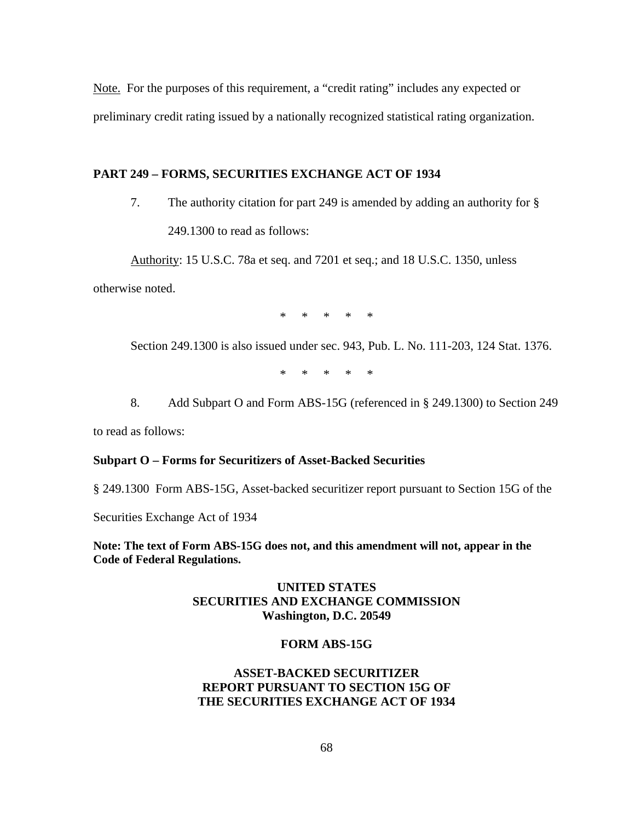Note. For the purposes of this requirement, a "credit rating" includes any expected or preliminary credit rating issued by a nationally recognized statistical rating organization.

# **PART 249 – FORMS, SECURITIES EXCHANGE ACT OF 1934**

7. The authority citation for part 249 is amended by adding an authority for § 249.1300 to read as follows:

Authority: 15 U.S.C. 78a et seq. and 7201 et seq.; and 18 U.S.C. 1350, unless

otherwise noted.

\* \* \* \* \*

Section 249.1300 is also issued under sec. 943, Pub. L. No. 111-203, 124 Stat. 1376.

\* \* \* \* \*

 8. Add Subpart O and Form ABS-15G (referenced in § 249.1300) to Section 249

to read as follows:

### **Subpart O – Forms for Securitizers of Asset-Backed Securities**

§ 249.1300 Form ABS-15G, Asset-backed securitizer report pursuant to Section 15G of the

Securities Exchange Act of 1934

**Note: The text of Form ABS-15G does not, and this amendment will not, appear in the Code of Federal Regulations.** 

# **UNITED STATES SECURITIES AND EXCHANGE COMMISSION Washington, D.C. 20549**

#### **FORM ABS-15G**

# **ASSET-BACKED SECURITIZER REPORT PURSUANT TO SECTION 15G OF THE SECURITIES EXCHANGE ACT OF 1934**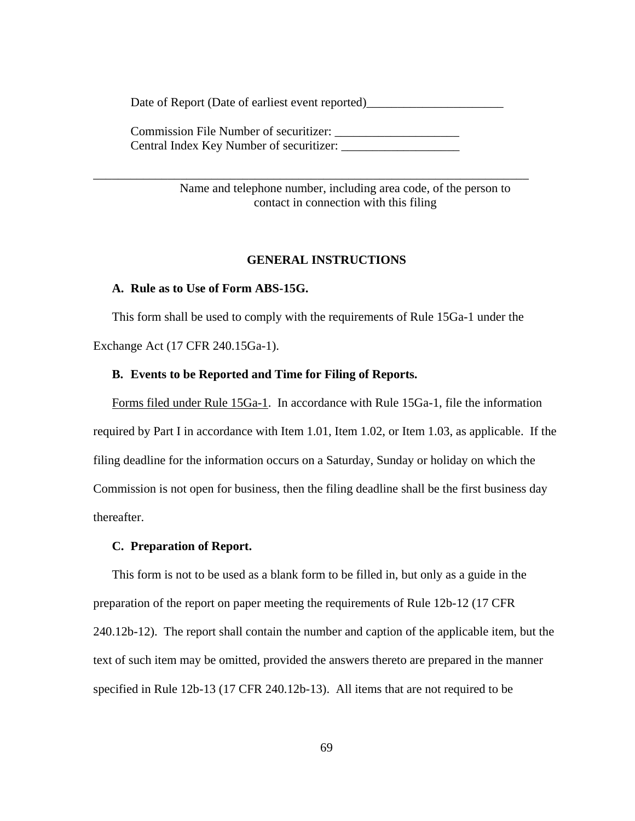Date of Report (Date of earliest event reported)\_\_\_\_\_\_\_\_\_\_\_\_\_\_\_\_\_\_\_\_\_\_

Commission File Number of securitizer: Central Index Key Number of securitizer:

\_\_\_\_\_\_\_\_\_\_\_\_\_\_\_\_\_\_\_\_\_\_\_\_\_\_\_\_\_\_\_\_\_\_\_\_\_\_\_\_\_\_\_\_\_\_\_\_\_\_\_\_\_\_\_\_\_\_\_\_\_\_\_\_\_\_\_\_\_\_

Name and telephone number, including area code, of the person to contact in connection with this filing

### **GENERAL INSTRUCTIONS**

### **A. Rule as to Use of Form ABS-15G.**

This form shall be used to comply with the requirements of Rule 15Ga-1 under the Exchange Act (17 CFR 240.15Ga-1).

# **B. Events to be Reported and Time for Filing of Reports.**

Forms filed under Rule 15Ga-1. In accordance with Rule 15Ga-1, file the information required by Part I in accordance with Item 1.01, Item 1.02, or Item 1.03, as applicable. If the filing deadline for the information occurs on a Saturday, Sunday or holiday on which the Commission is not open for business, then the filing deadline shall be the first business day thereafter.

### **C. Preparation of Report.**

This form is not to be used as a blank form to be filled in, but only as a guide in the preparation of the report on paper meeting the requirements of Rule 12b-12 (17 CFR 240.12b-12). The report shall contain the number and caption of the applicable item, but the text of such item may be omitted, provided the answers thereto are prepared in the manner specified in Rule 12b-13 (17 CFR 240.12b-13). All items that are not required to be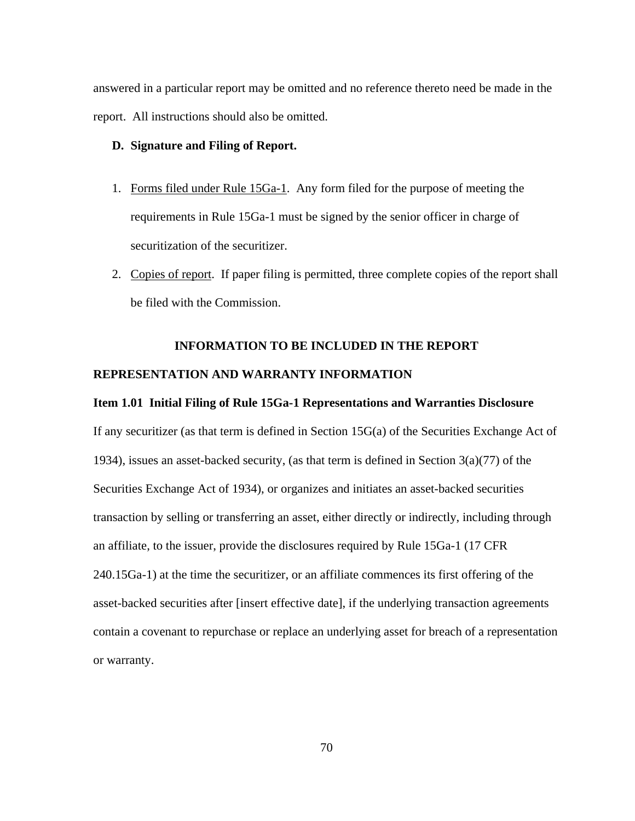answered in a particular report may be omitted and no reference thereto need be made in the report. All instructions should also be omitted.

# **D. Signature and Filing of Report.**

- 1. Forms filed under Rule 15Ga-1. Any form filed for the purpose of meeting the requirements in Rule 15Ga-1 must be signed by the senior officer in charge of securitization of the securitizer.
- 2. Copies of report. If paper filing is permitted, three complete copies of the report shall be filed with the Commission.

### **INFORMATION TO BE INCLUDED IN THE REPORT**

## **REPRESENTATION AND WARRANTY INFORMATION**

### **Item 1.01 Initial Filing of Rule 15Ga-1 Representations and Warranties Disclosure**

If any securitizer (as that term is defined in Section 15G(a) of the Securities Exchange Act of 1934), issues an asset-backed security, (as that term is defined in Section  $3(a)(77)$  of the Securities Exchange Act of 1934), or organizes and initiates an asset-backed securities transaction by selling or transferring an asset, either directly or indirectly, including through an affiliate, to the issuer, provide the disclosures required by Rule 15Ga-1 (17 CFR 240.15Ga-1) at the time the securitizer, or an affiliate commences its first offering of the asset-backed securities after [insert effective date], if the underlying transaction agreements contain a covenant to repurchase or replace an underlying asset for breach of a representation or warranty.